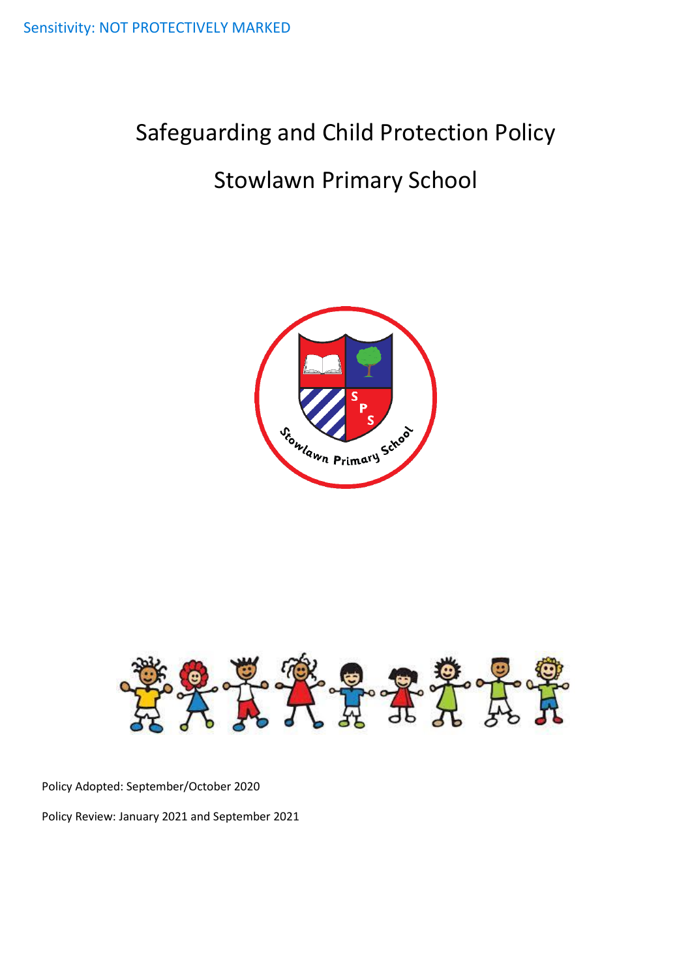# Safeguarding and Child Protection Policy

# Stowlawn Primary School





Policy Adopted: September/October 2020

Policy Review: January 2021 and September 2021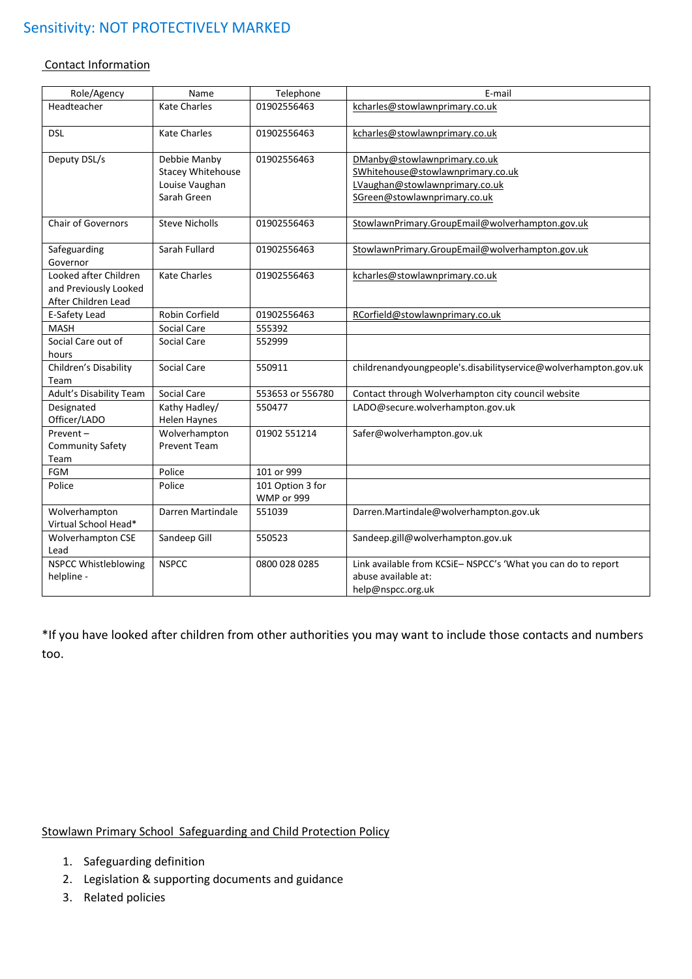#### Contact Information

| Role/Agency                                                           | Name                                                                      | Telephone                      | E-mail                                                                                                                              |
|-----------------------------------------------------------------------|---------------------------------------------------------------------------|--------------------------------|-------------------------------------------------------------------------------------------------------------------------------------|
| Headteacher                                                           | <b>Kate Charles</b>                                                       | 01902556463                    | kcharles@stowlawnprimary.co.uk                                                                                                      |
| <b>DSL</b>                                                            | <b>Kate Charles</b>                                                       | 01902556463                    | kcharles@stowlawnprimary.co.uk                                                                                                      |
| Deputy DSL/s                                                          | Debbie Manby<br><b>Stacey Whitehouse</b><br>Louise Vaughan<br>Sarah Green | 01902556463                    | DManby@stowlawnprimary.co.uk<br>SWhitehouse@stowlawnprimary.co.uk<br>LVaughan@stowlawnprimary.co.uk<br>SGreen@stowlawnprimary.co.uk |
| <b>Chair of Governors</b>                                             | <b>Steve Nicholls</b>                                                     | 01902556463                    | StowlawnPrimary.GroupEmail@wolverhampton.gov.uk                                                                                     |
| Safeguarding<br>Governor                                              | Sarah Fullard                                                             | 01902556463                    | StowlawnPrimary.GroupEmail@wolverhampton.gov.uk                                                                                     |
| Looked after Children<br>and Previously Looked<br>After Children Lead | <b>Kate Charles</b>                                                       | 01902556463                    | kcharles@stowlawnprimary.co.uk                                                                                                      |
| E-Safety Lead                                                         | Robin Corfield                                                            | 01902556463                    | RCorfield@stowlawnprimary.co.uk                                                                                                     |
| <b>MASH</b>                                                           | Social Care                                                               | 555392                         |                                                                                                                                     |
| Social Care out of<br>hours                                           | Social Care                                                               | 552999                         |                                                                                                                                     |
| Children's Disability<br>Team                                         | Social Care                                                               | 550911                         | childrenandyoungpeople's.disabilityservice@wolverhampton.gov.uk                                                                     |
| Adult's Disability Team                                               | Social Care                                                               | 553653 or 556780               | Contact through Wolverhampton city council website                                                                                  |
| Designated<br>Officer/LADO                                            | Kathy Hadley/<br>Helen Haynes                                             | 550477                         | LADO@secure.wolverhampton.gov.uk                                                                                                    |
| Prevent-<br><b>Community Safety</b><br>Team                           | Wolverhampton<br><b>Prevent Team</b>                                      | 01902 551214                   | Safer@wolverhampton.gov.uk                                                                                                          |
| FGM                                                                   | Police                                                                    | 101 or 999                     |                                                                                                                                     |
| Police                                                                | Police                                                                    | 101 Option 3 for<br>WMP or 999 |                                                                                                                                     |
| Wolverhampton<br>Virtual School Head*                                 | Darren Martindale                                                         | 551039                         | Darren.Martindale@wolverhampton.gov.uk                                                                                              |
| <b>Wolverhampton CSE</b><br>Lead                                      | Sandeep Gill                                                              | 550523                         | Sandeep.gill@wolverhampton.gov.uk                                                                                                   |
| NSPCC Whistleblowing<br>helpline -                                    | <b>NSPCC</b>                                                              | 0800 028 0285                  | Link available from KCSiE-NSPCC's 'What you can do to report<br>abuse available at:<br>help@nspcc.org.uk                            |

\*If you have looked after children from other authorities you may want to include those contacts and numbers too.

# Stowlawn Primary School Safeguarding and Child Protection Policy

- 1. Safeguarding definition
- 2. Legislation & supporting documents and guidance
- 3. Related policies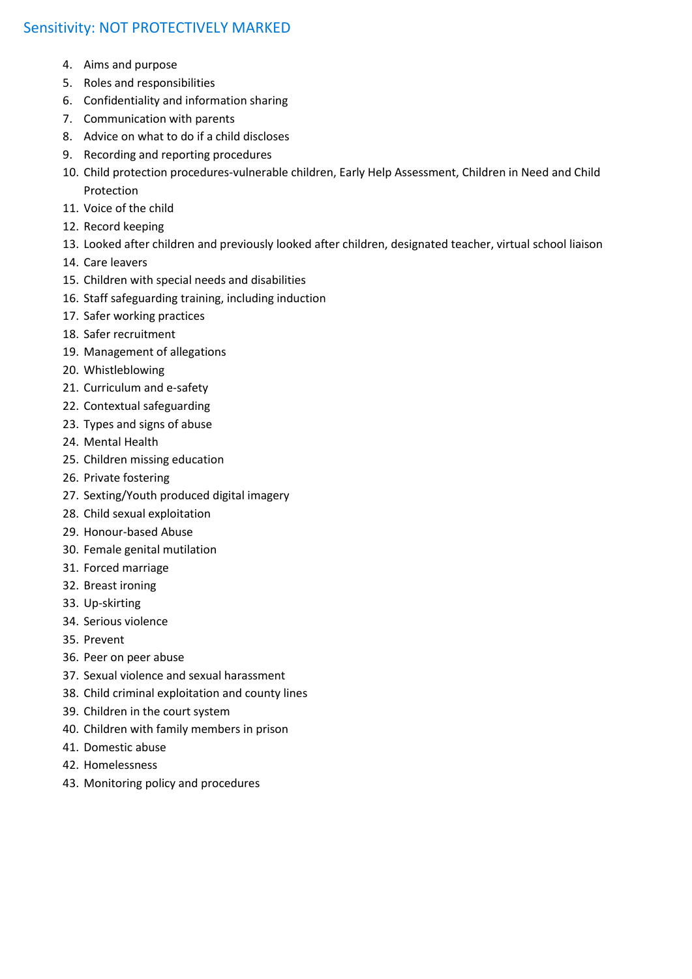- 4. Aims and purpose
- 5. Roles and responsibilities
- 6. Confidentiality and information sharing
- 7. Communication with parents
- 8. Advice on what to do if a child discloses
- 9. Recording and reporting procedures
- 10. Child protection procedures-vulnerable children, Early Help Assessment, Children in Need and Child Protection
- 11. Voice of the child
- 12. Record keeping
- 13. Looked after children and previously looked after children, designated teacher, virtual school liaison
- 14. Care leavers
- 15. Children with special needs and disabilities
- 16. Staff safeguarding training, including induction
- 17. Safer working practices
- 18. Safer recruitment
- 19. Management of allegations
- 20. Whistleblowing
- 21. Curriculum and e-safety
- 22. Contextual safeguarding
- 23. Types and signs of abuse
- 24. Mental Health
- 25. Children missing education
- 26. Private fostering
- 27. Sexting/Youth produced digital imagery
- 28. Child sexual exploitation
- 29. Honour-based Abuse
- 30. Female genital mutilation
- 31. Forced marriage
- 32. Breast ironing
- 33. Up-skirting
- 34. Serious violence
- 35. Prevent
- 36. Peer on peer abuse
- 37. Sexual violence and sexual harassment
- 38. Child criminal exploitation and county lines
- 39. Children in the court system
- 40. Children with family members in prison
- 41. Domestic abuse
- 42. Homelessness
- 43. Monitoring policy and procedures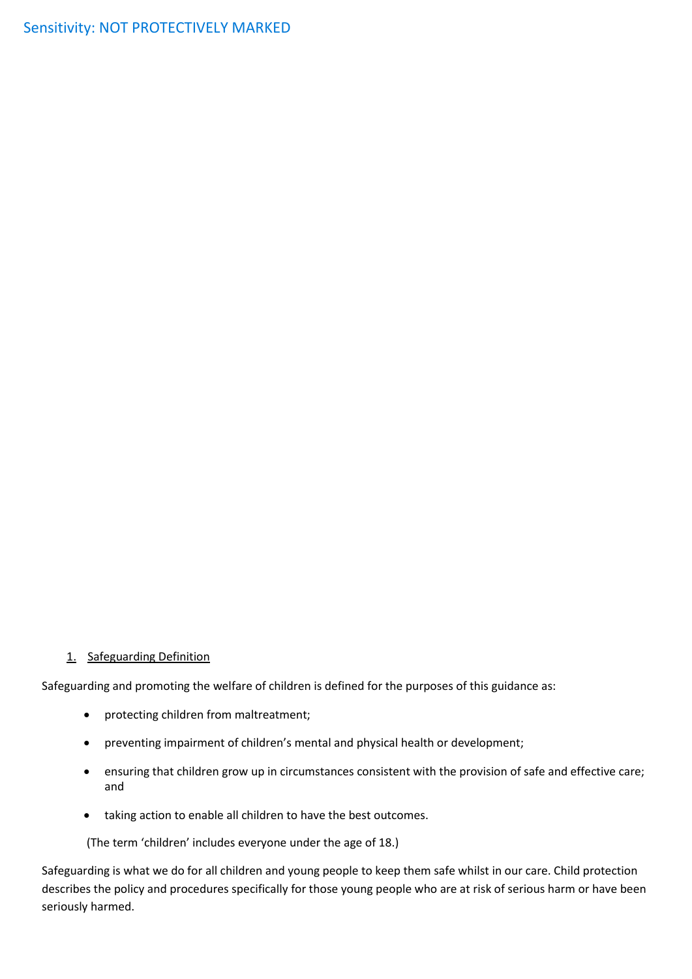#### 1. Safeguarding Definition

Safeguarding and promoting the welfare of children is defined for the purposes of this guidance as:

- protecting children from maltreatment;
- preventing impairment of children's mental and physical health or development;
- ensuring that children grow up in circumstances consistent with the provision of safe and effective care; and
- taking action to enable all children to have the best outcomes.

(The term 'children' includes everyone under the age of 18.)

Safeguarding is what we do for all children and young people to keep them safe whilst in our care. Child protection describes the policy and procedures specifically for those young people who are at risk of serious harm or have been seriously harmed.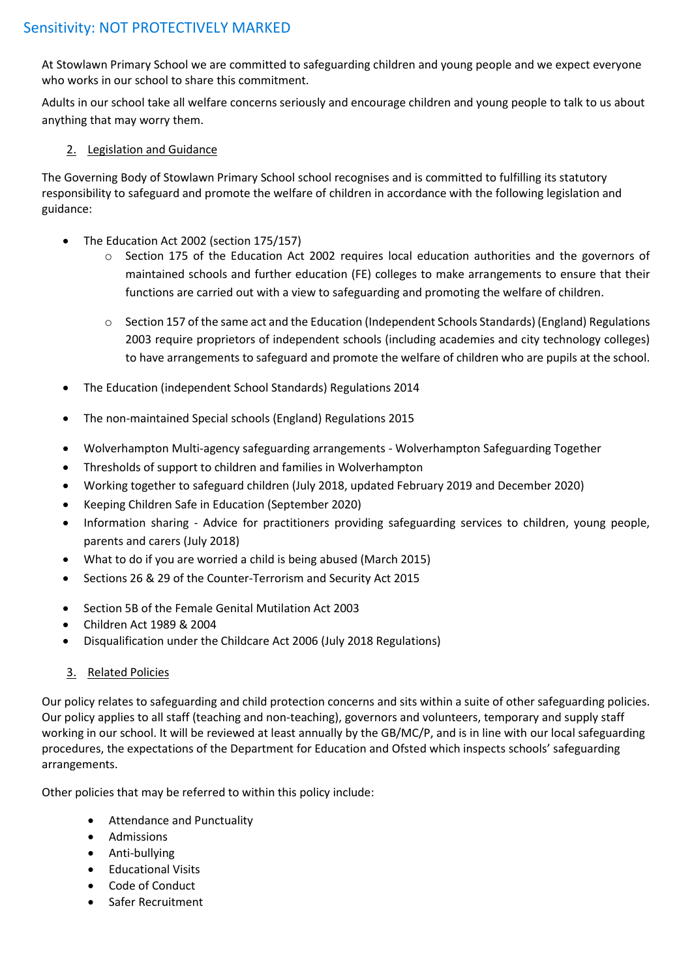At Stowlawn Primary School we are committed to safeguarding children and young people and we expect everyone who works in our school to share this commitment.

Adults in our school take all welfare concerns seriously and encourage children and young people to talk to us about anything that may worry them.

# 2. Legislation and Guidance

The Governing Body of Stowlawn Primary School school recognises and is committed to fulfilling its statutory responsibility to safeguard and promote the welfare of children in accordance with the following legislation and guidance:

- [The Education Act 2002](http://www.legislation.gov.uk/ukpga/2002/32/contents) (section 175/157)
	- o [Section 175 of the Education Act 2002](http://www.opsi.gov.uk/ACTS/acts2002/ukpga_20020032_en_15) requires local education authorities and the governors of maintained schools and further education (FE) colleges to make arrangements to ensure that their functions are carried out with a view to safeguarding and promoting the welfare of children.
	- $\circ$  [Section 157](http://www.opsi.gov.uk/ACTS/acts2002/ukpga_20020032_en_14) of the same act and the Education (Independent Schools Standards) (England) Regulations [2003](http://www.opsi.gov.uk/SI/si2003/20031910.htm) require proprietors of independent schools (including academies and city technology colleges) to have arrangements to safeguard and promote the welfare of children who are pupils at the school.
- The Education (independent School Standards) Regulations 2014
- The non-maintained Special schools (England) Regulations 2015
- [Wolverhampton Multi-agency safeguarding arrangements](http://sandwelllscb.proceduresonline.com/index.html) Wolverhampton Safeguarding Together
- Thresholds of support to children and families in Wolverhampton
- [Working together to](https://www.gov.uk/government/publications/working-together-to-safeguard-children--2) safeguard children (July 2018, updated February 2019 and December 2020)
- [Keeping Children Safe in Education](https://www.gov.uk/government/publications/keeping-children-safe-in-education--2) (September 2020)
- Information sharing Advice for practitioners providing safeguarding services to children, young people, parents and carers (July 2018)
- What to do if you are worried a child is being abused (March 2015)
- [Sections 26 & 29 of the Counter-Terrorism and Security Act 2015](http://www.legislation.gov.uk/ukpga/2015/6/section/26/enacted)
- [Section 5B of the Female Genital Mutilation Act 2003](http://www.legislation.gov.uk/ukpga/2015/9/part/5/crossheading/female-genital-mutilation/enacted)
- Children Act 1989 & 2004
- Disqualification under the Childcare Act 2006 (July 2018 Regulations)

# 3. Related Policies

Our policy relates to safeguarding and child protection concerns and sits within a suite of other safeguarding policies. Our policy applies to all staff (teaching and non-teaching), governors and volunteers, temporary and supply staff working in our school. It will be reviewed at least annually by the GB/MC/P, and is in line with our local safeguarding procedures, the expectations of the Department for Education and Ofsted which inspects schools' safeguarding arrangements.

Other policies that may be referred to within this policy include:

- Attendance and Punctuality
- Admissions
- Anti-bullying
- Educational Visits
- Code of Conduct
- Safer Recruitment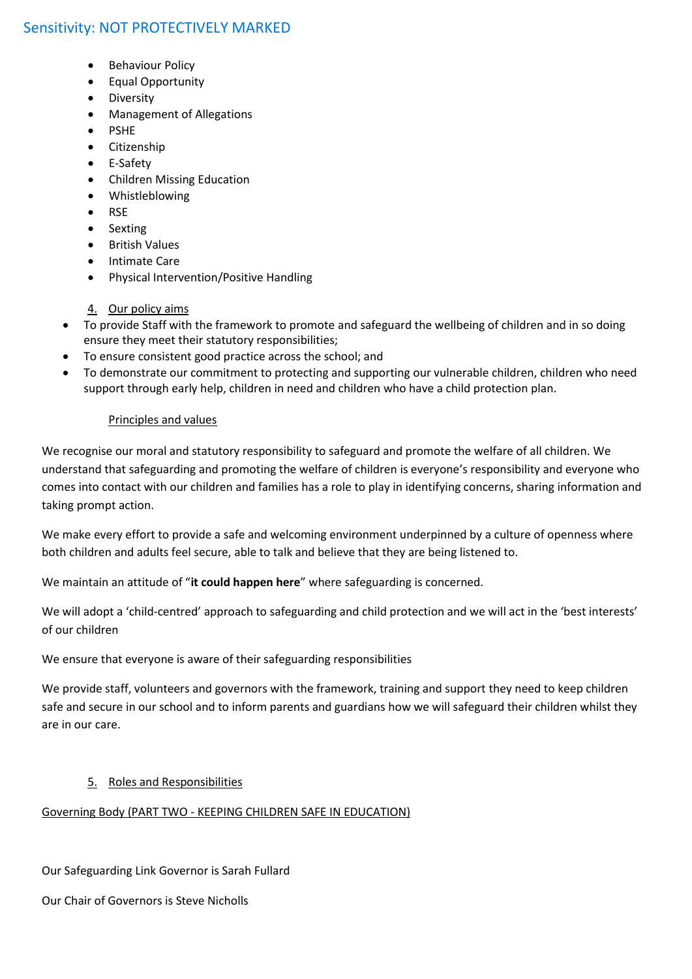- Behaviour Policy
- Equal Opportunity
- Diversity
- Management of Allegations
- PSHE
- Citizenship
- E-Safety
- Children Missing Education
- Whistleblowing
- RSE
- Sexting
- British Values
- Intimate Care
- Physical Intervention/Positive Handling
- 4. Our policy aims
- To provide Staff with the framework to promote and safeguard the wellbeing of children and in so doing ensure they meet their statutory responsibilities;
- To ensure consistent good practice across the school; and
- To demonstrate our commitment to protecting and supporting our vulnerable children, children who need support through early help, children in need and children who have a child protection plan.

# Principles and values

We recognise our moral and statutory responsibility to safeguard and promote the welfare of all children. We understand that safeguarding and promoting the welfare of children is everyone's responsibility and everyone who comes into contact with our children and families has a role to play in identifying concerns, sharing information and taking prompt action.

We make every effort to provide a safe and welcoming environment underpinned by a culture of openness where both children and adults feel secure, able to talk and believe that they are being listened to.

We maintain an attitude of "**it could happen here**" where safeguarding is concerned.

We will adopt a 'child-centred' approach to safeguarding and child protection and we will act in the 'best interests' of our children

We ensure that everyone is aware of their safeguarding responsibilities

We provide staff, volunteers and governors with the framework, training and support they need to keep children safe and secure in our school and to inform parents and guardians how we will safeguard their children whilst they are in our care.

# 5. Roles and Responsibilities

# Governing Body (PART TWO - KEEPING CHILDREN SAFE IN EDUCATION)

Our Safeguarding Link Governor is Sarah Fullard

Our Chair of Governors is Steve Nicholls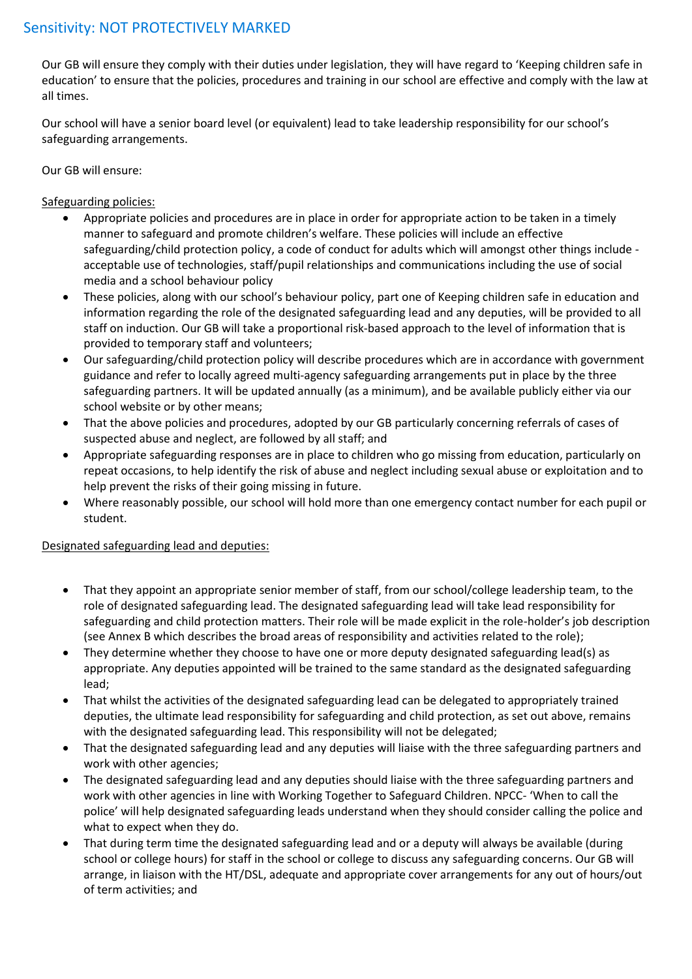Our GB will ensure they comply with their duties under legislation, they will have regard to 'Keeping children safe in education' to ensure that the policies, procedures and training in our school are effective and comply with the law at all times.

Our school will have a senior board level (or equivalent) lead to take leadership responsibility for our school's safeguarding arrangements.

Our GB will ensure:

# Safeguarding policies:

- Appropriate policies and procedures are in place in order for appropriate action to be taken in a timely manner to safeguard and promote children's welfare. These policies will include an effective safeguarding/child protection policy, a code of conduct for adults which will amongst other things include acceptable use of technologies, staff/pupil relationships and communications including the use of social media and a school behaviour policy
- These policies, along with our school's behaviour policy, part one of Keeping children safe in education and information regarding the role of the designated safeguarding lead and any deputies, will be provided to all staff on induction. Our GB will take a proportional risk-based approach to the level of information that is provided to temporary staff and volunteers;
- Our safeguarding/child protection policy will describe procedures which are in accordance with government guidance and refer to locally agreed multi-agency safeguarding arrangements put in place by the three safeguarding partners. It will be updated annually (as a minimum), and be available publicly either via our school website or by other means;
- That the above policies and procedures, adopted by our GB particularly concerning referrals of cases of suspected abuse and neglect, are followed by all staff; and
- Appropriate safeguarding responses are in place to children who go missing from education, particularly on repeat occasions, to help identify the risk of abuse and neglect including sexual abuse or exploitation and to help prevent the risks of their going missing in future.
- Where reasonably possible, our school will hold more than one emergency contact number for each pupil or student.

# Designated safeguarding lead and deputies:

- That they appoint an appropriate senior member of staff, from our school/college leadership team, to the role of designated safeguarding lead. The designated safeguarding lead will take lead responsibility for safeguarding and child protection matters. Their role will be made explicit in the role-holder's job description (see Annex B which describes the broad areas of responsibility and activities related to the role);
- They determine whether they choose to have one or more deputy designated safeguarding lead(s) as appropriate. Any deputies appointed will be trained to the same standard as the designated safeguarding lead;
- That whilst the activities of the designated safeguarding lead can be delegated to appropriately trained deputies, the ultimate lead responsibility for safeguarding and child protection, as set out above, remains with the designated safeguarding lead. This responsibility will not be delegated;
- That the designated safeguarding lead and any deputies will liaise with the three safeguarding partners and work with other agencies;
- The designated safeguarding lead and any deputies should liaise with the three safeguarding partners and work with other agencies in line with Working Together to Safeguard Children. NPCC- 'When to call the police' will help designated safeguarding leads understand when they should consider calling the police and what to expect when they do.
- That during term time the designated safeguarding lead and or a deputy will always be available (during school or college hours) for staff in the school or college to discuss any safeguarding concerns. Our GB will arrange, in liaison with the HT/DSL, adequate and appropriate cover arrangements for any out of hours/out of term activities; and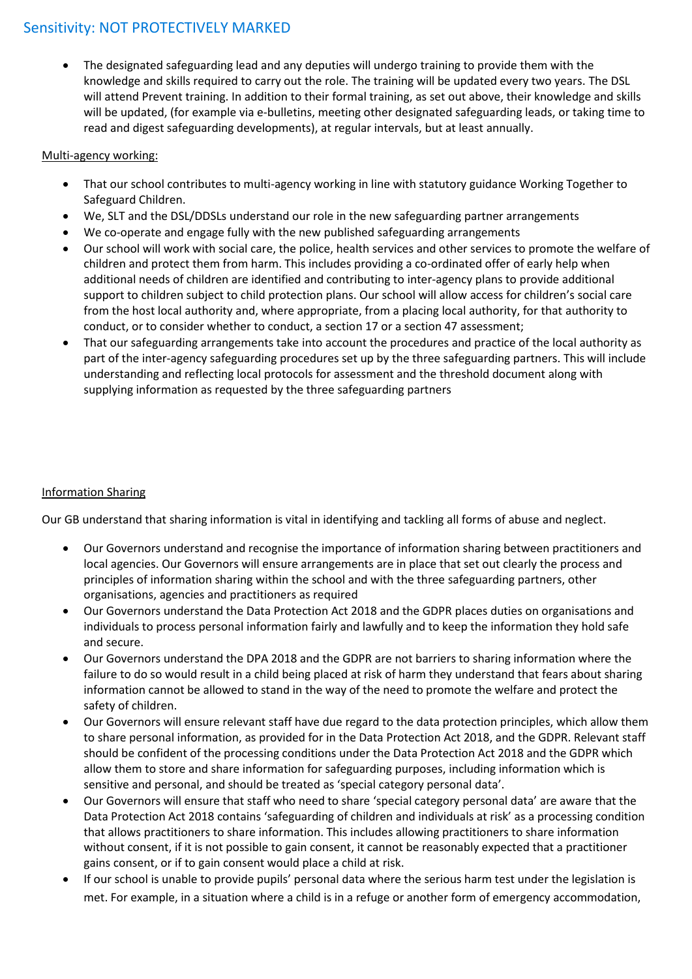The designated safeguarding lead and any deputies will undergo training to provide them with the knowledge and skills required to carry out the role. The training will be updated every two years. The DSL will attend Prevent training. In addition to their formal training, as set out above, their knowledge and skills will be updated, (for example via e-bulletins, meeting other designated safeguarding leads, or taking time to read and digest safeguarding developments), at regular intervals, but at least annually.

# Multi-agency working:

- That our school contributes to multi-agency working in line with statutory guidance Working Together to Safeguard Children.
- We, SLT and the DSL/DDSLs understand our role in the new safeguarding partner arrangements
- We co-operate and engage fully with the new published safeguarding arrangements
- Our school will work with social care, the police, health services and other services to promote the welfare of children and protect them from harm. This includes providing a co-ordinated offer of early help when additional needs of children are identified and contributing to inter-agency plans to provide additional support to children subject to child protection plans. Our school will allow access for children's social care from the host local authority and, where appropriate, from a placing local authority, for that authority to conduct, or to consider whether to conduct, a section 17 or a section 47 assessment;
- That our safeguarding arrangements take into account the procedures and practice of the local authority as part of the inter-agency safeguarding procedures set up by the three safeguarding partners. This will include understanding and reflecting local protocols for assessment and the threshold document along with supplying information as requested by the three safeguarding partners

# Information Sharing

Our GB understand that sharing information is vital in identifying and tackling all forms of abuse and neglect.

- Our Governors understand and recognise the importance of information sharing between practitioners and local agencies. Our Governors will ensure arrangements are in place that set out clearly the process and principles of information sharing within the school and with the three safeguarding partners, other organisations, agencies and practitioners as required
- Our Governors understand the Data Protection Act 2018 and the GDPR places duties on organisations and individuals to process personal information fairly and lawfully and to keep the information they hold safe and secure.
- Our Governors understand the DPA 2018 and the GDPR are not barriers to sharing information where the failure to do so would result in a child being placed at risk of harm they understand that fears about sharing information cannot be allowed to stand in the way of the need to promote the welfare and protect the safety of children.
- Our Governors will ensure relevant staff have due regard to the data protection principles, which allow them to share personal information, as provided for in the Data Protection Act 2018, and the GDPR. Relevant staff should be confident of the processing conditions under the Data Protection Act 2018 and the GDPR which allow them to store and share information for safeguarding purposes, including information which is sensitive and personal, and should be treated as 'special category personal data'.
- Our Governors will ensure that staff who need to share 'special category personal data' are aware that the Data Protection Act 2018 contains 'safeguarding of children and individuals at risk' as a processing condition that allows practitioners to share information. This includes allowing practitioners to share information without consent, if it is not possible to gain consent, it cannot be reasonably expected that a practitioner gains consent, or if to gain consent would place a child at risk.
- If our school is unable to provide pupils' personal data where the serious harm test under the legislation is met. For example, in a situation where a child is in a refuge or another form of emergency accommodation,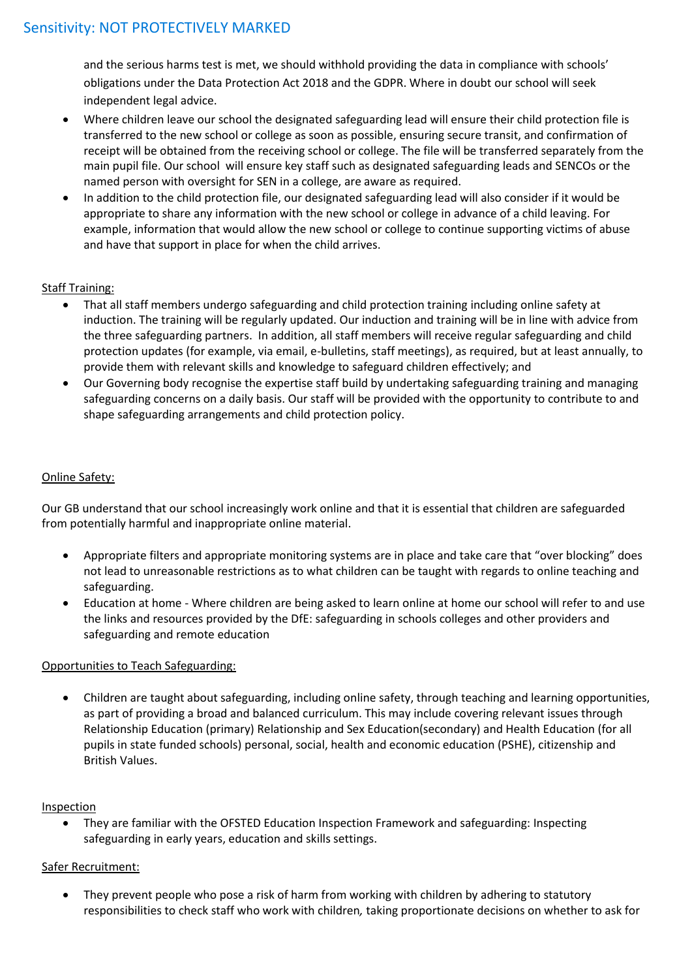and the serious harms test is met, we should withhold providing the data in compliance with schools' obligations under the Data Protection Act 2018 and the GDPR. Where in doubt our school will seek independent legal advice.

- Where children leave our school the designated safeguarding lead will ensure their child protection file is transferred to the new school or college as soon as possible, ensuring secure transit, and confirmation of receipt will be obtained from the receiving school or college. The file will be transferred separately from the main pupil file. Our school will ensure key staff such as designated safeguarding leads and SENCOs or the named person with oversight for SEN in a college, are aware as required.
- In addition to the child protection file, our designated safeguarding lead will also consider if it would be appropriate to share any information with the new school or college in advance of a child leaving. For example, information that would allow the new school or college to continue supporting victims of abuse and have that support in place for when the child arrives.

# Staff Training:

- That all staff members undergo safeguarding and child protection training including online safety at induction. The training will be regularly updated. Our induction and training will be in line with advice from the three safeguarding partners. In addition, all staff members will receive regular safeguarding and child protection updates (for example, via email, e-bulletins, staff meetings), as required, but at least annually, to provide them with relevant skills and knowledge to safeguard children effectively; and
- Our Governing body recognise the expertise staff build by undertaking safeguarding training and managing safeguarding concerns on a daily basis. Our staff will be provided with the opportunity to contribute to and shape safeguarding arrangements and child protection policy.

# Online Safety:

Our GB understand that our school increasingly work online and that it is essential that children are safeguarded from potentially harmful and inappropriate online material.

- Appropriate filters and appropriate monitoring systems are in place and take care that "over blocking" does not lead to unreasonable restrictions as to what children can be taught with regards to online teaching and safeguarding.
- Education at home Where children are being asked to learn online at home our school will refer to and use the links and resources provided by the DfE: safeguarding in schools colleges and other providers and safeguarding and remote education

# Opportunities to Teach Safeguarding:

 Children are taught about safeguarding, including online safety, through teaching and learning opportunities, as part of providing a broad and balanced curriculum. This may include covering relevant issues through Relationship Education (primary) Relationship and Sex Education(secondary) and Health Education (for all pupils in state funded schools) personal, social, health and economic education (PSHE), citizenship and British Values.

# **Inspection**

 They are familiar with the OFSTED Education Inspection Framework and safeguarding: Inspecting safeguarding in early years, education and skills settings.

# Safer Recruitment:

 They prevent people who pose a risk of harm from working with children by adhering to statutory responsibilities to check staff who work with children*,* taking proportionate decisions on whether to ask for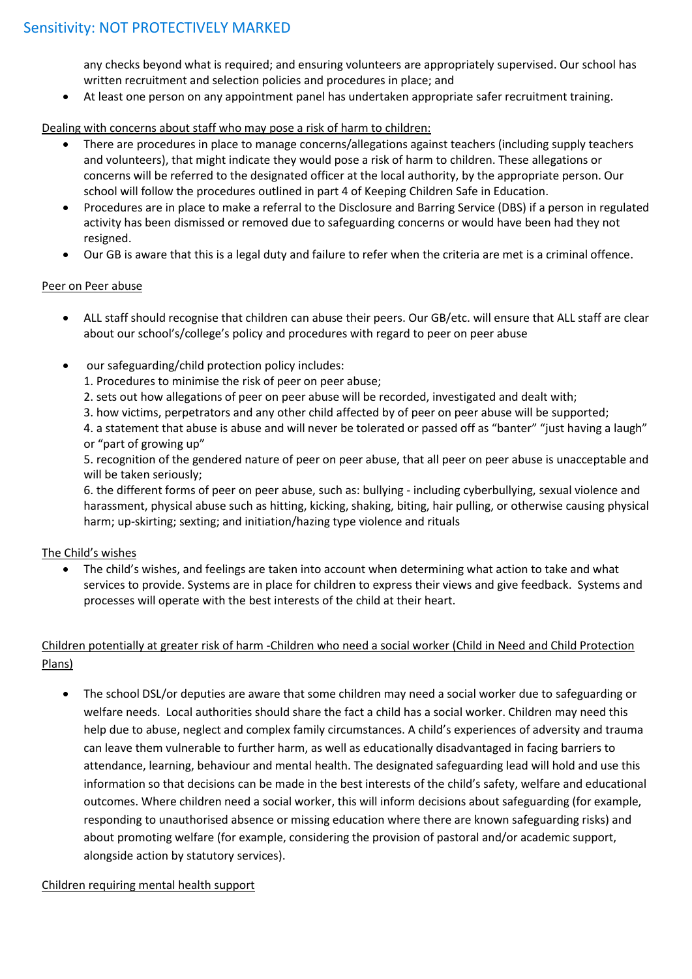any checks beyond what is required; and ensuring volunteers are appropriately supervised. Our school has written recruitment and selection policies and procedures in place; and

At least one person on any appointment panel has undertaken appropriate safer recruitment training.

#### Dealing with concerns about staff who may pose a risk of harm to children:

- There are procedures in place to manage concerns/allegations against teachers (including supply teachers and volunteers), that might indicate they would pose a risk of harm to children. These allegations or concerns will be referred to the designated officer at the local authority, by the appropriate person. Our school will follow the procedures outlined in part 4 of Keeping Children Safe in Education.
- Procedures are in place to make a referral to the Disclosure and Barring Service (DBS) if a person in regulated activity has been dismissed or removed due to safeguarding concerns or would have been had they not resigned.
- Our GB is aware that this is a legal duty and failure to refer when the criteria are met is a criminal offence.

#### Peer on Peer abuse

- ALL staff should recognise that children can abuse their peers. Our GB/etc. will ensure that ALL staff are clear about our school's/college's policy and procedures with regard to peer on peer abuse
- our safeguarding/child protection policy includes:
	- 1. Procedures to minimise the risk of peer on peer abuse;
	- 2. sets out how allegations of peer on peer abuse will be recorded, investigated and dealt with;
	- 3. how victims, perpetrators and any other child affected by of peer on peer abuse will be supported;

4. a statement that abuse is abuse and will never be tolerated or passed off as "banter" "just having a laugh" or "part of growing up"

5. recognition of the gendered nature of peer on peer abuse, that all peer on peer abuse is unacceptable and will be taken seriously;

6. the different forms of peer on peer abuse, such as: bullying - including cyberbullying, sexual violence and harassment, physical abuse such as hitting, kicking, shaking, biting, hair pulling, or otherwise causing physical harm; up-skirting; sexting; and initiation/hazing type violence and rituals

# The Child's wishes

 The child's wishes, and feelings are taken into account when determining what action to take and what services to provide. Systems are in place for children to express their views and give feedback. Systems and processes will operate with the best interests of the child at their heart.

# Children potentially at greater risk of harm -Children who need a social worker (Child in Need and Child Protection Plans)

 The school DSL/or deputies are aware that some children may need a social worker due to safeguarding or welfare needs. Local authorities should share the fact a child has a social worker. Children may need this help due to abuse, neglect and complex family circumstances. A child's experiences of adversity and trauma can leave them vulnerable to further harm, as well as educationally disadvantaged in facing barriers to attendance, learning, behaviour and mental health. The designated safeguarding lead will hold and use this information so that decisions can be made in the best interests of the child's safety, welfare and educational outcomes. Where children need a social worker, this will inform decisions about safeguarding (for example, responding to unauthorised absence or missing education where there are known safeguarding risks) and about promoting welfare (for example, considering the provision of pastoral and/or academic support, alongside action by statutory services).

#### Children requiring mental health support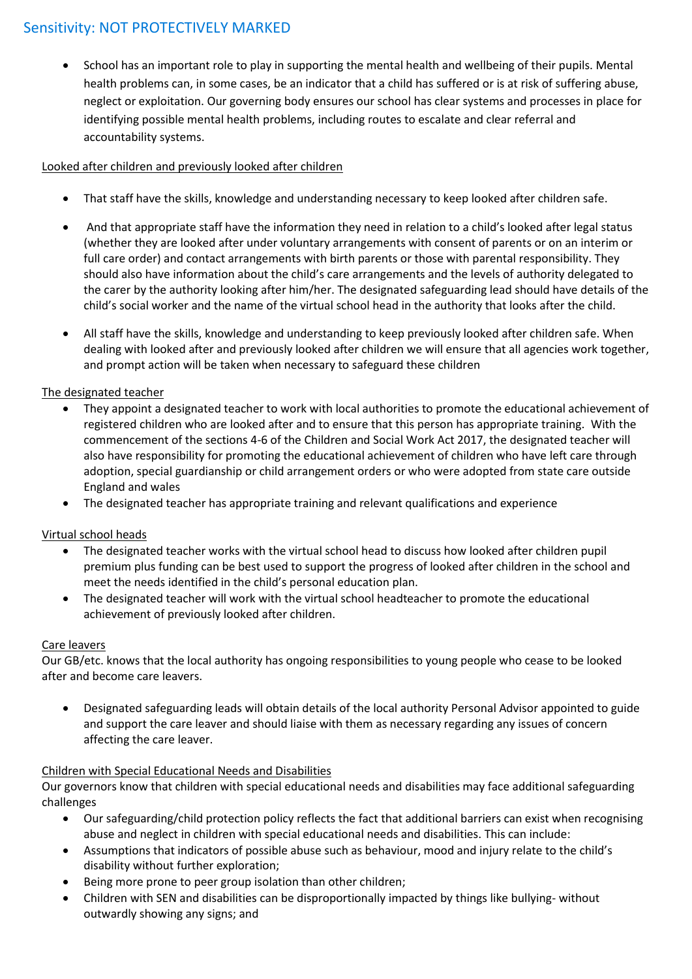School has an important role to play in supporting the mental health and wellbeing of their pupils. Mental health problems can, in some cases, be an indicator that a child has suffered or is at risk of suffering abuse, neglect or exploitation. Our governing body ensures our school has clear systems and processes in place for identifying possible mental health problems, including routes to escalate and clear referral and accountability systems.

# Looked after children and previously looked after children

- That staff have the skills, knowledge and understanding necessary to keep looked after children safe.
- And that appropriate staff have the information they need in relation to a child's looked after legal status (whether they are looked after under voluntary arrangements with consent of parents or on an interim or full care order) and contact arrangements with birth parents or those with parental responsibility. They should also have information about the child's care arrangements and the levels of authority delegated to the carer by the authority looking after him/her. The designated safeguarding lead should have details of the child's social worker and the name of the virtual school head in the authority that looks after the child.
- All staff have the skills, knowledge and understanding to keep previously looked after children safe. When dealing with looked after and previously looked after children we will ensure that all agencies work together, and prompt action will be taken when necessary to safeguard these children

# The designated teacher

- They appoint a designated teacher to work with local authorities to promote the educational achievement of registered children who are looked after and to ensure that this person has appropriate training. With the commencement of the sections 4-6 of the Children and Social Work Act 2017, the designated teacher will also have responsibility for promoting the educational achievement of children who have left care through adoption, special guardianship or child arrangement orders or who were adopted from state care outside England and wales
- The designated teacher has appropriate training and relevant qualifications and experience

# Virtual school heads

- The designated teacher works with the virtual school head to discuss how looked after children pupil premium plus funding can be best used to support the progress of looked after children in the school and meet the needs identified in the child's personal education plan.
- The designated teacher will work with the virtual school headteacher to promote the educational achievement of previously looked after children.

# Care leavers

Our GB/etc. knows that the local authority has ongoing responsibilities to young people who cease to be looked after and become care leavers.

 Designated safeguarding leads will obtain details of the local authority Personal Advisor appointed to guide and support the care leaver and should liaise with them as necessary regarding any issues of concern affecting the care leaver.

# Children with Special Educational Needs and Disabilities

Our governors know that children with special educational needs and disabilities may face additional safeguarding challenges

- Our safeguarding/child protection policy reflects the fact that additional barriers can exist when recognising abuse and neglect in children with special educational needs and disabilities. This can include:
- Assumptions that indicators of possible abuse such as behaviour, mood and injury relate to the child's disability without further exploration;
- Being more prone to peer group isolation than other children;
- Children with SEN and disabilities can be disproportionally impacted by things like bullying- without outwardly showing any signs; and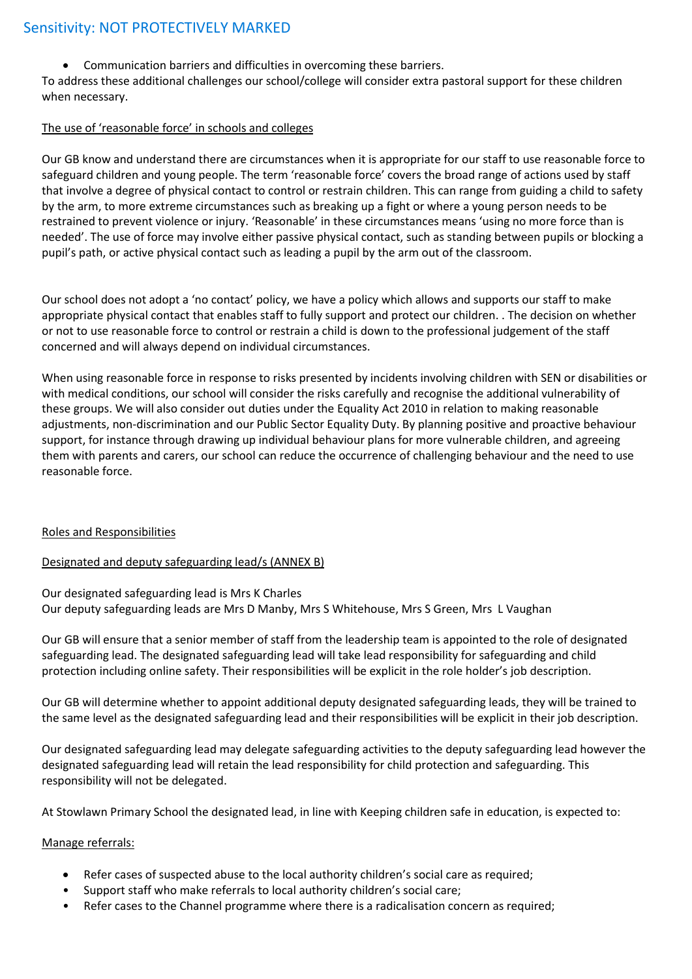Communication barriers and difficulties in overcoming these barriers.

To address these additional challenges our school/college will consider extra pastoral support for these children when necessary.

#### The use of 'reasonable force' in schools and colleges

Our GB know and understand there are circumstances when it is appropriate for our staff to use reasonable force to safeguard children and young people. The term 'reasonable force' covers the broad range of actions used by staff that involve a degree of physical contact to control or restrain children. This can range from guiding a child to safety by the arm, to more extreme circumstances such as breaking up a fight or where a young person needs to be restrained to prevent violence or injury. 'Reasonable' in these circumstances means 'using no more force than is needed'. The use of force may involve either passive physical contact, such as standing between pupils or blocking a pupil's path, or active physical contact such as leading a pupil by the arm out of the classroom.

Our school does not adopt a 'no contact' policy, we have a policy which allows and supports our staff to make appropriate physical contact that enables staff to fully support and protect our children. . The decision on whether or not to use reasonable force to control or restrain a child is down to the professional judgement of the staff concerned and will always depend on individual circumstances.

When using reasonable force in response to risks presented by incidents involving children with SEN or disabilities or with medical conditions, our school will consider the risks carefully and recognise the additional vulnerability of these groups. We will also consider out duties under the Equality Act 2010 in relation to making reasonable adjustments, non-discrimination and our Public Sector Equality Duty. By planning positive and proactive behaviour support, for instance through drawing up individual behaviour plans for more vulnerable children, and agreeing them with parents and carers, our school can reduce the occurrence of challenging behaviour and the need to use reasonable force.

#### Roles and Responsibilities

# Designated and deputy safeguarding lead/s (ANNEX B)

Our designated safeguarding lead is Mrs K Charles Our deputy safeguarding leads are Mrs D Manby, Mrs S Whitehouse, Mrs S Green, Mrs L Vaughan

Our GB will ensure that a senior member of staff from the leadership team is appointed to the role of designated safeguarding lead. The designated safeguarding lead will take lead responsibility for safeguarding and child protection including online safety. Their responsibilities will be explicit in the role holder's job description.

Our GB will determine whether to appoint additional deputy designated safeguarding leads, they will be trained to the same level as the designated safeguarding lead and their responsibilities will be explicit in their job description.

Our designated safeguarding lead may delegate safeguarding activities to the deputy safeguarding lead however the designated safeguarding lead will retain the lead responsibility for child protection and safeguarding. This responsibility will not be delegated.

At Stowlawn Primary School the designated lead, in line with Keeping children safe in education, is expected to:

# Manage referrals:

- Refer cases of suspected abuse to the local authority children's social care as required;
- Support staff who make referrals to local authority children's social care;
- Refer cases to the Channel programme where there is a radicalisation concern as required;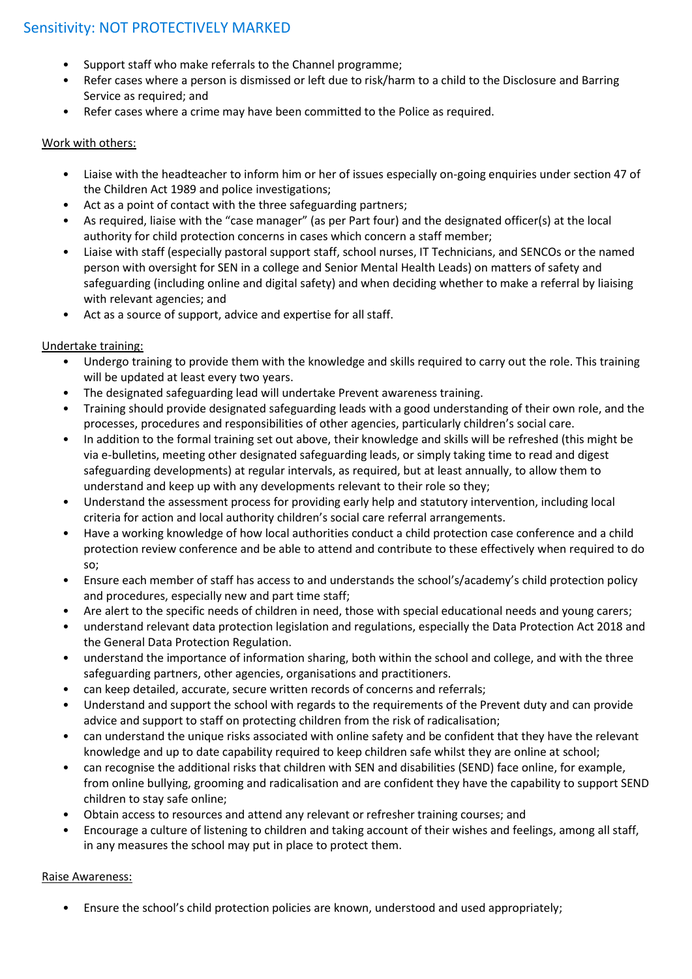- Support staff who make referrals to the Channel programme;
- Refer cases where a person is dismissed or left due to risk/harm to a child to the Disclosure and Barring Service as required; and
- Refer cases where a crime may have been committed to the Police as required.

# Work with others:

- Liaise with the headteacher to inform him or her of issues especially on-going enquiries under section 47 of the Children Act 1989 and police investigations;
- Act as a point of contact with the three safeguarding partners;
- As required, liaise with the "case manager" (as per Part four) and the designated officer(s) at the local authority for child protection concerns in cases which concern a staff member;
- Liaise with staff (especially pastoral support staff, school nurses, IT Technicians, and SENCOs or the named person with oversight for SEN in a college and Senior Mental Health Leads) on matters of safety and safeguarding (including online and digital safety) and when deciding whether to make a referral by liaising with relevant agencies; and
- Act as a source of support, advice and expertise for all staff.

# Undertake training:

- Undergo training to provide them with the knowledge and skills required to carry out the role. This training will be updated at least every two years.
- The designated safeguarding lead will undertake Prevent awareness training.
- Training should provide designated safeguarding leads with a good understanding of their own role, and the processes, procedures and responsibilities of other agencies, particularly children's social care.
- In addition to the formal training set out above, their knowledge and skills will be refreshed (this might be via e-bulletins, meeting other designated safeguarding leads, or simply taking time to read and digest safeguarding developments) at regular intervals, as required, but at least annually, to allow them to understand and keep up with any developments relevant to their role so they;
- Understand the assessment process for providing early help and statutory intervention, including local criteria for action and local authority children's social care referral arrangements.
- Have a working knowledge of how local authorities conduct a child protection case conference and a child protection review conference and be able to attend and contribute to these effectively when required to do so;
- Ensure each member of staff has access to and understands the school's/academy's child protection policy and procedures, especially new and part time staff;
- Are alert to the specific needs of children in need, those with special educational needs and young carers;
- understand relevant data protection legislation and regulations, especially the Data Protection Act 2018 and the General Data Protection Regulation.
- understand the importance of information sharing, both within the school and college, and with the three safeguarding partners, other agencies, organisations and practitioners.
- can keep detailed, accurate, secure written records of concerns and referrals;
- Understand and support the school with regards to the requirements of the Prevent duty and can provide advice and support to staff on protecting children from the risk of radicalisation;
- can understand the unique risks associated with online safety and be confident that they have the relevant knowledge and up to date capability required to keep children safe whilst they are online at school;
- can recognise the additional risks that children with SEN and disabilities (SEND) face online, for example, from online bullying, grooming and radicalisation and are confident they have the capability to support SEND children to stay safe online;
- Obtain access to resources and attend any relevant or refresher training courses; and
- Encourage a culture of listening to children and taking account of their wishes and feelings, among all staff, in any measures the school may put in place to protect them.

# Raise Awareness:

• Ensure the school's child protection policies are known, understood and used appropriately;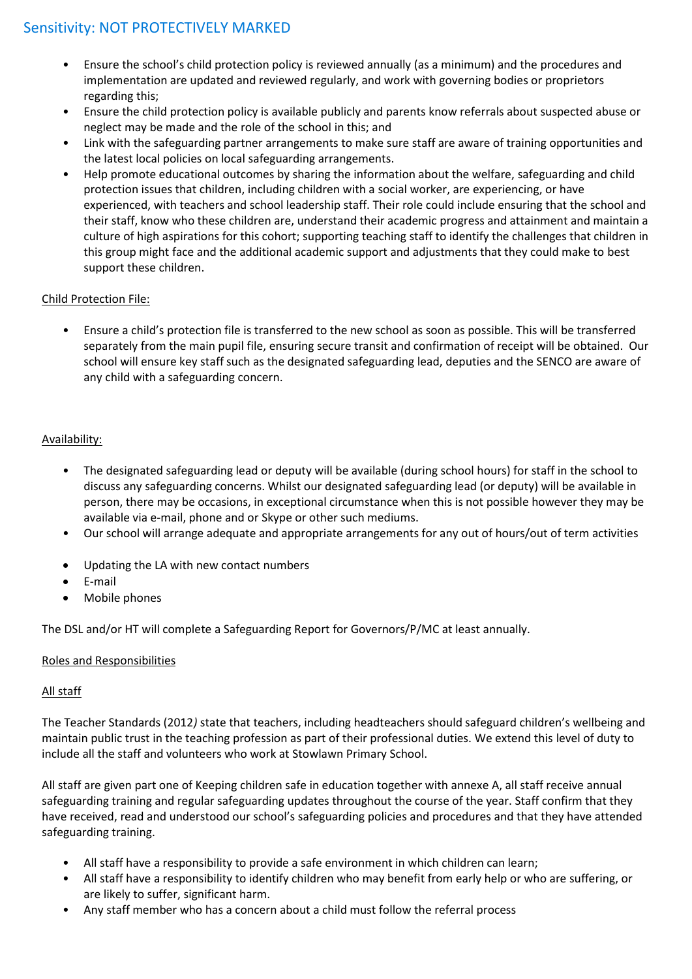- Ensure the school's child protection policy is reviewed annually (as a minimum) and the procedures and implementation are updated and reviewed regularly, and work with governing bodies or proprietors regarding this;
- Ensure the child protection policy is available publicly and parents know referrals about suspected abuse or neglect may be made and the role of the school in this; and
- Link with the safeguarding partner arrangements to make sure staff are aware of training opportunities and the latest local policies on local safeguarding arrangements.
- Help promote educational outcomes by sharing the information about the welfare, safeguarding and child protection issues that children, including children with a social worker, are experiencing, or have experienced, with teachers and school leadership staff. Their role could include ensuring that the school and their staff, know who these children are, understand their academic progress and attainment and maintain a culture of high aspirations for this cohort; supporting teaching staff to identify the challenges that children in this group might face and the additional academic support and adjustments that they could make to best support these children.

# Child Protection File:

• Ensure a child's protection file is transferred to the new school as soon as possible. This will be transferred separately from the main pupil file, ensuring secure transit and confirmation of receipt will be obtained. Our school will ensure key staff such as the designated safeguarding lead, deputies and the SENCO are aware of any child with a safeguarding concern.

# Availability:

- The designated safeguarding lead or deputy will be available (during school hours) for staff in the school to discuss any safeguarding concerns. Whilst our designated safeguarding lead (or deputy) will be available in person, there may be occasions, in exceptional circumstance when this is not possible however they may be available via e-mail, phone and or Skype or other such mediums.
- Our school will arrange adequate and appropriate arrangements for any out of hours/out of term activities
- Updating the LA with new contact numbers
- E-mail
- Mobile phones

The DSL and/or HT will complete a Safeguarding Report for Governors/P/MC at least annually.

# Roles and Responsibilities

# All staff

The Teacher Standards (2012*)* state that teachers, including headteachers should safeguard children's wellbeing and maintain public trust in the teaching profession as part of their professional duties. We extend this level of duty to include all the staff and volunteers who work at Stowlawn Primary School.

All staff are given part one of Keeping children safe in education together with annexe A, all staff receive annual safeguarding training and regular safeguarding updates throughout the course of the year. Staff confirm that they have received, read and understood our school's safeguarding policies and procedures and that they have attended safeguarding training.

- All staff have a responsibility to provide a safe environment in which children can learn;
- All staff have a responsibility to identify children who may benefit from early help or who are suffering, or are likely to suffer, significant harm.
- Any staff member who has a concern about a child must follow the referral process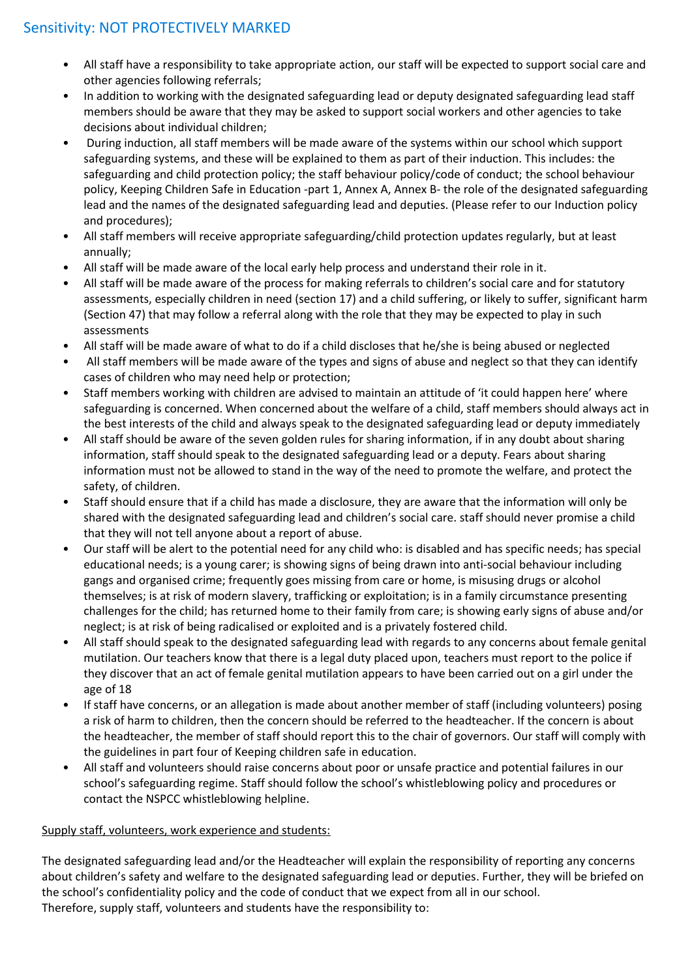- All staff have a responsibility to take appropriate action, our staff will be expected to support social care and other agencies following referrals;
- In addition to working with the designated safeguarding lead or deputy designated safeguarding lead staff members should be aware that they may be asked to support social workers and other agencies to take decisions about individual children;
- During induction, all staff members will be made aware of the systems within our school which support safeguarding systems, and these will be explained to them as part of their induction. This includes: the safeguarding and child protection policy; the staff behaviour policy/code of conduct; the school behaviour policy, Keeping Children Safe in Education -part 1, Annex A, Annex B- the role of the designated safeguarding lead and the names of the designated safeguarding lead and deputies. (Please refer to our Induction policy and procedures);
- All staff members will receive appropriate safeguarding/child protection updates regularly, but at least annually;
- All staff will be made aware of the local early help process and understand their role in it.
- All staff will be made aware of the process for making referrals to children's social care and for statutory assessments, especially children in need (section 17) and a child suffering, or likely to suffer, significant harm (Section 47) that may follow a referral along with the role that they may be expected to play in such assessments
- All staff will be made aware of what to do if a child discloses that he/she is being abused or neglected
- All staff members will be made aware of the types and signs of abuse and neglect so that they can identify cases of children who may need help or protection;
- Staff members working with children are advised to maintain an attitude of 'it could happen here' where safeguarding is concerned. When concerned about the welfare of a child, staff members should always act in the best interests of the child and always speak to the designated safeguarding lead or deputy immediately
- All staff should be aware of the seven golden rules for sharing information, if in any doubt about sharing information, staff should speak to the designated safeguarding lead or a deputy. Fears about sharing information must not be allowed to stand in the way of the need to promote the welfare, and protect the safety, of children.
- Staff should ensure that if a child has made a disclosure, they are aware that the information will only be shared with the designated safeguarding lead and children's social care. staff should never promise a child that they will not tell anyone about a report of abuse.
- Our staff will be alert to the potential need for any child who: is disabled and has specific needs; has special educational needs; is a young carer; is showing signs of being drawn into anti-social behaviour including gangs and organised crime; frequently goes missing from care or home, is misusing drugs or alcohol themselves; is at risk of modern slavery, trafficking or exploitation; is in a family circumstance presenting challenges for the child; has returned home to their family from care; is showing early signs of abuse and/or neglect; is at risk of being radicalised or exploited and is a privately fostered child.
- All staff should speak to the designated safeguarding lead with regards to any concerns about female genital mutilation. Our teachers know that there is a legal duty placed upon, teachers must report to the police if they discover that an act of female genital mutilation appears to have been carried out on a girl under the age of 18
- If staff have concerns, or an allegation is made about another member of staff (including volunteers) posing a risk of harm to children, then the concern should be referred to the headteacher. If the concern is about the headteacher, the member of staff should report this to the chair of governors. Our staff will comply with the guidelines in part four of Keeping children safe in education.
- All staff and volunteers should raise concerns about poor or unsafe practice and potential failures in our school's safeguarding regime. Staff should follow the school's whistleblowing policy and procedures or contact the NSPCC whistleblowing helpline.

# Supply staff, volunteers, work experience and students:

The designated safeguarding lead and/or the Headteacher will explain the responsibility of reporting any concerns about children's safety and welfare to the designated safeguarding lead or deputies. Further, they will be briefed on the school's confidentiality policy and the code of conduct that we expect from all in our school. Therefore, supply staff, volunteers and students have the responsibility to: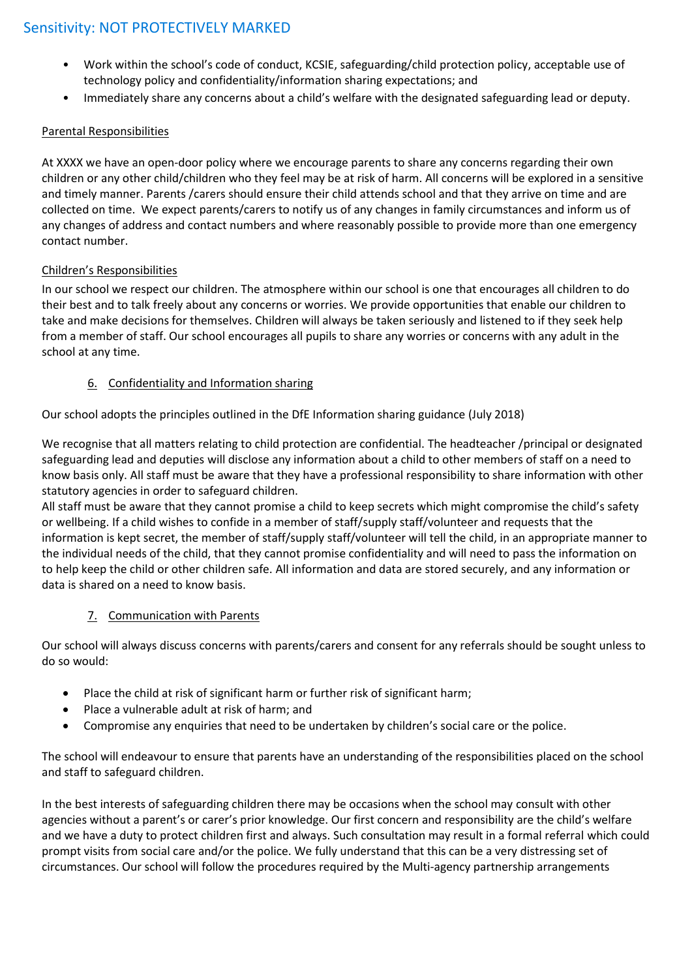- Work within the school's code of conduct, KCSIE, safeguarding/child protection policy, acceptable use of technology policy and confidentiality/information sharing expectations; and
- Immediately share any concerns about a child's welfare with the designated safeguarding lead or deputy.

# Parental Responsibilities

At XXXX we have an open-door policy where we encourage parents to share any concerns regarding their own children or any other child/children who they feel may be at risk of harm. All concerns will be explored in a sensitive and timely manner. Parents /carers should ensure their child attends school and that they arrive on time and are collected on time. We expect parents/carers to notify us of any changes in family circumstances and inform us of any changes of address and contact numbers and where reasonably possible to provide more than one emergency contact number.

# Children's Responsibilities

In our school we respect our children. The atmosphere within our school is one that encourages all children to do their best and to talk freely about any concerns or worries. We provide opportunities that enable our children to take and make decisions for themselves. Children will always be taken seriously and listened to if they seek help from a member of staff. Our school encourages all pupils to share any worries or concerns with any adult in the school at any time.

# 6. Confidentiality and Information sharing

Our school adopts the principles outlined in the DfE Information sharing guidance (July 2018)

We recognise that all matters relating to child protection are confidential. The headteacher /principal or designated safeguarding lead and deputies will disclose any information about a child to other members of staff on a need to know basis only. All staff must be aware that they have a professional responsibility to share information with other statutory agencies in order to safeguard children.

All staff must be aware that they cannot promise a child to keep secrets which might compromise the child's safety or wellbeing. If a child wishes to confide in a member of staff/supply staff/volunteer and requests that the information is kept secret, the member of staff/supply staff/volunteer will tell the child, in an appropriate manner to the individual needs of the child, that they cannot promise confidentiality and will need to pass the information on to help keep the child or other children safe. All information and data are stored securely, and any information or data is shared on a need to know basis.

# 7. Communication with Parents

Our school will always discuss concerns with parents/carers and consent for any referrals should be sought unless to do so would:

- Place the child at risk of significant harm or further risk of significant harm;
- Place a vulnerable adult at risk of harm; and
- Compromise any enquiries that need to be undertaken by children's social care or the police.

The school will endeavour to ensure that parents have an understanding of the responsibilities placed on the school and staff to safeguard children.

In the best interests of safeguarding children there may be occasions when the school may consult with other agencies without a parent's or carer's prior knowledge. Our first concern and responsibility are the child's welfare and we have a duty to protect children first and always. Such consultation may result in a formal referral which could prompt visits from social care and/or the police. We fully understand that this can be a very distressing set of circumstances. Our school will follow the procedures required by the Multi-agency partnership arrangements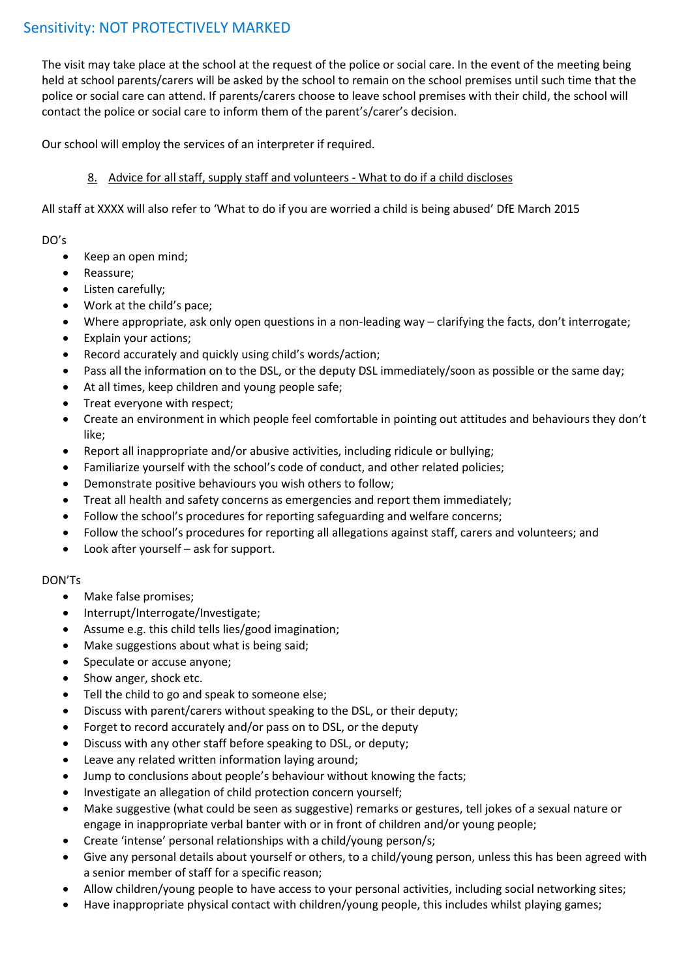The visit may take place at the school at the request of the police or social care. In the event of the meeting being held at school parents/carers will be asked by the school to remain on the school premises until such time that the police or social care can attend. If parents/carers choose to leave school premises with their child, the school will contact the police or social care to inform them of the parent's/carer's decision.

Our school will employ the services of an interpreter if required.

# 8. Advice for all staff, supply staff and volunteers - What to do if a child discloses

All staff at XXXX will also refer to 'What to do if you are worried a child is being abused' DfE March 2015

DO's

- Keep an open mind;
- Reassure;
- Listen carefully;
- Work at the child's pace;
- Where appropriate, ask only open questions in a non-leading way clarifying the facts, don't interrogate;
- Explain your actions;
- Record accurately and quickly using child's words/action;
- Pass all the information on to the DSL, or the deputy DSL immediately/soon as possible or the same day;
- At all times, keep children and young people safe;
- Treat everyone with respect;
- Create an environment in which people feel comfortable in pointing out attitudes and behaviours they don't like;
- Report all inappropriate and/or abusive activities, including ridicule or bullying;
- Familiarize yourself with the school's code of conduct, and other related policies;
- Demonstrate positive behaviours you wish others to follow;
- Treat all health and safety concerns as emergencies and report them immediately;
- Follow the school's procedures for reporting safeguarding and welfare concerns;
- Follow the school's procedures for reporting all allegations against staff, carers and volunteers; and
- Look after yourself ask for support.

# DON'Ts

- Make false promises;
- Interrupt/Interrogate/Investigate;
- Assume e.g. this child tells lies/good imagination;
- Make suggestions about what is being said;
- Speculate or accuse anyone;
- Show anger, shock etc.
- Tell the child to go and speak to someone else:
- Discuss with parent/carers without speaking to the DSL, or their deputy;
- Forget to record accurately and/or pass on to DSL, or the deputy
- Discuss with any other staff before speaking to DSL, or deputy;
- Leave any related written information laying around;
- Jump to conclusions about people's behaviour without knowing the facts;
- Investigate an allegation of child protection concern yourself;
- Make suggestive (what could be seen as suggestive) remarks or gestures, tell jokes of a sexual nature or engage in inappropriate verbal banter with or in front of children and/or young people;
- Create 'intense' personal relationships with a child/young person/s;
- Give any personal details about yourself or others, to a child/young person, unless this has been agreed with a senior member of staff for a specific reason;
- Allow children/young people to have access to your personal activities, including social networking sites;
- Have inappropriate physical contact with children/young people, this includes whilst playing games;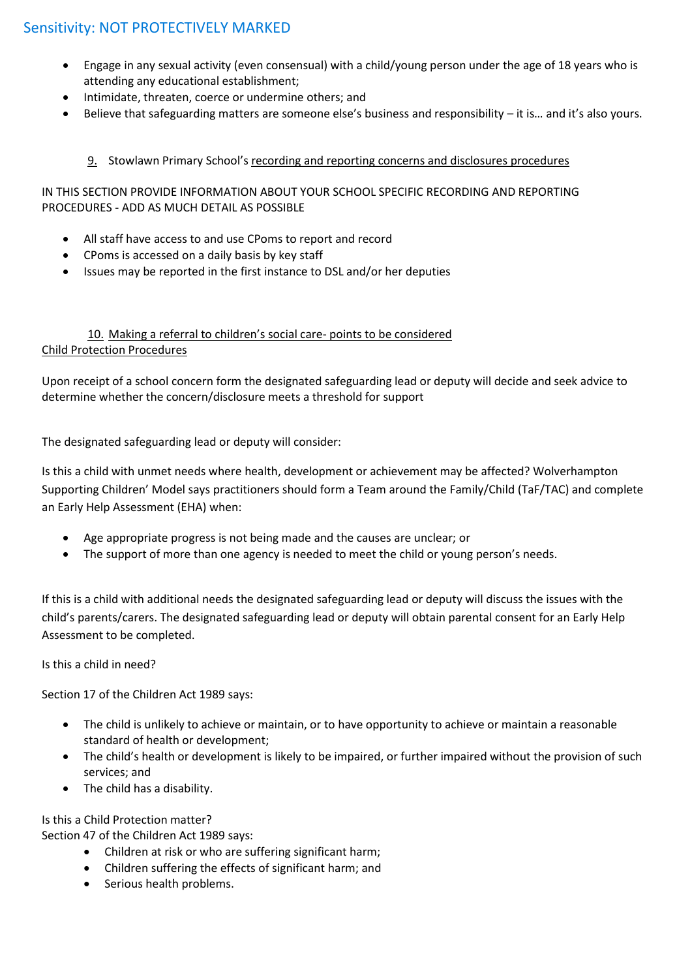- Engage in any sexual activity (even consensual) with a child/young person under the age of 18 years who is attending any educational establishment;
- Intimidate, threaten, coerce or undermine others; and
- Believe that safeguarding matters are someone else's business and responsibility it is… and it's also yours.

# 9. Stowlawn Primary School's recording and reporting concerns and disclosures procedures

# IN THIS SECTION PROVIDE INFORMATION ABOUT YOUR SCHOOL SPECIFIC RECORDING AND REPORTING PROCEDURES - ADD AS MUCH DETAIL AS POSSIBLE

- All staff have access to and use CPoms to report and record
- CPoms is accessed on a daily basis by key staff
- Issues may be reported in the first instance to DSL and/or her deputies

# 10. Making a referral to children's social care- points to be considered Child Protection Procedures

Upon receipt of a school concern form the designated safeguarding lead or deputy will decide and seek advice to determine whether the concern/disclosure meets a threshold for support

The designated safeguarding lead or deputy will consider:

Is this a child with unmet needs where health, development or achievement may be affected? Wolverhampton Supporting Children' Model says practitioners should form a Team around the Family/Child (TaF/TAC) and complete an Early Help Assessment (EHA) when:

- Age appropriate progress is not being made and the causes are unclear; or
- The support of more than one agency is needed to meet the child or young person's needs.

If this is a child with additional needs the designated safeguarding lead or deputy will discuss the issues with the child's parents/carers. The designated safeguarding lead or deputy will obtain parental consent for an Early Help Assessment to be completed.

# Is this a child in need?

Section 17 of the Children Act 1989 says:

- The child is unlikely to achieve or maintain, or to have opportunity to achieve or maintain a reasonable standard of health or development;
- The child's health or development is likely to be impaired, or further impaired without the provision of such services; and
- The child has a disability.

Is this a Child Protection matter?

Section 47 of the Children Act 1989 says:

- Children at risk or who are suffering significant harm;
- Children suffering the effects of significant harm; and
- Serious health problems.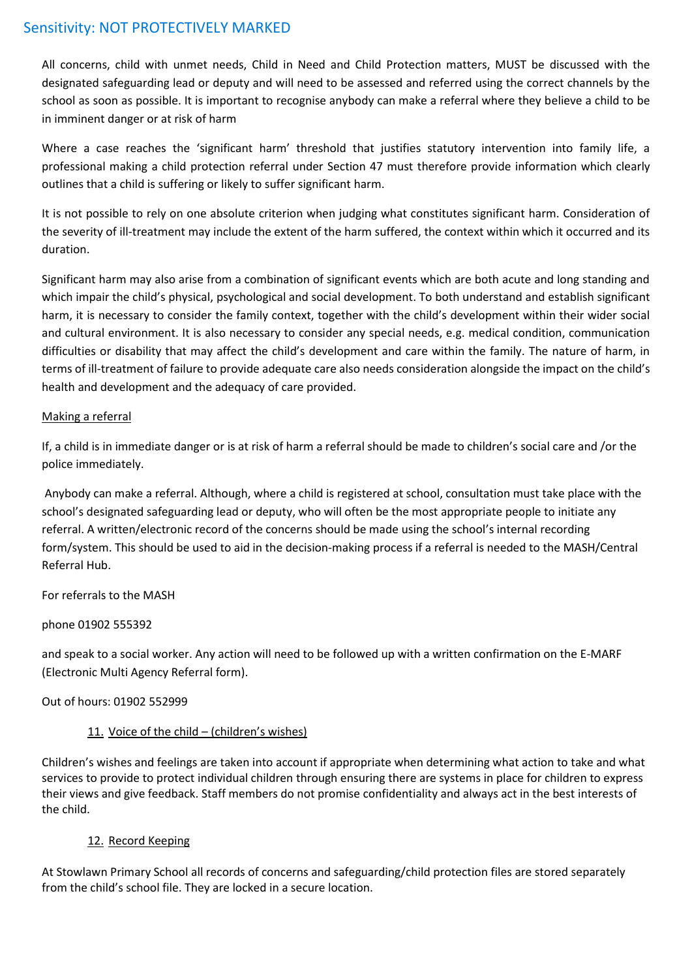All concerns, child with unmet needs, Child in Need and Child Protection matters, MUST be discussed with the designated safeguarding lead or deputy and will need to be assessed and referred using the correct channels by the school as soon as possible. It is important to recognise anybody can make a referral where they believe a child to be in imminent danger or at risk of harm

Where a case reaches the 'significant harm' threshold that justifies statutory intervention into family life, a professional making a child protection referral under Section 47 must therefore provide information which clearly outlines that a child is suffering or likely to suffer significant harm.

It is not possible to rely on one absolute criterion when judging what constitutes significant harm. Consideration of the severity of ill-treatment may include the extent of the harm suffered, the context within which it occurred and its duration.

Significant harm may also arise from a combination of significant events which are both acute and long standing and which impair the child's physical, psychological and social development. To both understand and establish significant harm, it is necessary to consider the family context, together with the child's development within their wider social and cultural environment. It is also necessary to consider any special needs, e.g. medical condition, communication difficulties or disability that may affect the child's development and care within the family. The nature of harm, in terms of ill-treatment of failure to provide adequate care also needs consideration alongside the impact on the child's health and development and the adequacy of care provided.

# Making a referral

If, a child is in immediate danger or is at risk of harm a referral should be made to children's social care and /or the police immediately.

Anybody can make a referral. Although, where a child is registered at school, consultation must take place with the school's designated safeguarding lead or deputy, who will often be the most appropriate people to initiate any referral. A written/electronic record of the concerns should be made using the school's internal recording form/system. This should be used to aid in the decision-making process if a referral is needed to the MASH/Central Referral Hub.

# For referrals to the MASH

# phone 01902 555392

and speak to a social worker. Any action will need to be followed up with a written confirmation on the E-MARF (Electronic Multi Agency Referral form).

# Out of hours: 01902 552999

# 11. Voice of the child – (children's wishes)

Children's wishes and feelings are taken into account if appropriate when determining what action to take and what services to provide to protect individual children through ensuring there are systems in place for children to express their views and give feedback. Staff members do not promise confidentiality and always act in the best interests of the child.

# 12. Record Keeping

At Stowlawn Primary School all records of concerns and safeguarding/child protection files are stored separately from the child's school file. They are locked in a secure location.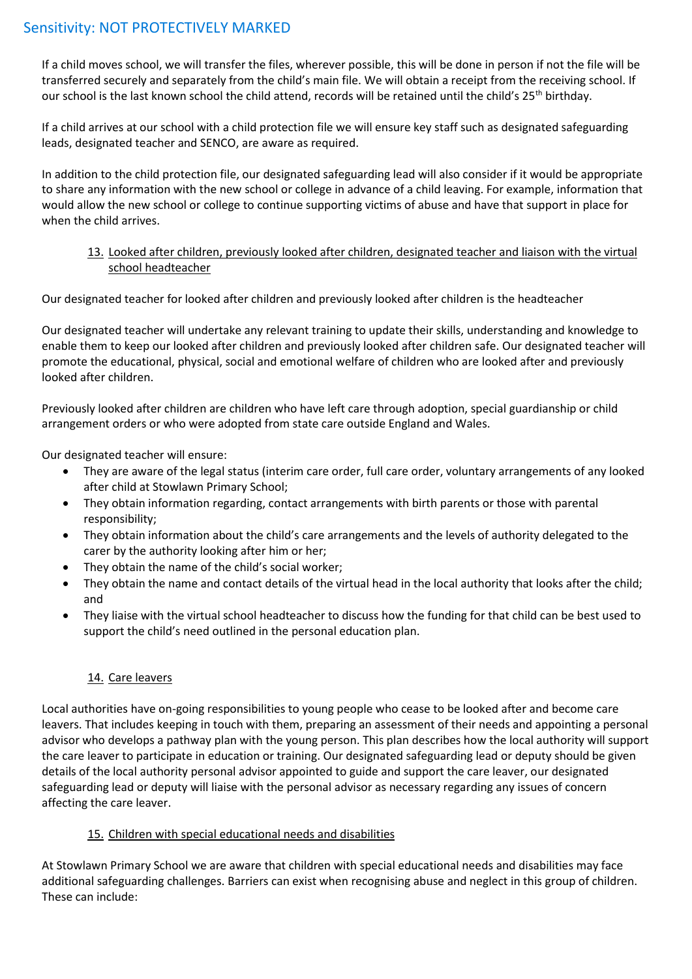If a child moves school, we will transfer the files, wherever possible, this will be done in person if not the file will be transferred securely and separately from the child's main file. We will obtain a receipt from the receiving school. If our school is the last known school the child attend, records will be retained until the child's 25<sup>th</sup> birthday.

If a child arrives at our school with a child protection file we will ensure key staff such as designated safeguarding leads, designated teacher and SENCO, are aware as required.

In addition to the child protection file, our designated safeguarding lead will also consider if it would be appropriate to share any information with the new school or college in advance of a child leaving. For example, information that would allow the new school or college to continue supporting victims of abuse and have that support in place for when the child arrives.

### 13. Looked after children, previously looked after children, designated teacher and liaison with the virtual school headteacher

Our designated teacher for looked after children and previously looked after children is the headteacher

Our designated teacher will undertake any relevant training to update their skills, understanding and knowledge to enable them to keep our looked after children and previously looked after children safe. Our designated teacher will promote the educational, physical, social and emotional welfare of children who are looked after and previously looked after children.

Previously looked after children are children who have left care through adoption, special guardianship or child arrangement orders or who were adopted from state care outside England and Wales.

Our designated teacher will ensure:

- They are aware of the legal status (interim care order, full care order, voluntary arrangements of any looked after child at Stowlawn Primary School;
- They obtain information regarding, contact arrangements with birth parents or those with parental responsibility;
- They obtain information about the child's care arrangements and the levels of authority delegated to the carer by the authority looking after him or her;
- They obtain the name of the child's social worker;
- They obtain the name and contact details of the virtual head in the local authority that looks after the child; and
- They liaise with the virtual school headteacher to discuss how the funding for that child can be best used to support the child's need outlined in the personal education plan.

# 14. Care leavers

Local authorities have on-going responsibilities to young people who cease to be looked after and become care leavers. That includes keeping in touch with them, preparing an assessment of their needs and appointing a personal advisor who develops a pathway plan with the young person. This plan describes how the local authority will support the care leaver to participate in education or training. Our designated safeguarding lead or deputy should be given details of the local authority personal advisor appointed to guide and support the care leaver, our designated safeguarding lead or deputy will liaise with the personal advisor as necessary regarding any issues of concern affecting the care leaver.

# 15. Children with special educational needs and disabilities

At Stowlawn Primary School we are aware that children with special educational needs and disabilities may face additional safeguarding challenges. Barriers can exist when recognising abuse and neglect in this group of children. These can include: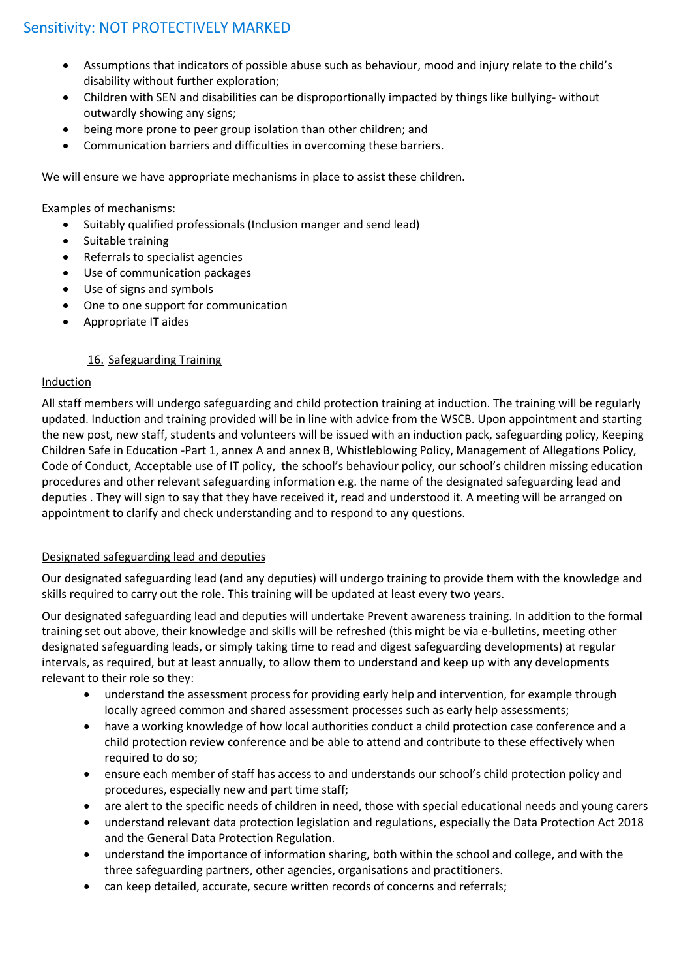- Assumptions that indicators of possible abuse such as behaviour, mood and injury relate to the child's disability without further exploration;
- Children with SEN and disabilities can be disproportionally impacted by things like bullying- without outwardly showing any signs;
- being more prone to peer group isolation than other children; and
- Communication barriers and difficulties in overcoming these barriers.

We will ensure we have appropriate mechanisms in place to assist these children.

Examples of mechanisms:

- Suitably qualified professionals (Inclusion manger and send lead)
- Suitable training
- Referrals to specialist agencies
- Use of communication packages
- Use of signs and symbols
- One to one support for communication
- Appropriate IT aides

# 16. Safeguarding Training

# Induction

All staff members will undergo safeguarding and child protection training at induction. The training will be regularly updated. Induction and training provided will be in line with advice from the WSCB. Upon appointment and starting the new post, new staff, students and volunteers will be issued with an induction pack, safeguarding policy, Keeping Children Safe in Education -Part 1, annex A and annex B, Whistleblowing Policy, Management of Allegations Policy, Code of Conduct, Acceptable use of IT policy, the school's behaviour policy, our school's children missing education procedures and other relevant safeguarding information e.g. the name of the designated safeguarding lead and deputies . They will sign to say that they have received it, read and understood it. A meeting will be arranged on appointment to clarify and check understanding and to respond to any questions.

# Designated safeguarding lead and deputies

Our designated safeguarding lead (and any deputies) will undergo training to provide them with the knowledge and skills required to carry out the role. This training will be updated at least every two years.

Our designated safeguarding lead and deputies will undertake Prevent awareness training. In addition to the formal training set out above, their knowledge and skills will be refreshed (this might be via e-bulletins, meeting other designated safeguarding leads, or simply taking time to read and digest safeguarding developments) at regular intervals, as required, but at least annually, to allow them to understand and keep up with any developments relevant to their role so they:

- understand the assessment process for providing early help and intervention, for example through locally agreed common and shared assessment processes such as early help assessments;
- have a working knowledge of how local authorities conduct a child protection case conference and a child protection review conference and be able to attend and contribute to these effectively when required to do so;
- ensure each member of staff has access to and understands our school's child protection policy and procedures, especially new and part time staff;
- are alert to the specific needs of children in need, those with special educational needs and young carers
- understand relevant data protection legislation and regulations, especially the Data Protection Act 2018 and the General Data Protection Regulation.
- understand the importance of information sharing, both within the school and college, and with the three safeguarding partners, other agencies, organisations and practitioners.
- can keep detailed, accurate, secure written records of concerns and referrals;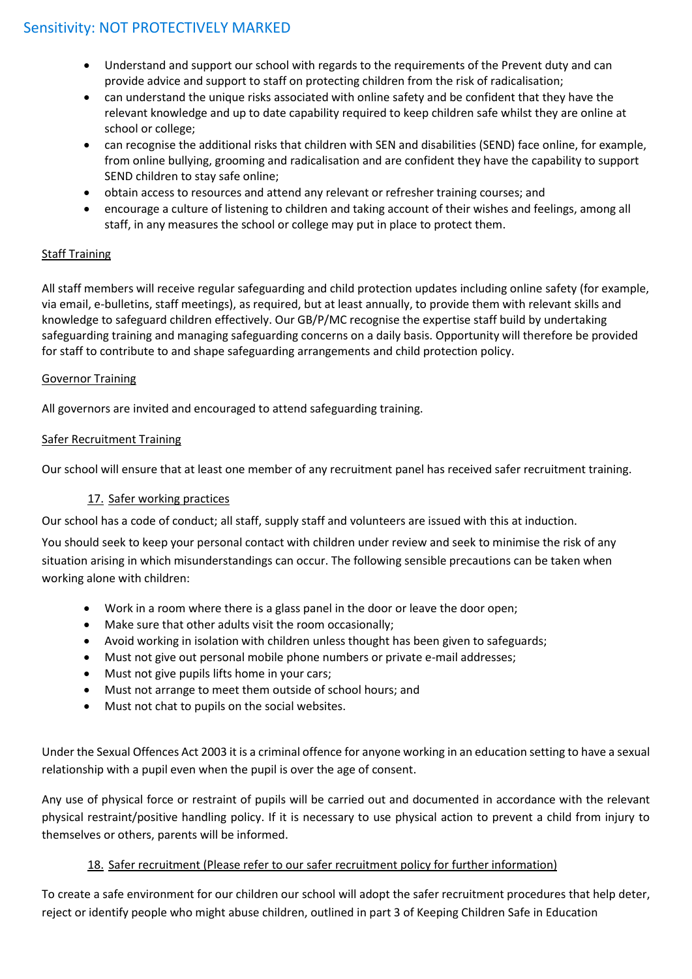- Understand and support our school with regards to the requirements of the Prevent duty and can provide advice and support to staff on protecting children from the risk of radicalisation;
- can understand the unique risks associated with online safety and be confident that they have the relevant knowledge and up to date capability required to keep children safe whilst they are online at school or college;
- can recognise the additional risks that children with SEN and disabilities (SEND) face online, for example, from online bullying, grooming and radicalisation and are confident they have the capability to support SEND children to stay safe online;
- obtain access to resources and attend any relevant or refresher training courses; and
- encourage a culture of listening to children and taking account of their wishes and feelings, among all staff, in any measures the school or college may put in place to protect them.

# Staff Training

All staff members will receive regular safeguarding and child protection updates including online safety (for example, via email, e-bulletins, staff meetings), as required, but at least annually, to provide them with relevant skills and knowledge to safeguard children effectively. Our GB/P/MC recognise the expertise staff build by undertaking safeguarding training and managing safeguarding concerns on a daily basis. Opportunity will therefore be provided for staff to contribute to and shape safeguarding arrangements and child protection policy.

# Governor Training

All governors are invited and encouraged to attend safeguarding training.

# Safer Recruitment Training

Our school will ensure that at least one member of any recruitment panel has received safer recruitment training.

# 17. Safer working practices

Our school has a code of conduct; all staff, supply staff and volunteers are issued with this at induction.

You should seek to keep your personal contact with children under review and seek to minimise the risk of any situation arising in which misunderstandings can occur. The following sensible precautions can be taken when working alone with children:

- Work in a room where there is a glass panel in the door or leave the door open;
- Make sure that other adults visit the room occasionally;
- Avoid working in isolation with children unless thought has been given to safeguards;
- Must not give out personal mobile phone numbers or private e-mail addresses;
- Must not give pupils lifts home in your cars;
- Must not arrange to meet them outside of school hours; and
- Must not chat to pupils on the social websites.

Under the Sexual Offences Act 2003 it is a criminal offence for anyone working in an education setting to have a sexual relationship with a pupil even when the pupil is over the age of consent.

Any use of physical force or restraint of pupils will be carried out and documented in accordance with the relevant physical restraint/positive handling policy. If it is necessary to use physical action to prevent a child from injury to themselves or others, parents will be informed.

# 18. Safer recruitment (Please refer to our safer recruitment policy for further information)

To create a safe environment for our children our school will adopt the safer recruitment procedures that help deter, reject or identify people who might abuse children, outlined in part 3 of Keeping Children Safe in Education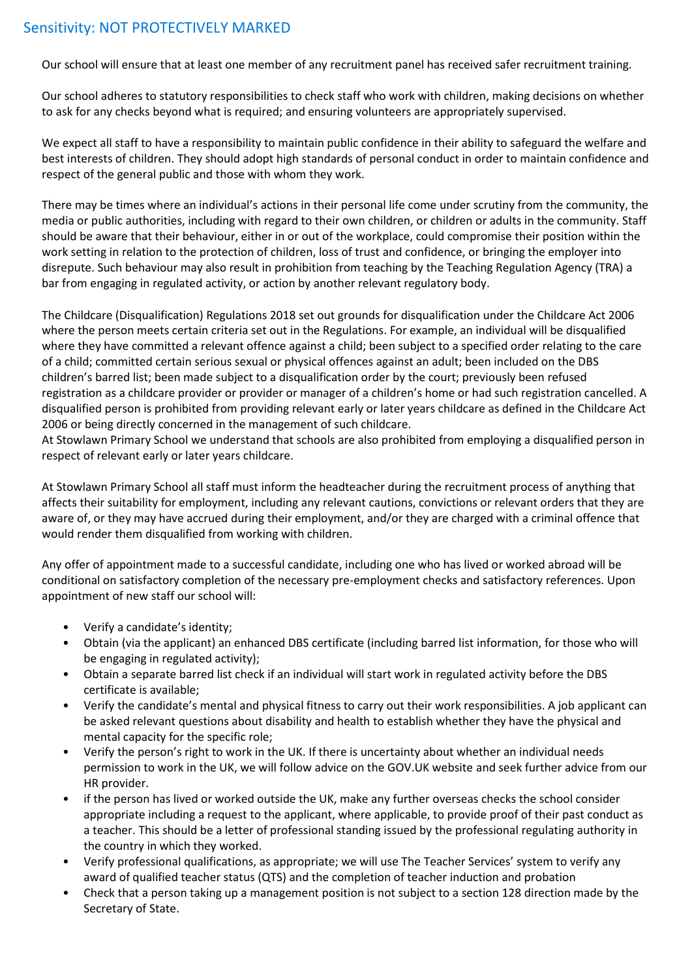Our school will ensure that at least one member of any recruitment panel has received safer recruitment training.

Our school adheres to statutory responsibilities to check staff who work with children, making decisions on whether to ask for any checks beyond what is required; and ensuring volunteers are appropriately supervised.

We expect all staff to have a responsibility to maintain public confidence in their ability to safeguard the welfare and best interests of children. They should adopt high standards of personal conduct in order to maintain confidence and respect of the general public and those with whom they work.

There may be times where an individual's actions in their personal life come under scrutiny from the community, the media or public authorities, including with regard to their own children, or children or adults in the community. Staff should be aware that their behaviour, either in or out of the workplace, could compromise their position within the work setting in relation to the protection of children, loss of trust and confidence, or bringing the employer into disrepute. Such behaviour may also result in prohibition from teaching by the Teaching Regulation Agency (TRA) a bar from engaging in regulated activity, or action by another relevant regulatory body.

The Childcare (Disqualification) Regulations 2018 set out grounds for disqualification under the Childcare Act 2006 where the person meets certain criteria set out in the Regulations. For example, an individual will be disqualified where they have committed a relevant offence against a child; been subject to a specified order relating to the care of a child; committed certain serious sexual or physical offences against an adult; been included on the DBS children's barred list; been made subject to a disqualification order by the court; previously been refused registration as a childcare provider or provider or manager of a children's home or had such registration cancelled. A disqualified person is prohibited from providing relevant early or later years childcare as defined in the Childcare Act 2006 or being directly concerned in the management of such childcare.

At Stowlawn Primary School we understand that schools are also prohibited from employing a disqualified person in respect of relevant early or later years childcare.

At Stowlawn Primary School all staff must inform the headteacher during the recruitment process of anything that affects their suitability for employment, including any relevant cautions, convictions or relevant orders that they are aware of, or they may have accrued during their employment, and/or they are charged with a criminal offence that would render them disqualified from working with children.

Any offer of appointment made to a successful candidate, including one who has lived or worked abroad will be conditional on satisfactory completion of the necessary pre-employment checks and satisfactory references. Upon appointment of new staff our school will:

- Verify a candidate's identity;
- Obtain (via the applicant) an enhanced DBS certificate (including barred list information, for those who will be engaging in regulated activity);
- Obtain a separate barred list check if an individual will start work in regulated activity before the DBS certificate is available;
- Verify the candidate's mental and physical fitness to carry out their work responsibilities. A job applicant can be asked relevant questions about disability and health to establish whether they have the physical and mental capacity for the specific role;
- Verify the person's right to work in the UK. If there is uncertainty about whether an individual needs permission to work in the UK, we will follow advice on the GOV.UK website and seek further advice from our HR provider.
- if the person has lived or worked outside the UK, make any further overseas checks the school consider appropriate including a request to the applicant, where applicable, to provide proof of their past conduct as a teacher. This should be a letter of professional standing issued by the professional regulating authority in the country in which they worked.
- Verify professional qualifications, as appropriate; we will use The Teacher Services' system to verify any award of qualified teacher status (QTS) and the completion of teacher induction and probation
- Check that a person taking up a management position is not subject to a section 128 direction made by the Secretary of State.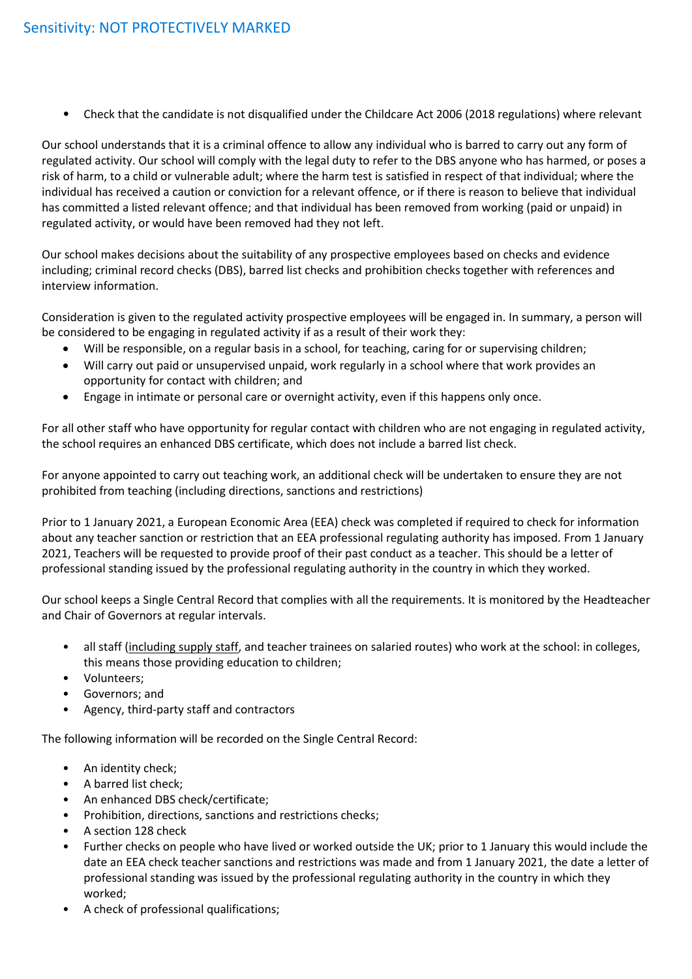• Check that the candidate is not disqualified under the Childcare Act 2006 (2018 regulations) where relevant

Our school understands that it is a criminal offence to allow any individual who is barred to carry out any form of regulated activity. Our school will comply with the legal duty to refer to the DBS anyone who has harmed, or poses a risk of harm, to a child or vulnerable adult; where the harm test is satisfied in respect of that individual; where the individual has received a caution or conviction for a relevant offence, or if there is reason to believe that individual has committed a listed relevant offence; and that individual has been removed from working (paid or unpaid) in regulated activity, or would have been removed had they not left.

Our school makes decisions about the suitability of any prospective employees based on checks and evidence including; criminal record checks (DBS), barred list checks and prohibition checks together with references and interview information.

Consideration is given to the regulated activity prospective employees will be engaged in. In summary, a person will be considered to be engaging in regulated activity if as a result of their work they:

- Will be responsible, on a regular basis in a school, for teaching, caring for or supervising children;
- Will carry out paid or unsupervised unpaid, work regularly in a school where that work provides an opportunity for contact with children; and
- Engage in intimate or personal care or overnight activity, even if this happens only once.

For all other staff who have opportunity for regular contact with children who are not engaging in regulated activity, the school requires an enhanced DBS certificate, which does not include a barred list check.

For anyone appointed to carry out teaching work, an additional check will be undertaken to ensure they are not prohibited from teaching (including directions, sanctions and restrictions)

Prior to 1 January 2021, a European Economic Area (EEA) check was completed if required to check for information about any teacher sanction or restriction that an EEA professional regulating authority has imposed. From 1 January 2021, Teachers will be requested to provide proof of their past conduct as a teacher. This should be a letter of professional standing issued by the professional regulating authority in the country in which they worked.

Our school keeps a Single Central Record that complies with all the requirements. It is monitored by the Headteacher and Chair of Governors at regular intervals.

- all staff (including supply staff, and teacher trainees on salaried routes) who work at the school: in colleges, this means those providing education to children;
- Volunteers;
- Governors; and
- Agency, third-party staff and contractors

The following information will be recorded on the Single Central Record:

- An identity check;
- A barred list check;
- An enhanced DBS check/certificate;
- Prohibition, directions, sanctions and restrictions checks;
- A section 128 check
- Further checks on people who have lived or worked outside the UK; prior to 1 January this would include the date an EEA check teacher sanctions and restrictions was made and from 1 January 2021, the date a letter of professional standing was issued by the professional regulating authority in the country in which they worked;
- A check of professional qualifications;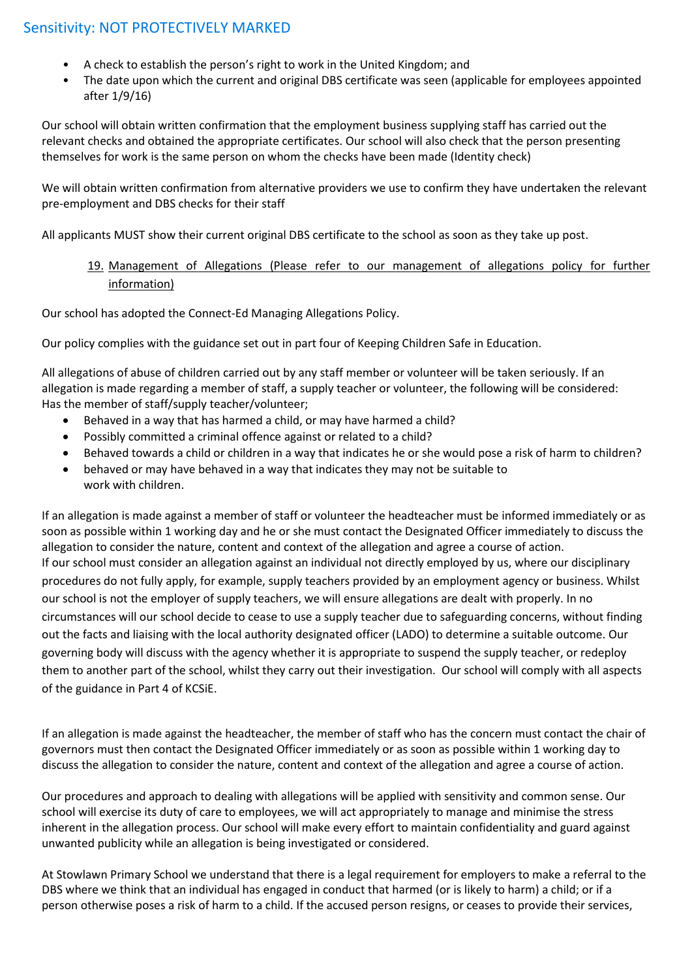- A check to establish the person's right to work in the United Kingdom; and
- The date upon which the current and original DBS certificate was seen (applicable for employees appointed after 1/9/16)

Our school will obtain written confirmation that the employment business supplying staff has carried out the relevant checks and obtained the appropriate certificates. Our school will also check that the person presenting themselves for work is the same person on whom the checks have been made (Identity check)

We will obtain written confirmation from alternative providers we use to confirm they have undertaken the relevant pre-employment and DBS checks for their staff

All applicants MUST show their current original DBS certificate to the school as soon as they take up post.

# 19. Management of Allegations (Please refer to our management of allegations policy for further information)

Our school has adopted the Connect-Ed Managing Allegations Policy.

Our policy complies with the guidance set out in part four of Keeping Children Safe in Education.

All allegations of abuse of children carried out by any staff member or volunteer will be taken seriously. If an allegation is made regarding a member of staff, a supply teacher or volunteer, the following will be considered: Has the member of staff/supply teacher/volunteer;

- Behaved in a way that has harmed a child, or may have harmed a child?
- Possibly committed a criminal offence against or related to a child?
- Behaved towards a child or children in a way that indicates he or she would pose a risk of harm to children?
- behaved or may have behaved in a way that indicates they may not be suitable to work with children.

If an allegation is made against a member of staff or volunteer the headteacher must be informed immediately or as soon as possible within 1 working day and he or she must contact the Designated Officer immediately to discuss the allegation to consider the nature, content and context of the allegation and agree a course of action. If our school must consider an allegation against an individual not directly employed by us, where our disciplinary procedures do not fully apply, for example, supply teachers provided by an employment agency or business. Whilst our school is not the employer of supply teachers, we will ensure allegations are dealt with properly. In no circumstances will our school decide to cease to use a supply teacher due to safeguarding concerns, without finding out the facts and liaising with the local authority designated officer (LADO) to determine a suitable outcome. Our governing body will discuss with the agency whether it is appropriate to suspend the supply teacher, or redeploy them to another part of the school, whilst they carry out their investigation. Our school will comply with all aspects of the guidance in Part 4 of KCSiE.

If an allegation is made against the headteacher, the member of staff who has the concern must contact the chair of governors must then contact the Designated Officer immediately or as soon as possible within 1 working day to discuss the allegation to consider the nature, content and context of the allegation and agree a course of action.

Our procedures and approach to dealing with allegations will be applied with sensitivity and common sense. Our school will exercise its duty of care to employees, we will act appropriately to manage and minimise the stress inherent in the allegation process. Our school will make every effort to maintain confidentiality and guard against unwanted publicity while an allegation is being investigated or considered.

At Stowlawn Primary School we understand that there is a legal requirement for employers to make a referral to the DBS where we think that an individual has engaged in conduct that harmed (or is likely to harm) a child; or if a person otherwise poses a risk of harm to a child. If the accused person resigns, or ceases to provide their services,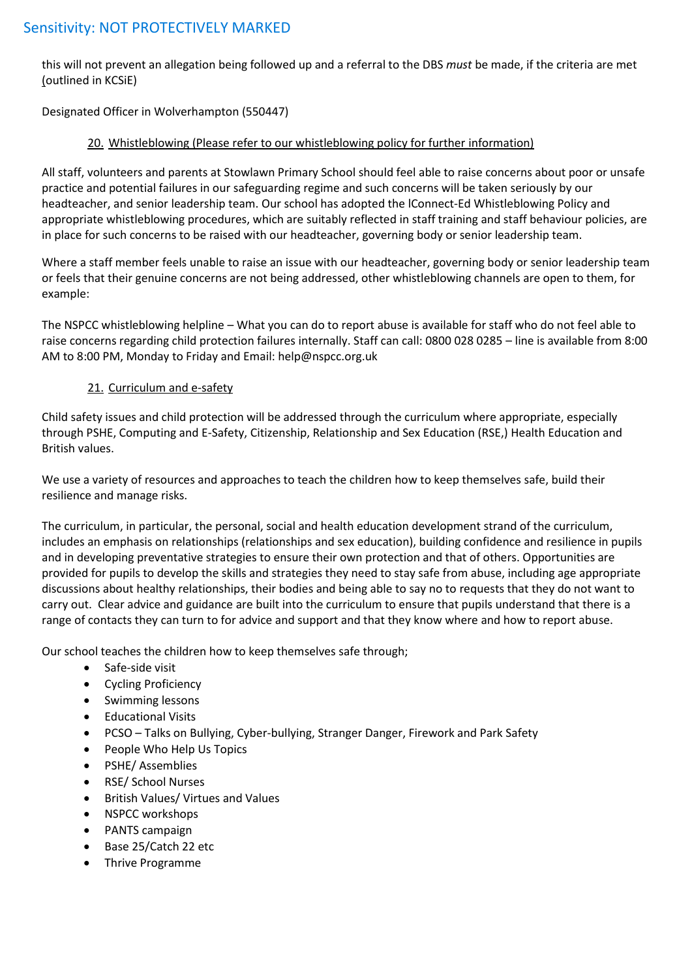this will not prevent an allegation being followed up and a referral to the DBS *must* be made, if the criteria are met (outlined in KCSiE)

Designated Officer in Wolverhampton (550447)

#### 20. Whistleblowing (Please refer to our whistleblowing policy for further information)

All staff, volunteers and parents at Stowlawn Primary School should feel able to raise concerns about poor or unsafe practice and potential failures in our safeguarding regime and such concerns will be taken seriously by our headteacher, and senior leadership team. Our school has adopted the lConnect-Ed Whistleblowing Policy and appropriate whistleblowing procedures, which are suitably reflected in staff training and staff behaviour policies, are in place for such concerns to be raised with our headteacher, governing body or senior leadership team.

Where a staff member feels unable to raise an issue with our headteacher, governing body or senior leadership team or feels that their genuine concerns are not being addressed, other whistleblowing channels are open to them, for example:

The NSPCC whistleblowing helpline – What you can do to report abuse is available for staff who do not feel able to raise concerns regarding child protection failures internally. Staff can call: 0800 028 0285 – line is available from 8:00 AM to 8:00 PM, Monday to Friday and Email: help@nspcc.org.uk

# 21. Curriculum and e-safety

Child safety issues and child protection will be addressed through the curriculum where appropriate, especially through PSHE, Computing and E-Safety, Citizenship, Relationship and Sex Education (RSE,) Health Education and British values.

We use a variety of resources and approaches to teach the children how to keep themselves safe, build their resilience and manage risks.

The curriculum, in particular, the personal, social and health education development strand of the curriculum, includes an emphasis on relationships (relationships and sex education), building confidence and resilience in pupils and in developing preventative strategies to ensure their own protection and that of others. Opportunities are provided for pupils to develop the skills and strategies they need to stay safe from abuse, including age appropriate discussions about healthy relationships, their bodies and being able to say no to requests that they do not want to carry out. Clear advice and guidance are built into the curriculum to ensure that pupils understand that there is a range of contacts they can turn to for advice and support and that they know where and how to report abuse.

Our school teaches the children how to keep themselves safe through;

- Safe-side visit
- Cycling Proficiency
- Swimming lessons
- Educational Visits
- PCSO Talks on Bullying, Cyber-bullying, Stranger Danger, Firework and Park Safety
- People Who Help Us Topics
- PSHE/ Assemblies
- RSE/ School Nurses
- British Values/ Virtues and Values
- NSPCC workshops
- PANTS campaign
- Base 25/Catch 22 etc
- Thrive Programme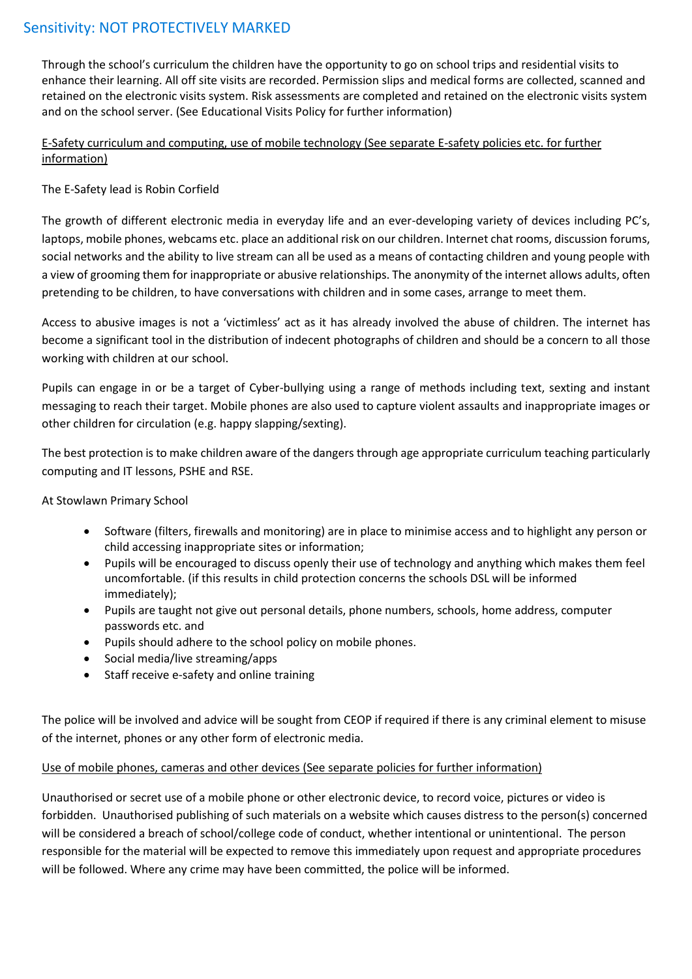Through the school's curriculum the children have the opportunity to go on school trips and residential visits to enhance their learning. All off site visits are recorded. Permission slips and medical forms are collected, scanned and retained on the electronic visits system. Risk assessments are completed and retained on the electronic visits system and on the school server. (See Educational Visits Policy for further information)

# E-Safety curriculum and computing, use of mobile technology (See separate E-safety policies etc. for further information)

# The E-Safety lead is Robin Corfield

The growth of different electronic media in everyday life and an ever-developing variety of devices including PC's, laptops, mobile phones, webcams etc. place an additional risk on our children. Internet chat rooms, discussion forums, social networks and the ability to live stream can all be used as a means of contacting children and young people with a view of grooming them for inappropriate or abusive relationships. The anonymity of the internet allows adults, often pretending to be children, to have conversations with children and in some cases, arrange to meet them.

Access to abusive images is not a 'victimless' act as it has already involved the abuse of children. The internet has become a significant tool in the distribution of indecent photographs of children and should be a concern to all those working with children at our school.

Pupils can engage in or be a target of Cyber-bullying using a range of methods including text, sexting and instant messaging to reach their target. Mobile phones are also used to capture violent assaults and inappropriate images or other children for circulation (e.g. happy slapping/sexting).

The best protection is to make children aware of the dangers through age appropriate curriculum teaching particularly computing and IT lessons, PSHE and RSE.

# At Stowlawn Primary School

- Software (filters, firewalls and monitoring) are in place to minimise access and to highlight any person or child accessing inappropriate sites or information;
- Pupils will be encouraged to discuss openly their use of technology and anything which makes them feel uncomfortable. (if this results in child protection concerns the schools DSL will be informed immediately);
- Pupils are taught not give out personal details, phone numbers, schools, home address, computer passwords etc. and
- Pupils should adhere to the school policy on mobile phones.
- Social media/live streaming/apps
- Staff receive e-safety and online training

The police will be involved and advice will be sought from CEOP if required if there is any criminal element to misuse of the internet, phones or any other form of electronic media.

# Use of mobile phones, cameras and other devices (See separate policies for further information)

Unauthorised or secret use of a mobile phone or other electronic device, to record voice, pictures or video is forbidden. Unauthorised publishing of such materials on a website which causes distress to the person(s) concerned will be considered a breach of school/college code of conduct, whether intentional or unintentional. The person responsible for the material will be expected to remove this immediately upon request and appropriate procedures will be followed. Where any crime may have been committed, the police will be informed.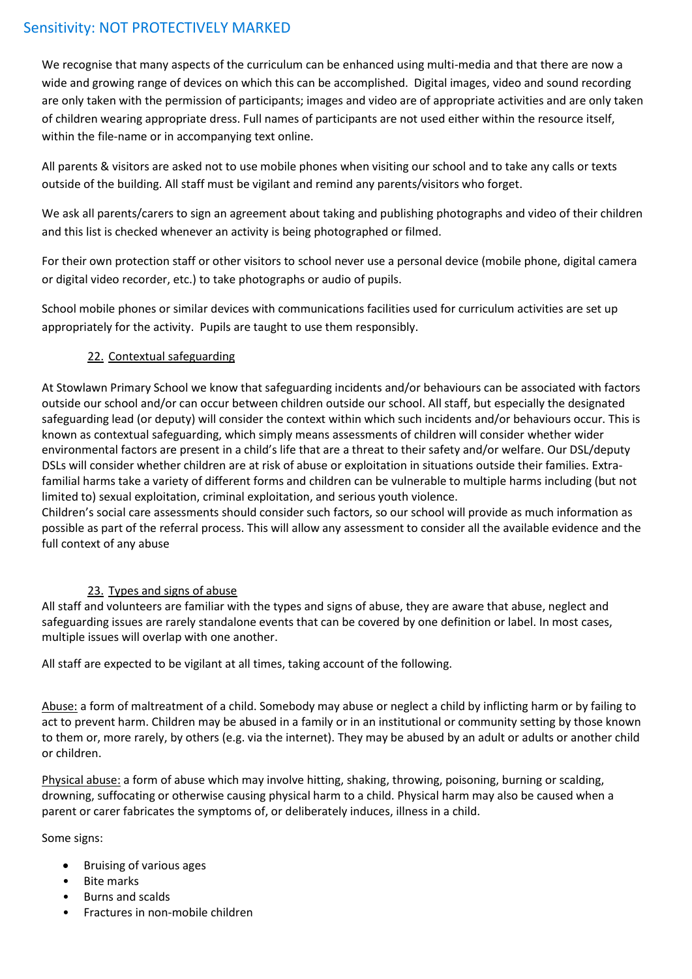We recognise that many aspects of the curriculum can be enhanced using multi-media and that there are now a wide and growing range of devices on which this can be accomplished. Digital images, video and sound recording are only taken with the permission of participants; images and video are of appropriate activities and are only taken of children wearing appropriate dress. Full names of participants are not used either within the resource itself, within the file-name or in accompanying text online.

All parents & visitors are asked not to use mobile phones when visiting our school and to take any calls or texts outside of the building. All staff must be vigilant and remind any parents/visitors who forget.

We ask all parents/carers to sign an agreement about taking and publishing photographs and video of their children and this list is checked whenever an activity is being photographed or filmed.

For their own protection staff or other visitors to school never use a personal device (mobile phone, digital camera or digital video recorder, etc.) to take photographs or audio of pupils.

School mobile phones or similar devices with communications facilities used for curriculum activities are set up appropriately for the activity. Pupils are taught to use them responsibly.

# 22. Contextual safeguarding

At Stowlawn Primary School we know that safeguarding incidents and/or behaviours can be associated with factors outside our school and/or can occur between children outside our school. All staff, but especially the designated safeguarding lead (or deputy) will consider the context within which such incidents and/or behaviours occur. This is known as contextual safeguarding, which simply means assessments of children will consider whether wider environmental factors are present in a child's life that are a threat to their safety and/or welfare. Our DSL/deputy DSLs will consider whether children are at risk of abuse or exploitation in situations outside their families. Extrafamilial harms take a variety of different forms and children can be vulnerable to multiple harms including (but not limited to) sexual exploitation, criminal exploitation, and serious youth violence.

Children's social care assessments should consider such factors, so our school will provide as much information as possible as part of the referral process. This will allow any assessment to consider all the available evidence and the full context of any abuse

# 23. Types and signs of abuse

All staff and volunteers are familiar with the types and signs of abuse, they are aware that abuse, neglect and safeguarding issues are rarely standalone events that can be covered by one definition or label. In most cases, multiple issues will overlap with one another.

All staff are expected to be vigilant at all times, taking account of the following.

Abuse: a form of maltreatment of a child. Somebody may abuse or neglect a child by inflicting harm or by failing to act to prevent harm. Children may be abused in a family or in an institutional or community setting by those known to them or, more rarely, by others (e.g. via the internet). They may be abused by an adult or adults or another child or children.

Physical abuse: a form of abuse which may involve hitting, shaking, throwing, poisoning, burning or scalding, drowning, suffocating or otherwise causing physical harm to a child. Physical harm may also be caused when a parent or carer fabricates the symptoms of, or deliberately induces, illness in a child.

Some signs:

- Bruising of various ages
- Bite marks
- Burns and scalds
- Fractures in non-mobile children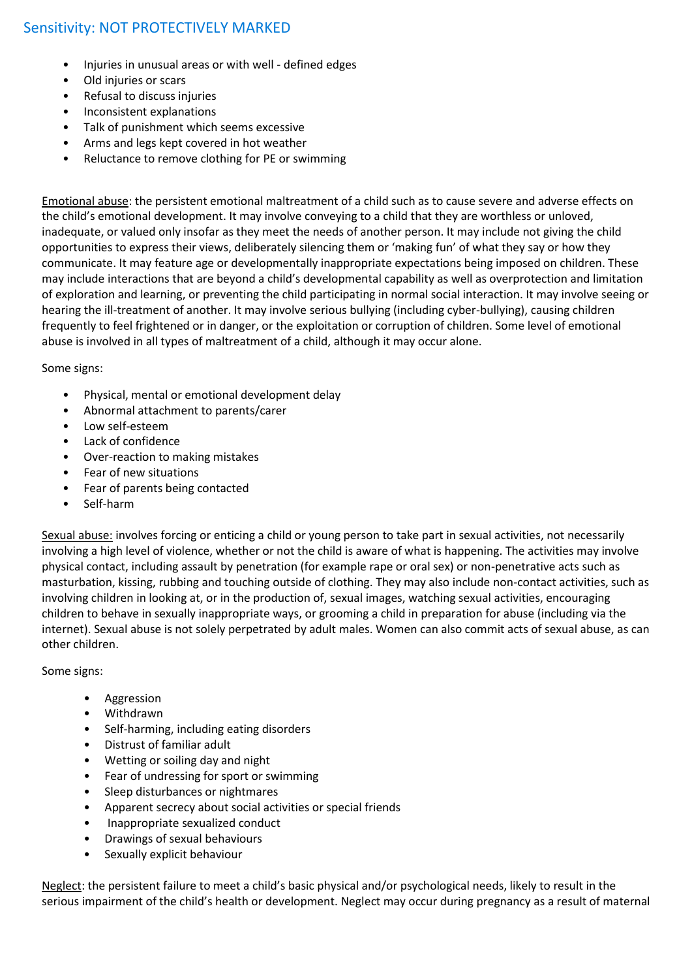- Injuries in unusual areas or with well defined edges
- Old injuries or scars
- Refusal to discuss injuries
- Inconsistent explanations
- Talk of punishment which seems excessive
- Arms and legs kept covered in hot weather
- Reluctance to remove clothing for PE or swimming

Emotional abuse: the persistent emotional maltreatment of a child such as to cause severe and adverse effects on the child's emotional development. It may involve conveying to a child that they are worthless or unloved, inadequate, or valued only insofar as they meet the needs of another person. It may include not giving the child opportunities to express their views, deliberately silencing them or 'making fun' of what they say or how they communicate. It may feature age or developmentally inappropriate expectations being imposed on children. These may include interactions that are beyond a child's developmental capability as well as overprotection and limitation of exploration and learning, or preventing the child participating in normal social interaction. It may involve seeing or hearing the ill-treatment of another. It may involve serious bullying (including cyber-bullying), causing children frequently to feel frightened or in danger, or the exploitation or corruption of children. Some level of emotional abuse is involved in all types of maltreatment of a child, although it may occur alone.

Some signs:

- Physical, mental or emotional development delay
- Abnormal attachment to parents/carer
- Low self-esteem
- Lack of confidence
- Over-reaction to making mistakes
- Fear of new situations
- Fear of parents being contacted
- Self-harm

Sexual abuse: involves forcing or enticing a child or young person to take part in sexual activities, not necessarily involving a high level of violence, whether or not the child is aware of what is happening. The activities may involve physical contact, including assault by penetration (for example rape or oral sex) or non-penetrative acts such as masturbation, kissing, rubbing and touching outside of clothing. They may also include non-contact activities, such as involving children in looking at, or in the production of, sexual images, watching sexual activities, encouraging children to behave in sexually inappropriate ways, or grooming a child in preparation for abuse (including via the internet). Sexual abuse is not solely perpetrated by adult males. Women can also commit acts of sexual abuse, as can other children.

Some signs:

- Aggression
- Withdrawn
- Self-harming, including eating disorders
- Distrust of familiar adult
- Wetting or soiling day and night
- Fear of undressing for sport or swimming
- Sleep disturbances or nightmares
- Apparent secrecy about social activities or special friends
- Inappropriate sexualized conduct
- Drawings of sexual behaviours
- Sexually explicit behaviour

Neglect: the persistent failure to meet a child's basic physical and/or psychological needs, likely to result in the serious impairment of the child's health or development. Neglect may occur during pregnancy as a result of maternal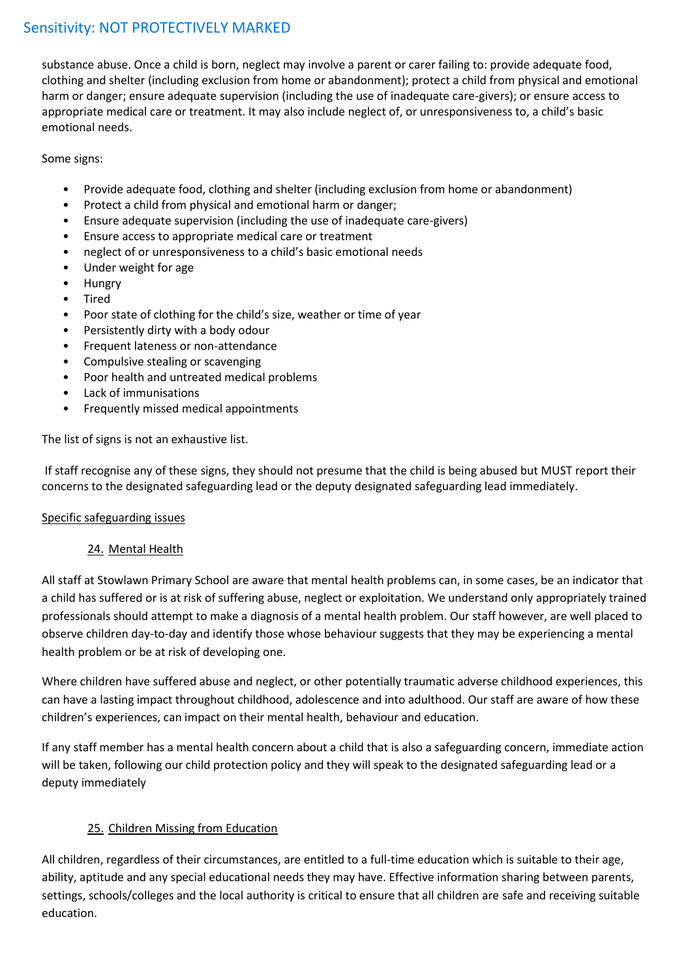substance abuse. Once a child is born, neglect may involve a parent or carer failing to: provide adequate food, clothing and shelter (including exclusion from home or abandonment); protect a child from physical and emotional harm or danger; ensure adequate supervision (including the use of inadequate care-givers); or ensure access to appropriate medical care or treatment. It may also include neglect of, or unresponsiveness to, a child's basic emotional needs.

Some signs:

- Provide adequate food, clothing and shelter (including exclusion from home or abandonment)
- Protect a child from physical and emotional harm or danger;
- Ensure adequate supervision (including the use of inadequate care-givers)
- Ensure access to appropriate medical care or treatment
- neglect of or unresponsiveness to a child's basic emotional needs
- Under weight for age
- Hungry
- Tired
- Poor state of clothing for the child's size, weather or time of year
- Persistently dirty with a body odour
- Frequent lateness or non-attendance
- Compulsive stealing or scavenging
- Poor health and untreated medical problems
- Lack of immunisations
- Frequently missed medical appointments

The list of signs is not an exhaustive list.

If staff recognise any of these signs, they should not presume that the child is being abused but MUST report their concerns to the designated safeguarding lead or the deputy designated safeguarding lead immediately.

# Specific safeguarding issues

# 24. Mental Health

All staff at Stowlawn Primary School are aware that mental health problems can, in some cases, be an indicator that a child has suffered or is at risk of suffering abuse, neglect or exploitation. We understand only appropriately trained professionals should attempt to make a diagnosis of a mental health problem. Our staff however, are well placed to observe children day-to-day and identify those whose behaviour suggests that they may be experiencing a mental health problem or be at risk of developing one.

Where children have suffered abuse and neglect, or other potentially traumatic adverse childhood experiences, this can have a lasting impact throughout childhood, adolescence and into adulthood. Our staff are aware of how these children's experiences, can impact on their mental health, behaviour and education.

If any staff member has a mental health concern about a child that is also a safeguarding concern, immediate action will be taken, following our child protection policy and they will speak to the designated safeguarding lead or a deputy immediately

# 25. Children Missing from Education

All children, regardless of their circumstances, are entitled to a full-time education which is suitable to their age, ability, aptitude and any special educational needs they may have. Effective information sharing between parents, settings, schools/colleges and the local authority is critical to ensure that all children are safe and receiving suitable education.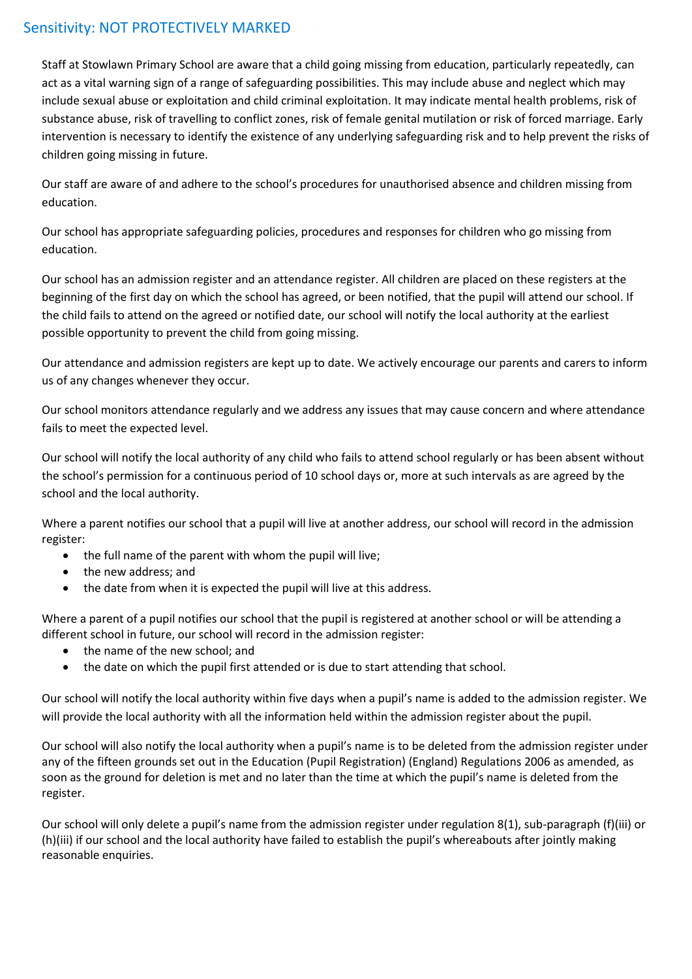Staff at Stowlawn Primary School are aware that a child going missing from education, particularly repeatedly, can act as a vital warning sign of a range of safeguarding possibilities. This may include abuse and neglect which may include sexual abuse or exploitation and child criminal exploitation. It may indicate mental health problems, risk of substance abuse, risk of travelling to conflict zones, risk of female genital mutilation or risk of forced marriage. Early intervention is necessary to identify the existence of any underlying safeguarding risk and to help prevent the risks of children going missing in future.

Our staff are aware of and adhere to the school's procedures for unauthorised absence and children missing from education.

Our school has appropriate safeguarding policies, procedures and responses for children who go missing from education.

Our school has an admission register and an attendance register. All children are placed on these registers at the beginning of the first day on which the school has agreed, or been notified, that the pupil will attend our school. If the child fails to attend on the agreed or notified date, our school will notify the local authority at the earliest possible opportunity to prevent the child from going missing.

Our attendance and admission registers are kept up to date. We actively encourage our parents and carers to inform us of any changes whenever they occur.

Our school monitors attendance regularly and we address any issues that may cause concern and where attendance fails to meet the expected level.

Our school will notify the local authority of any child who fails to attend school regularly or has been absent without the school's permission for a continuous period of 10 school days or, more at such intervals as are agreed by the school and the local authority.

Where a parent notifies our school that a pupil will live at another address, our school will record in the admission register:

- the full name of the parent with whom the pupil will live;
- the new address: and
- the date from when it is expected the pupil will live at this address.

Where a parent of a pupil notifies our school that the pupil is registered at another school or will be attending a different school in future, our school will record in the admission register:

- the name of the new school; and
- the date on which the pupil first attended or is due to start attending that school.

Our school will notify the local authority within five days when a pupil's name is added to the admission register. We will provide the local authority with all the information held within the admission register about the pupil.

Our school will also notify the local authority when a pupil's name is to be deleted from the admission register under any of the fifteen grounds set out in the Education (Pupil Registration) (England) Regulations 2006 as amended, as soon as the ground for deletion is met and no later than the time at which the pupil's name is deleted from the register.

Our school will only delete a pupil's name from the admission register under regulation 8(1), sub-paragraph (f)(iii) or (h)(iii) if our school and the local authority have failed to establish the pupil's whereabouts after jointly making reasonable enquiries.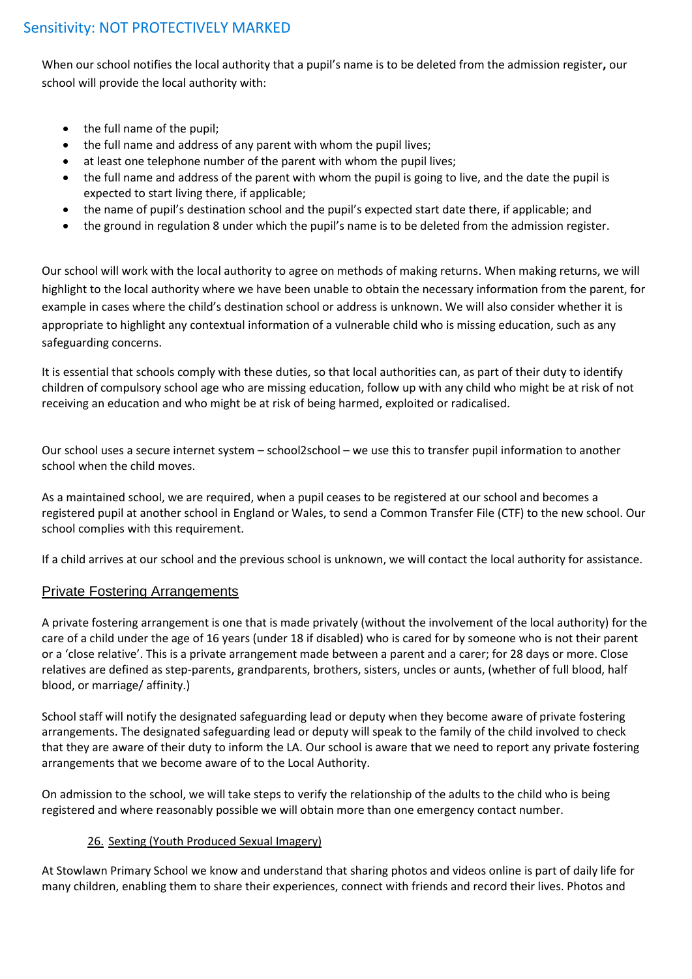When our school notifies the local authority that a pupil's name is to be deleted from the admission register**,** our school will provide the local authority with:

- the full name of the pupil;
- the full name and address of any parent with whom the pupil lives;
- at least one telephone number of the parent with whom the pupil lives;
- the full name and address of the parent with whom the pupil is going to live, and the date the pupil is expected to start living there, if applicable;
- the name of pupil's destination school and the pupil's expected start date there, if applicable; and
- the ground in regulation 8 under which the pupil's name is to be deleted from the admission register.

Our school will work with the local authority to agree on methods of making returns. When making returns, we will highlight to the local authority where we have been unable to obtain the necessary information from the parent, for example in cases where the child's destination school or address is unknown. We will also consider whether it is appropriate to highlight any contextual information of a vulnerable child who is missing education, such as any safeguarding concerns.

It is essential that schools comply with these duties, so that local authorities can, as part of their duty to identify children of compulsory school age who are missing education, follow up with any child who might be at risk of not receiving an education and who might be at risk of being harmed, exploited or radicalised.

Our school uses a secure internet system – school2school – we use this to transfer pupil information to another school when the child moves.

As a maintained school, we are required, when a pupil ceases to be registered at our school and becomes a registered pupil at another school in England or Wales, to send a Common Transfer File (CTF) to the new school. Our school complies with this requirement.

If a child arrives at our school and the previous school is unknown, we will contact the local authority for assistance.

# Private Fostering Arrangements

A private fostering arrangement is one that is made privately (without the involvement of the local authority) for the care of a child under the age of 16 years (under 18 if disabled) who is cared for by someone who is not their parent or a 'close relative'. This is a private arrangement made between a parent and a carer; for 28 days or more. Close relatives are defined as step-parents, grandparents, brothers, sisters, uncles or aunts, (whether of full blood, half blood, or marriage/ affinity.)

School staff will notify the designated safeguarding lead or deputy when they become aware of private fostering arrangements. The designated safeguarding lead or deputy will speak to the family of the child involved to check that they are aware of their duty to inform the LA. Our school is aware that we need to report any private fostering arrangements that we become aware of to the Local Authority.

On admission to the school, we will take steps to verify the relationship of the adults to the child who is being registered and where reasonably possible we will obtain more than one emergency contact number.

# 26. Sexting (Youth Produced Sexual Imagery)

At Stowlawn Primary School we know and understand that sharing photos and videos online is part of daily life for many children, enabling them to share their experiences, connect with friends and record their lives. Photos and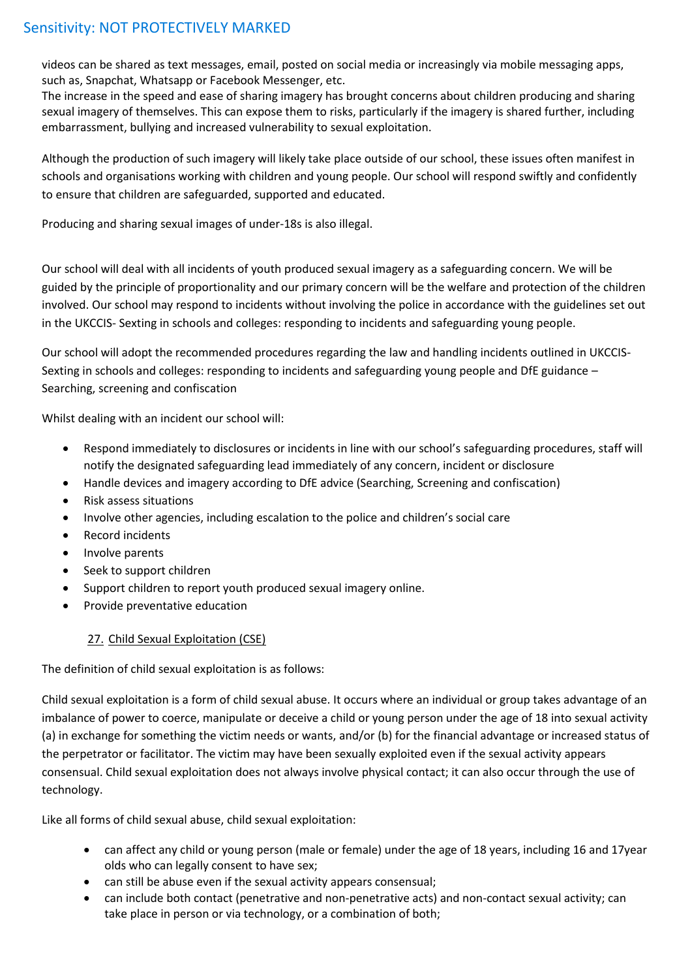videos can be shared as text messages, email, posted on social media or increasingly via mobile messaging apps, such as, Snapchat, Whatsapp or Facebook Messenger, etc.

The increase in the speed and ease of sharing imagery has brought concerns about children producing and sharing sexual imagery of themselves. This can expose them to risks, particularly if the imagery is shared further, including embarrassment, bullying and increased vulnerability to sexual exploitation.

Although the production of such imagery will likely take place outside of our school, these issues often manifest in schools and organisations working with children and young people. Our school will respond swiftly and confidently to ensure that children are safeguarded, supported and educated.

Producing and sharing sexual images of under-18s is also illegal.

Our school will deal with all incidents of youth produced sexual imagery as a safeguarding concern. We will be guided by the principle of proportionality and our primary concern will be the welfare and protection of the children involved. Our school may respond to incidents without involving the police in accordance with the guidelines set out in the UKCCIS- Sexting in schools and colleges: responding to incidents and safeguarding young people.

Our school will adopt the recommended procedures regarding the law and handling incidents outlined in UKCCIS-Sexting in schools and colleges: responding to incidents and safeguarding young people and DfE guidance – Searching, screening and confiscation

Whilst dealing with an incident our school will:

- Respond immediately to disclosures or incidents in line with our school's safeguarding procedures, staff will notify the designated safeguarding lead immediately of any concern, incident or disclosure
- Handle devices and imagery according to DfE advice (Searching, Screening and confiscation)
- Risk assess situations
- Involve other agencies, including escalation to the police and children's social care
- Record incidents
- Involve parents
- Seek to support children
- Support children to report youth produced sexual imagery online.
- Provide preventative education

# 27. Child Sexual Exploitation (CSE)

The definition of child sexual exploitation is as follows:

Child sexual exploitation is a form of child sexual abuse. It occurs where an individual or group takes advantage of an imbalance of power to coerce, manipulate or deceive a child or young person under the age of 18 into sexual activity (a) in exchange for something the victim needs or wants, and/or (b) for the financial advantage or increased status of the perpetrator or facilitator. The victim may have been sexually exploited even if the sexual activity appears consensual. Child sexual exploitation does not always involve physical contact; it can also occur through the use of technology.

Like all forms of child sexual abuse, child sexual exploitation:

- can affect any child or young person (male or female) under the age of 18 years, including 16 and 17year olds who can legally consent to have sex;
- can still be abuse even if the sexual activity appears consensual;
- can include both contact (penetrative and non-penetrative acts) and non-contact sexual activity; can take place in person or via technology, or a combination of both;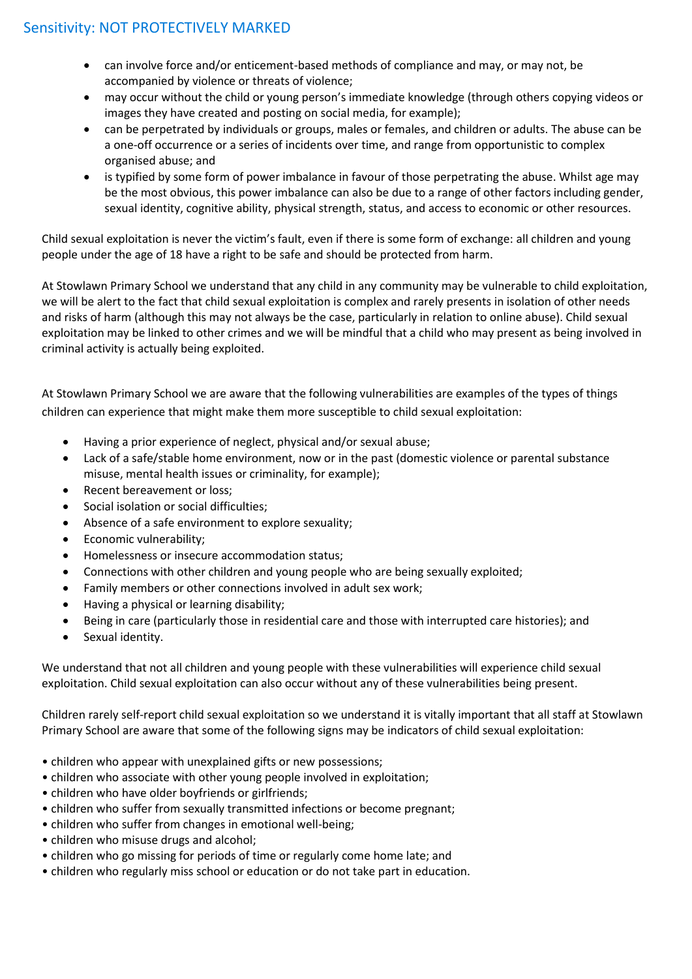- can involve force and/or enticement-based methods of compliance and may, or may not, be accompanied by violence or threats of violence;
- may occur without the child or young person's immediate knowledge (through others copying videos or images they have created and posting on social media, for example);
- can be perpetrated by individuals or groups, males or females, and children or adults. The abuse can be a one-off occurrence or a series of incidents over time, and range from opportunistic to complex organised abuse; and
- is typified by some form of power imbalance in favour of those perpetrating the abuse. Whilst age may be the most obvious, this power imbalance can also be due to a range of other factors including gender, sexual identity, cognitive ability, physical strength, status, and access to economic or other resources.

Child sexual exploitation is never the victim's fault, even if there is some form of exchange: all children and young people under the age of 18 have a right to be safe and should be protected from harm.

At Stowlawn Primary School we understand that any child in any community may be vulnerable to child exploitation, we will be alert to the fact that child sexual exploitation is complex and rarely presents in isolation of other needs and risks of harm (although this may not always be the case, particularly in relation to online abuse). Child sexual exploitation may be linked to other crimes and we will be mindful that a child who may present as being involved in criminal activity is actually being exploited.

At Stowlawn Primary School we are aware that the following vulnerabilities are examples of the types of things children can experience that might make them more susceptible to child sexual exploitation:

- Having a prior experience of neglect, physical and/or sexual abuse;
- Lack of a safe/stable home environment, now or in the past (domestic violence or parental substance misuse, mental health issues or criminality, for example);
- Recent bereavement or loss;
- Social isolation or social difficulties;
- Absence of a safe environment to explore sexuality;
- Economic vulnerability;
- Homelessness or insecure accommodation status;
- Connections with other children and young people who are being sexually exploited;
- Family members or other connections involved in adult sex work;
- Having a physical or learning disability;
- Being in care (particularly those in residential care and those with interrupted care histories); and
- Sexual identity.

We understand that not all children and young people with these vulnerabilities will experience child sexual exploitation. Child sexual exploitation can also occur without any of these vulnerabilities being present.

Children rarely self-report child sexual exploitation so we understand it is vitally important that all staff at Stowlawn Primary School are aware that some of the following signs may be indicators of child sexual exploitation:

- children who appear with unexplained gifts or new possessions;
- children who associate with other young people involved in exploitation;
- children who have older boyfriends or girlfriends;
- children who suffer from sexually transmitted infections or become pregnant;
- children who suffer from changes in emotional well-being;
- children who misuse drugs and alcohol;
- children who go missing for periods of time or regularly come home late; and
- children who regularly miss school or education or do not take part in education.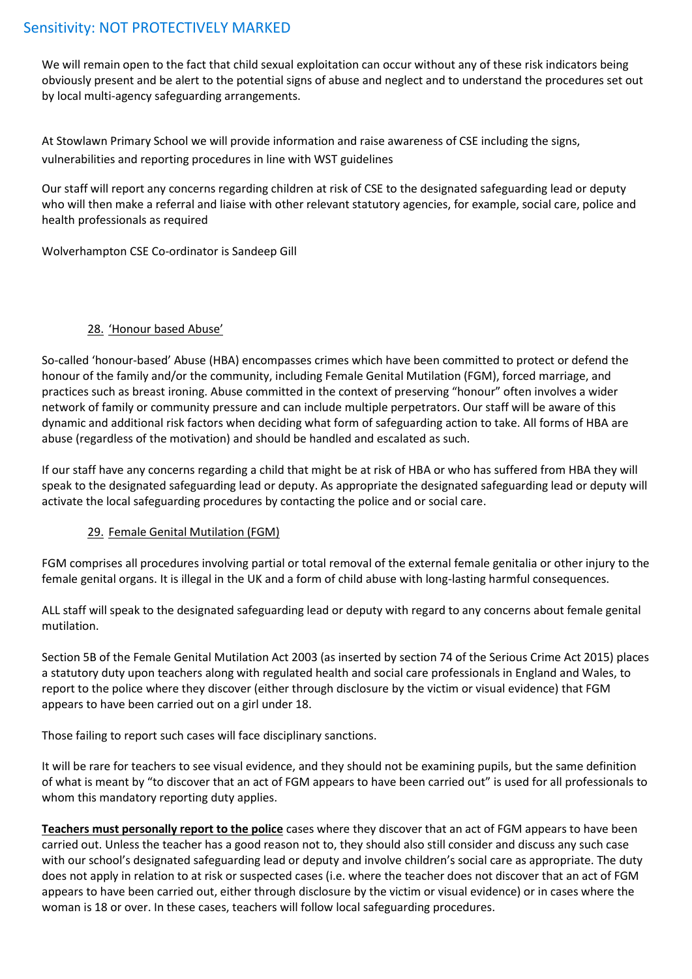We will remain open to the fact that child sexual exploitation can occur without any of these risk indicators being obviously present and be alert to the potential signs of abuse and neglect and to understand the procedures set out by local multi-agency safeguarding arrangements.

At Stowlawn Primary School we will provide information and raise awareness of CSE including the signs, vulnerabilities and reporting procedures in line with WST guidelines

Our staff will report any concerns regarding children at risk of CSE to the designated safeguarding lead or deputy who will then make a referral and liaise with other relevant statutory agencies, for example, social care, police and health professionals as required

Wolverhampton CSE Co-ordinator is Sandeep Gill

# 28. 'Honour based Abuse'

So-called 'honour-based' Abuse (HBA) encompasses crimes which have been committed to protect or defend the honour of the family and/or the community, including Female Genital Mutilation (FGM), forced marriage, and practices such as breast ironing. Abuse committed in the context of preserving "honour" often involves a wider network of family or community pressure and can include multiple perpetrators. Our staff will be aware of this dynamic and additional risk factors when deciding what form of safeguarding action to take. All forms of HBA are abuse (regardless of the motivation) and should be handled and escalated as such.

If our staff have any concerns regarding a child that might be at risk of HBA or who has suffered from HBA they will speak to the designated safeguarding lead or deputy. As appropriate the designated safeguarding lead or deputy will activate the local safeguarding procedures by contacting the police and or social care.

# 29. Female Genital Mutilation (FGM)

FGM comprises all procedures involving partial or total removal of the external female genitalia or other injury to the female genital organs. It is illegal in the UK and a form of child abuse with long-lasting harmful consequences.

ALL staff will speak to the designated safeguarding lead or deputy with regard to any concerns about female genital mutilation.

Section 5B of the Female Genital Mutilation Act 2003 (as inserted by section 74 of the Serious Crime Act 2015) places a statutory duty upon teachers along with regulated health and social care professionals in England and Wales, to report to the police where they discover (either through disclosure by the victim or visual evidence) that FGM appears to have been carried out on a girl under 18.

Those failing to report such cases will face disciplinary sanctions.

It will be rare for teachers to see visual evidence, and they should not be examining pupils, but the same definition of what is meant by "to discover that an act of FGM appears to have been carried out" is used for all professionals to whom this mandatory reporting duty applies.

**Teachers must personally report to the police** cases where they discover that an act of FGM appears to have been carried out. Unless the teacher has a good reason not to, they should also still consider and discuss any such case with our school's designated safeguarding lead or deputy and involve children's social care as appropriate. The duty does not apply in relation to at risk or suspected cases (i.e. where the teacher does not discover that an act of FGM appears to have been carried out, either through disclosure by the victim or visual evidence) or in cases where the woman is 18 or over. In these cases, teachers will follow local safeguarding procedures.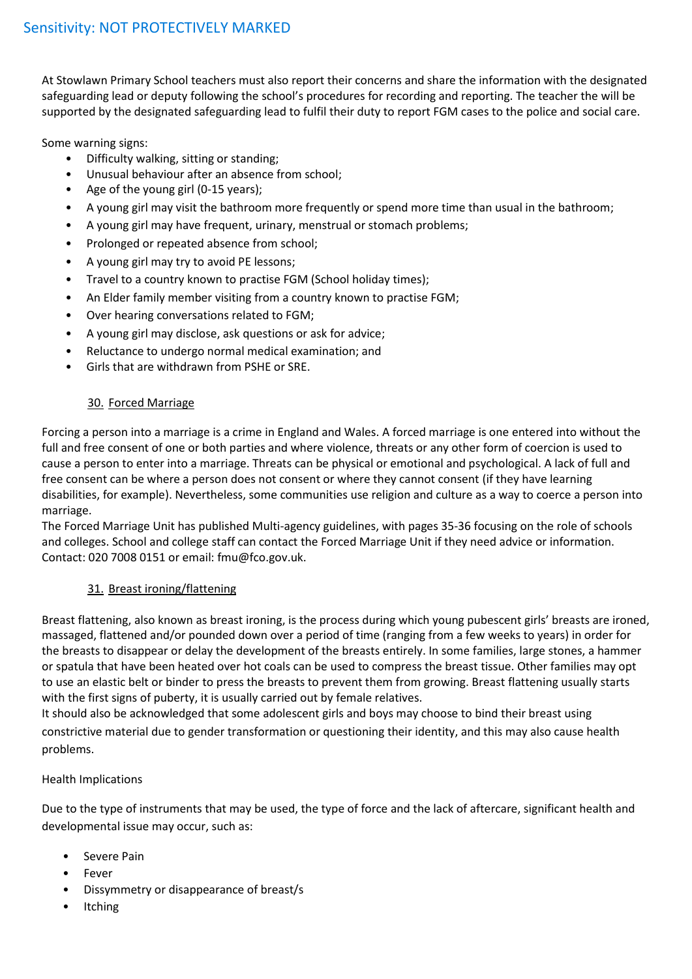At Stowlawn Primary School teachers must also report their concerns and share the information with the designated safeguarding lead or deputy following the school's procedures for recording and reporting. The teacher the will be supported by the designated safeguarding lead to fulfil their duty to report FGM cases to the police and social care.

Some warning signs:

- Difficulty walking, sitting or standing;
- Unusual behaviour after an absence from school;
- Age of the young girl (0-15 years);
- A young girl may visit the bathroom more frequently or spend more time than usual in the bathroom;
- A young girl may have frequent, urinary, menstrual or stomach problems;
- Prolonged or repeated absence from school;
- A young girl may try to avoid PE lessons;
- Travel to a country known to practise FGM (School holiday times);
- An Elder family member visiting from a country known to practise FGM;
- Over hearing conversations related to FGM;
- A young girl may disclose, ask questions or ask for advice;
- Reluctance to undergo normal medical examination; and
- Girls that are withdrawn from PSHE or SRE.

# 30. Forced Marriage

Forcing a person into a marriage is a crime in England and Wales. A forced marriage is one entered into without the full and free consent of one or both parties and where violence, threats or any other form of coercion is used to cause a person to enter into a marriage. Threats can be physical or emotional and psychological. A lack of full and free consent can be where a person does not consent or where they cannot consent (if they have learning disabilities, for example). Nevertheless, some communities use religion and culture as a way to coerce a person into marriage.

The Forced Marriage Unit has published Multi-agency guidelines, with pages 35-36 focusing on the role of schools and colleges. School and college staff can contact the Forced Marriage Unit if they need advice or information. Contact: 020 7008 0151 or email: fmu@fco.gov.uk.

# 31. Breast ironing/flattening

Breast flattening, also known as breast ironing, is the process during which young pubescent girls' breasts are ironed, massaged, flattened and/or pounded down over a period of time (ranging from a few weeks to years) in order for the breasts to disappear or delay the development of the breasts entirely. In some families, large stones, a hammer or spatula that have been heated over hot coals can be used to compress the breast tissue. Other families may opt to use an elastic belt or binder to press the breasts to prevent them from growing. Breast flattening usually starts with the first signs of puberty, it is usually carried out by female relatives.

It should also be acknowledged that some adolescent girls and boys may choose to bind their breast using constrictive material due to gender transformation or questioning their identity, and this may also cause health problems.

# Health Implications

Due to the type of instruments that may be used, the type of force and the lack of aftercare, significant health and developmental issue may occur, such as:

- Severe Pain
- Fever
- Dissymmetry or disappearance of breast/s
- **Itching**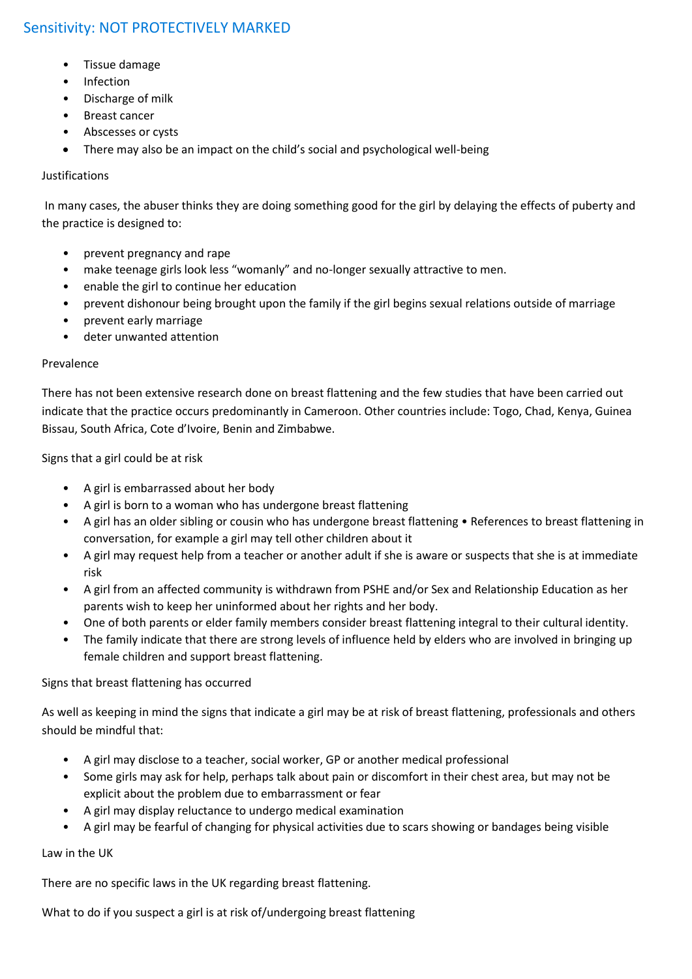- Tissue damage
- Infection
- Discharge of milk
- Breast cancer
- Abscesses or cysts
- There may also be an impact on the child's social and psychological well-being

### Justifications

In many cases, the abuser thinks they are doing something good for the girl by delaying the effects of puberty and the practice is designed to:

- prevent pregnancy and rape
- make teenage girls look less "womanly" and no-longer sexually attractive to men.
- enable the girl to continue her education
- prevent dishonour being brought upon the family if the girl begins sexual relations outside of marriage
- prevent early marriage
- deter unwanted attention

# Prevalence

There has not been extensive research done on breast flattening and the few studies that have been carried out indicate that the practice occurs predominantly in Cameroon. Other countries include: Togo, Chad, Kenya, Guinea Bissau, South Africa, Cote d'Ivoire, Benin and Zimbabwe.

Signs that a girl could be at risk

- A girl is embarrassed about her body
- A girl is born to a woman who has undergone breast flattening
- A girl has an older sibling or cousin who has undergone breast flattening References to breast flattening in conversation, for example a girl may tell other children about it
- A girl may request help from a teacher or another adult if she is aware or suspects that she is at immediate risk
- A girl from an affected community is withdrawn from PSHE and/or Sex and Relationship Education as her parents wish to keep her uninformed about her rights and her body.
- One of both parents or elder family members consider breast flattening integral to their cultural identity.
- The family indicate that there are strong levels of influence held by elders who are involved in bringing up female children and support breast flattening.

# Signs that breast flattening has occurred

As well as keeping in mind the signs that indicate a girl may be at risk of breast flattening, professionals and others should be mindful that:

- A girl may disclose to a teacher, social worker, GP or another medical professional
- Some girls may ask for help, perhaps talk about pain or discomfort in their chest area, but may not be explicit about the problem due to embarrassment or fear
- A girl may display reluctance to undergo medical examination
- A girl may be fearful of changing for physical activities due to scars showing or bandages being visible

Law in the UK

There are no specific laws in the UK regarding breast flattening.

What to do if you suspect a girl is at risk of/undergoing breast flattening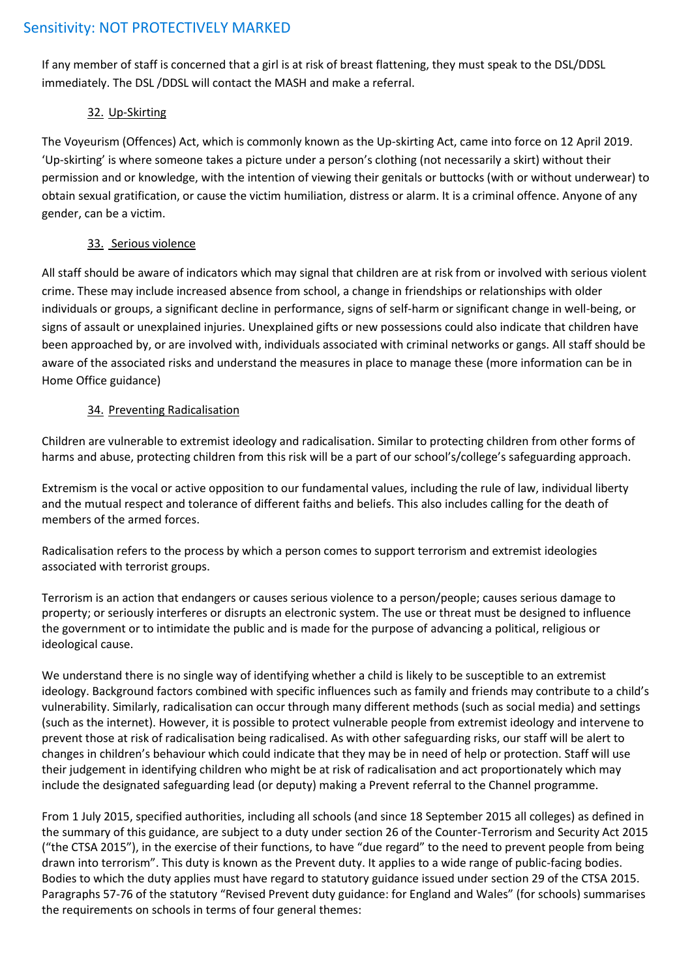If any member of staff is concerned that a girl is at risk of breast flattening, they must speak to the DSL/DDSL immediately. The DSL /DDSL will contact the MASH and make a referral.

# 32. Up-Skirting

The Voyeurism (Offences) Act, which is commonly known as the Up-skirting Act, came into force on 12 April 2019. 'Up-skirting' is where someone takes a picture under a person's clothing (not necessarily a skirt) without their permission and or knowledge, with the intention of viewing their genitals or buttocks (with or without underwear) to obtain sexual gratification, or cause the victim humiliation, distress or alarm. It is a criminal offence. Anyone of any gender, can be a victim.

# 33. Serious violence

All staff should be aware of indicators which may signal that children are at risk from or involved with serious violent crime. These may include increased absence from school, a change in friendships or relationships with older individuals or groups, a significant decline in performance, signs of self-harm or significant change in well-being, or signs of assault or unexplained injuries. Unexplained gifts or new possessions could also indicate that children have been approached by, or are involved with, individuals associated with criminal networks or gangs. All staff should be aware of the associated risks and understand the measures in place to manage these (more information can be in Home Office guidance)

# 34. Preventing Radicalisation

Children are vulnerable to extremist ideology and radicalisation. Similar to protecting children from other forms of harms and abuse, protecting children from this risk will be a part of our school's/college's safeguarding approach.

Extremism is the vocal or active opposition to our fundamental values, including the rule of law, individual liberty and the mutual respect and tolerance of different faiths and beliefs. This also includes calling for the death of members of the armed forces.

Radicalisation refers to the process by which a person comes to support terrorism and extremist ideologies associated with terrorist groups.

Terrorism is an action that endangers or causes serious violence to a person/people; causes serious damage to property; or seriously interferes or disrupts an electronic system. The use or threat must be designed to influence the government or to intimidate the public and is made for the purpose of advancing a political, religious or ideological cause.

We understand there is no single way of identifying whether a child is likely to be susceptible to an extremist ideology. Background factors combined with specific influences such as family and friends may contribute to a child's vulnerability. Similarly, radicalisation can occur through many different methods (such as social media) and settings (such as the internet). However, it is possible to protect vulnerable people from extremist ideology and intervene to prevent those at risk of radicalisation being radicalised. As with other safeguarding risks, our staff will be alert to changes in children's behaviour which could indicate that they may be in need of help or protection. Staff will use their judgement in identifying children who might be at risk of radicalisation and act proportionately which may include the designated safeguarding lead (or deputy) making a Prevent referral to the Channel programme.

From 1 July 2015, specified authorities, including all schools (and since 18 September 2015 all colleges) as defined in the summary of this guidance, are subject to a duty under section 26 of the Counter-Terrorism and Security Act 2015 ("the CTSA 2015"), in the exercise of their functions, to have "due regard" to the need to prevent people from being drawn into terrorism". This duty is known as the Prevent duty. It applies to a wide range of public-facing bodies. Bodies to which the duty applies must have regard to statutory guidance issued under section 29 of the CTSA 2015. Paragraphs 57-76 of the statutory "Revised Prevent duty guidance: for England and Wales" (for schools) summarises the requirements on schools in terms of four general themes: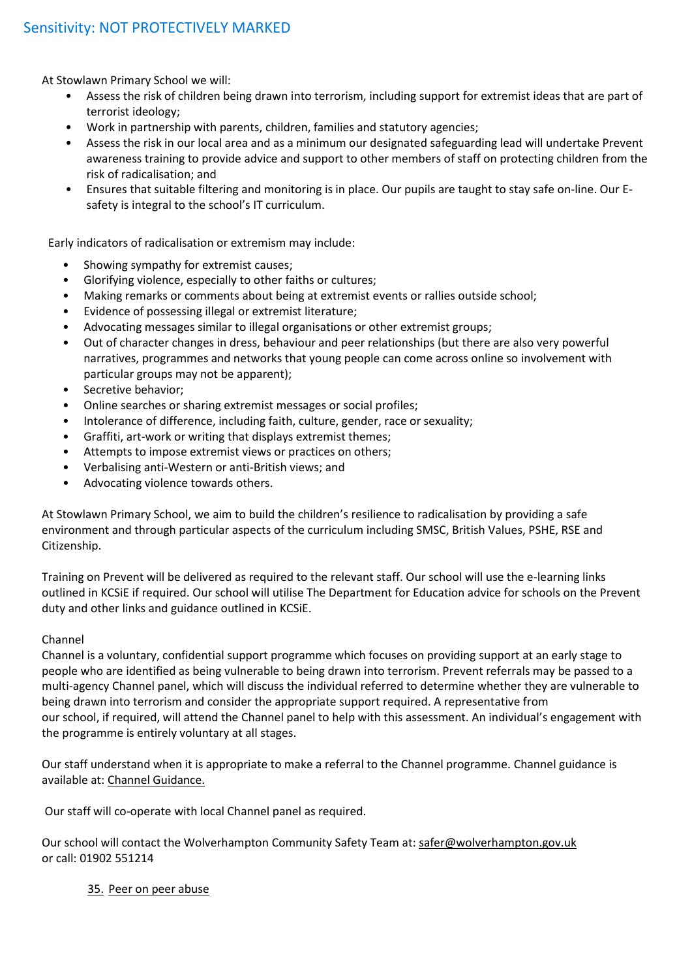At Stowlawn Primary School we will:

- Assess the risk of children being drawn into terrorism, including support for extremist ideas that are part of terrorist ideology;
- Work in partnership with parents, children, families and statutory agencies;
- Assess the risk in our local area and as a minimum our designated safeguarding lead will undertake Prevent awareness training to provide advice and support to other members of staff on protecting children from the risk of radicalisation; and
- Ensures that suitable filtering and monitoring is in place. Our pupils are taught to stay safe on-line. Our Esafety is integral to the school's IT curriculum.

Early indicators of radicalisation or extremism may include:

- Showing sympathy for extremist causes;
- Glorifying violence, especially to other faiths or cultures;
- Making remarks or comments about being at extremist events or rallies outside school;
- Evidence of possessing illegal or extremist literature;
- Advocating messages similar to illegal organisations or other extremist groups;
- Out of character changes in dress, behaviour and peer relationships (but there are also very powerful narratives, programmes and networks that young people can come across online so involvement with particular groups may not be apparent);
- Secretive behavior;
- Online searches or sharing extremist messages or social profiles;
- Intolerance of difference, including faith, culture, gender, race or sexuality;
- Graffiti, art-work or writing that displays extremist themes;
- Attempts to impose extremist views or practices on others;
- Verbalising anti-Western or anti-British views; and
- Advocating violence towards others.

At Stowlawn Primary School, we aim to build the children's resilience to radicalisation by providing a safe environment and through particular aspects of the curriculum including SMSC, British Values, PSHE, RSE and Citizenship.

Training on Prevent will be delivered as required to the relevant staff. Our school will use the e-learning links outlined in KCSiE if required. Our school will utilise The Department for Education advice for schools on the Prevent duty and other links and guidance outlined in KCSiE.

#### Channel

Channel is a voluntary, confidential support programme which focuses on providing support at an early stage to people who are identified as being vulnerable to being drawn into terrorism. Prevent referrals may be passed to a multi-agency Channel panel, which will discuss the individual referred to determine whether they are vulnerable to being drawn into terrorism and consider the appropriate support required. A representative from our school, if required, will attend the Channel panel to help with this assessment. An individual's engagement with the programme is entirely voluntary at all stages.

Our staff understand when it is appropriate to make a referral to the Channel programme. Channel guidance is available at: Channel Guidance.

Our staff will co-operate with local Channel panel as required.

Our school will contact the Wolverhampton Community Safety Team at: [safer@wolverhampton.gov.uk](mailto:safer@wolverhampton.gov.uk) or call: 01902 551214

#### 35. Peer on peer abuse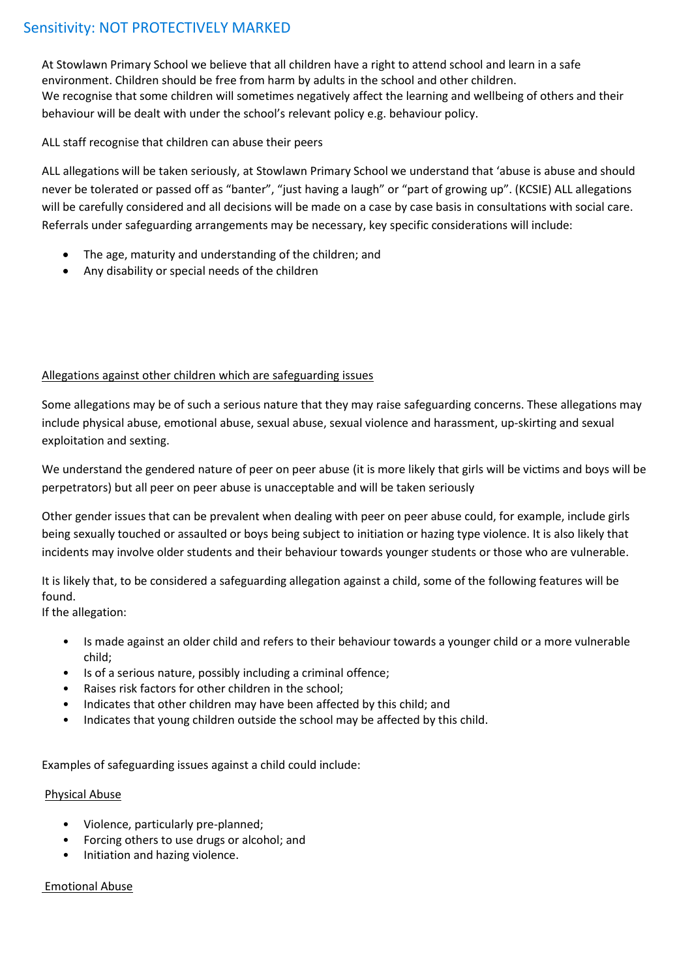At Stowlawn Primary School we believe that all children have a right to attend school and learn in a safe environment. Children should be free from harm by adults in the school and other children. We recognise that some children will sometimes negatively affect the learning and wellbeing of others and their behaviour will be dealt with under the school's relevant policy e.g. behaviour policy.

### ALL staff recognise that children can abuse their peers

ALL allegations will be taken seriously, at Stowlawn Primary School we understand that 'abuse is abuse and should never be tolerated or passed off as "banter", "just having a laugh" or "part of growing up". (KCSIE) ALL allegations will be carefully considered and all decisions will be made on a case by case basis in consultations with social care. Referrals under safeguarding arrangements may be necessary, key specific considerations will include:

- The age, maturity and understanding of the children; and
- Any disability or special needs of the children

# Allegations against other children which are safeguarding issues

Some allegations may be of such a serious nature that they may raise safeguarding concerns. These allegations may include physical abuse, emotional abuse, sexual abuse, sexual violence and harassment, up-skirting and sexual exploitation and sexting.

We understand the gendered nature of peer on peer abuse (it is more likely that girls will be victims and boys will be perpetrators) but all peer on peer abuse is unacceptable and will be taken seriously

Other gender issues that can be prevalent when dealing with peer on peer abuse could, for example, include girls being sexually touched or assaulted or boys being subject to initiation or hazing type violence. It is also likely that incidents may involve older students and their behaviour towards younger students or those who are vulnerable.

It is likely that, to be considered a safeguarding allegation against a child, some of the following features will be found.

If the allegation:

- Is made against an older child and refers to their behaviour towards a younger child or a more vulnerable child;
- Is of a serious nature, possibly including a criminal offence;
- Raises risk factors for other children in the school;
- Indicates that other children may have been affected by this child; and
- Indicates that young children outside the school may be affected by this child.

Examples of safeguarding issues against a child could include:

# Physical Abuse

- Violence, particularly pre-planned;
- Forcing others to use drugs or alcohol; and
- Initiation and hazing violence.

#### Emotional Abuse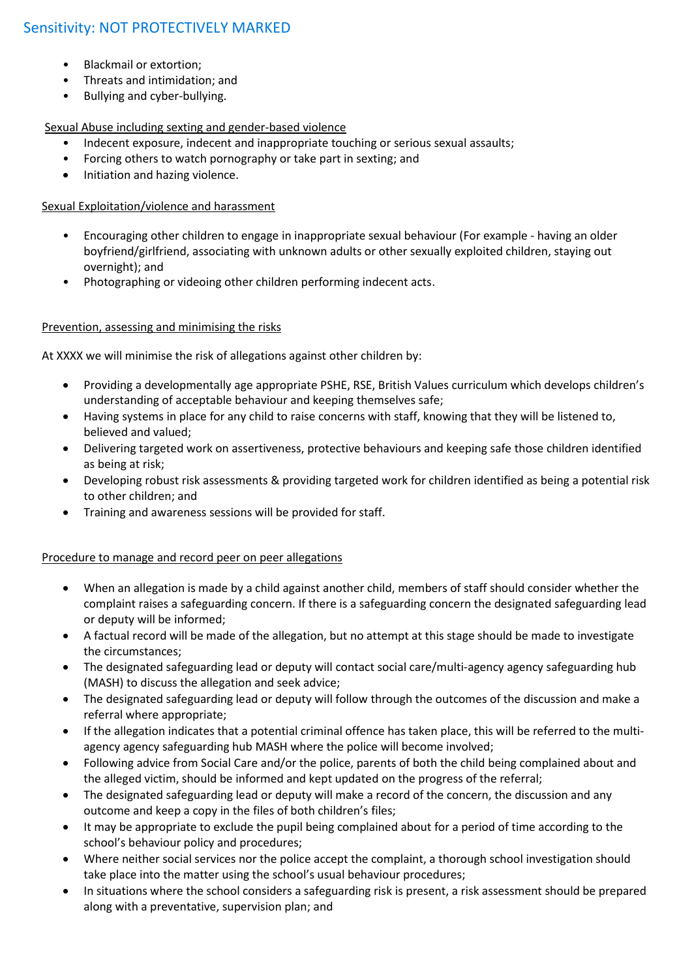- Blackmail or extortion;
- Threats and intimidation; and
- Bullying and cyber-bullying.

# Sexual Abuse including sexting and gender-based violence

- Indecent exposure, indecent and inappropriate touching or serious sexual assaults;
- Forcing others to watch pornography or take part in sexting; and
- Initiation and hazing violence.

# Sexual Exploitation/violence and harassment

- Encouraging other children to engage in inappropriate sexual behaviour (For example having an older boyfriend/girlfriend, associating with unknown adults or other sexually exploited children, staying out overnight); and
- Photographing or videoing other children performing indecent acts.

# Prevention, assessing and minimising the risks

At XXXX we will minimise the risk of allegations against other children by:

- Providing a developmentally age appropriate PSHE, RSE, British Values curriculum which develops children's understanding of acceptable behaviour and keeping themselves safe;
- Having systems in place for any child to raise concerns with staff, knowing that they will be listened to, believed and valued;
- Delivering targeted work on assertiveness, protective behaviours and keeping safe those children identified as being at risk;
- Developing robust risk assessments & providing targeted work for children identified as being a potential risk to other children; and
- Training and awareness sessions will be provided for staff.

# Procedure to manage and record peer on peer allegations

- When an allegation is made by a child against another child, members of staff should consider whether the complaint raises a safeguarding concern. If there is a safeguarding concern the designated safeguarding lead or deputy will be informed;
- A factual record will be made of the allegation, but no attempt at this stage should be made to investigate the circumstances;
- The designated safeguarding lead or deputy will contact social care/multi-agency agency safeguarding hub (MASH) to discuss the allegation and seek advice;
- The designated safeguarding lead or deputy will follow through the outcomes of the discussion and make a referral where appropriate;
- If the allegation indicates that a potential criminal offence has taken place, this will be referred to the multiagency agency safeguarding hub MASH where the police will become involved;
- Following advice from Social Care and/or the police, parents of both the child being complained about and the alleged victim, should be informed and kept updated on the progress of the referral;
- The designated safeguarding lead or deputy will make a record of the concern, the discussion and any outcome and keep a copy in the files of both children's files;
- It may be appropriate to exclude the pupil being complained about for a period of time according to the school's behaviour policy and procedures;
- Where neither social services nor the police accept the complaint, a thorough school investigation should take place into the matter using the school's usual behaviour procedures;
- In situations where the school considers a safeguarding risk is present, a risk assessment should be prepared along with a preventative, supervision plan; and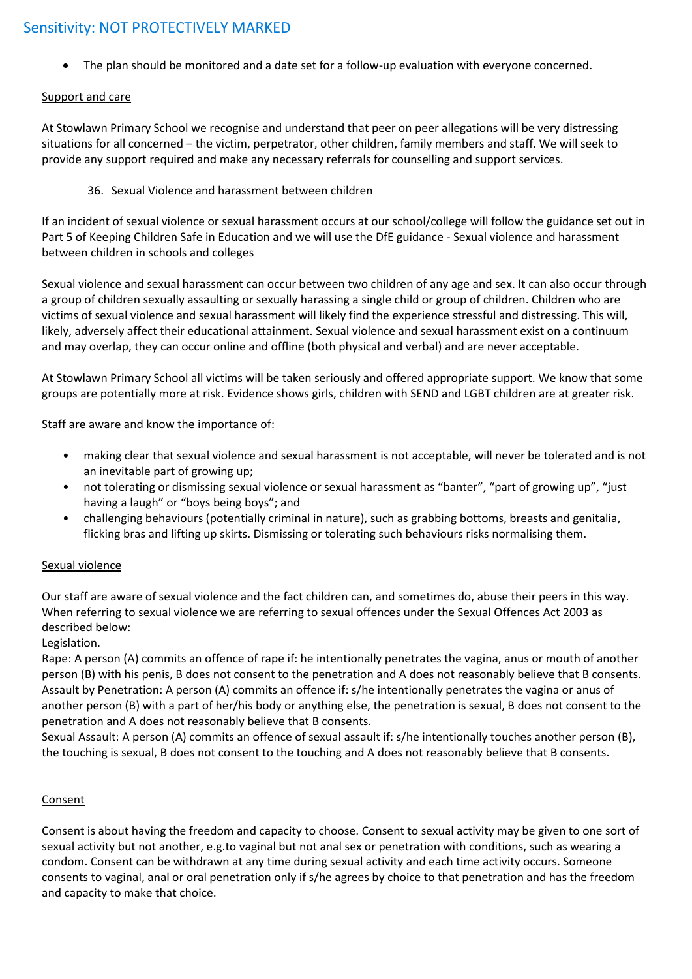The plan should be monitored and a date set for a follow-up evaluation with everyone concerned.

# Support and care

At Stowlawn Primary School we recognise and understand that peer on peer allegations will be very distressing situations for all concerned – the victim, perpetrator, other children, family members and staff. We will seek to provide any support required and make any necessary referrals for counselling and support services.

# 36. Sexual Violence and harassment between children

If an incident of sexual violence or sexual harassment occurs at our school/college will follow the guidance set out in Part 5 of Keeping Children Safe in Education and we will use the DfE guidance - Sexual violence and harassment between children in schools and colleges

Sexual violence and sexual harassment can occur between two children of any age and sex. It can also occur through a group of children sexually assaulting or sexually harassing a single child or group of children. Children who are victims of sexual violence and sexual harassment will likely find the experience stressful and distressing. This will, likely, adversely affect their educational attainment. Sexual violence and sexual harassment exist on a continuum and may overlap, they can occur online and offline (both physical and verbal) and are never acceptable.

At Stowlawn Primary School all victims will be taken seriously and offered appropriate support. We know that some groups are potentially more at risk. Evidence shows girls, children with SEND and LGBT children are at greater risk.

Staff are aware and know the importance of:

- making clear that sexual violence and sexual harassment is not acceptable, will never be tolerated and is not an inevitable part of growing up;
- not tolerating or dismissing sexual violence or sexual harassment as "banter", "part of growing up", "just having a laugh" or "boys being boys"; and
- challenging behaviours (potentially criminal in nature), such as grabbing bottoms, breasts and genitalia, flicking bras and lifting up skirts. Dismissing or tolerating such behaviours risks normalising them.

# Sexual violence

Our staff are aware of sexual violence and the fact children can, and sometimes do, abuse their peers in this way. When referring to sexual violence we are referring to sexual offences under the Sexual Offences Act 2003 as described below:

Legislation.

Rape: A person (A) commits an offence of rape if: he intentionally penetrates the vagina, anus or mouth of another person (B) with his penis, B does not consent to the penetration and A does not reasonably believe that B consents. Assault by Penetration: A person (A) commits an offence if: s/he intentionally penetrates the vagina or anus of another person (B) with a part of her/his body or anything else, the penetration is sexual, B does not consent to the penetration and A does not reasonably believe that B consents.

Sexual Assault: A person (A) commits an offence of sexual assault if: s/he intentionally touches another person (B), the touching is sexual, B does not consent to the touching and A does not reasonably believe that B consents.

# Consent

Consent is about having the freedom and capacity to choose. Consent to sexual activity may be given to one sort of sexual activity but not another, e.g.to vaginal but not anal sex or penetration with conditions, such as wearing a condom. Consent can be withdrawn at any time during sexual activity and each time activity occurs. Someone consents to vaginal, anal or oral penetration only if s/he agrees by choice to that penetration and has the freedom and capacity to make that choice.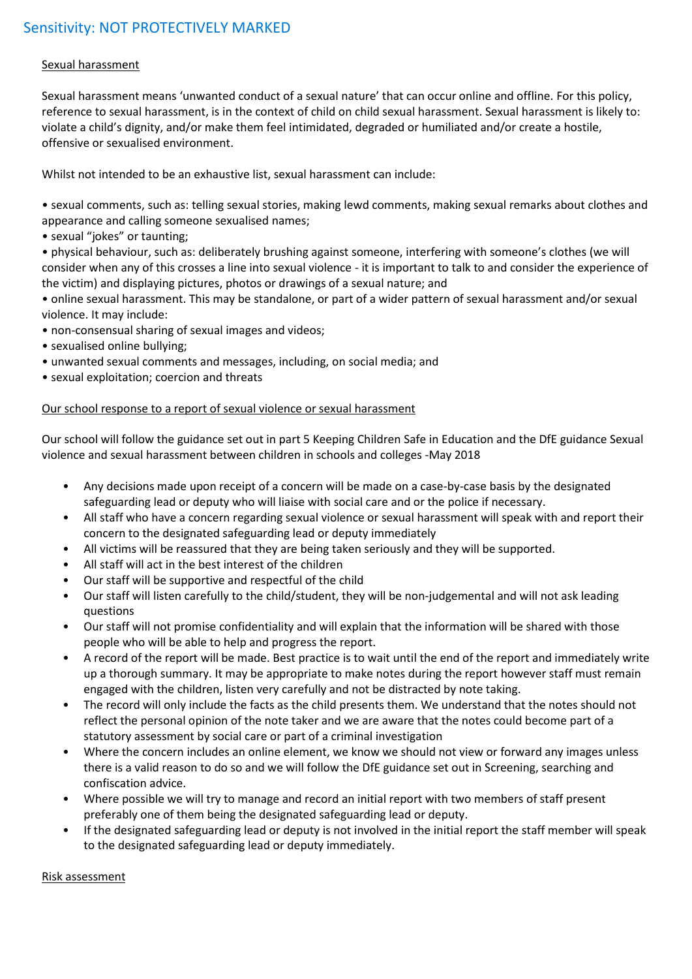# Sexual harassment

Sexual harassment means 'unwanted conduct of a sexual nature' that can occur online and offline. For this policy, reference to sexual harassment, is in the context of child on child sexual harassment. Sexual harassment is likely to: violate a child's dignity, and/or make them feel intimidated, degraded or humiliated and/or create a hostile, offensive or sexualised environment.

Whilst not intended to be an exhaustive list, sexual harassment can include:

• sexual comments, such as: telling sexual stories, making lewd comments, making sexual remarks about clothes and appearance and calling someone sexualised names;

• sexual "jokes" or taunting;

• physical behaviour, such as: deliberately brushing against someone, interfering with someone's clothes (we will consider when any of this crosses a line into sexual violence - it is important to talk to and consider the experience of the victim) and displaying pictures, photos or drawings of a sexual nature; and

• online sexual harassment. This may be standalone, or part of a wider pattern of sexual harassment and/or sexual violence. It may include:

- non-consensual sharing of sexual images and videos;
- sexualised online bullying;
- unwanted sexual comments and messages, including, on social media; and
- sexual exploitation; coercion and threats

#### Our school response to a report of sexual violence or sexual harassment

Our school will follow the guidance set out in part 5 Keeping Children Safe in Education and the DfE guidance Sexual violence and sexual harassment between children in schools and colleges -May 2018

- Any decisions made upon receipt of a concern will be made on a case-by-case basis by the designated safeguarding lead or deputy who will liaise with social care and or the police if necessary.
- All staff who have a concern regarding sexual violence or sexual harassment will speak with and report their concern to the designated safeguarding lead or deputy immediately
- All victims will be reassured that they are being taken seriously and they will be supported.
- All staff will act in the best interest of the children
- Our staff will be supportive and respectful of the child
- Our staff will listen carefully to the child/student, they will be non-judgemental and will not ask leading questions
- Our staff will not promise confidentiality and will explain that the information will be shared with those people who will be able to help and progress the report.
- A record of the report will be made. Best practice is to wait until the end of the report and immediately write up a thorough summary. It may be appropriate to make notes during the report however staff must remain engaged with the children, listen very carefully and not be distracted by note taking.
- The record will only include the facts as the child presents them. We understand that the notes should not reflect the personal opinion of the note taker and we are aware that the notes could become part of a statutory assessment by social care or part of a criminal investigation
- Where the concern includes an online element, we know we should not view or forward any images unless there is a valid reason to do so and we will follow the DfE guidance set out in Screening, searching and confiscation advice.
- Where possible we will try to manage and record an initial report with two members of staff present preferably one of them being the designated safeguarding lead or deputy.
- If the designated safeguarding lead or deputy is not involved in the initial report the staff member will speak to the designated safeguarding lead or deputy immediately.

#### Risk assessment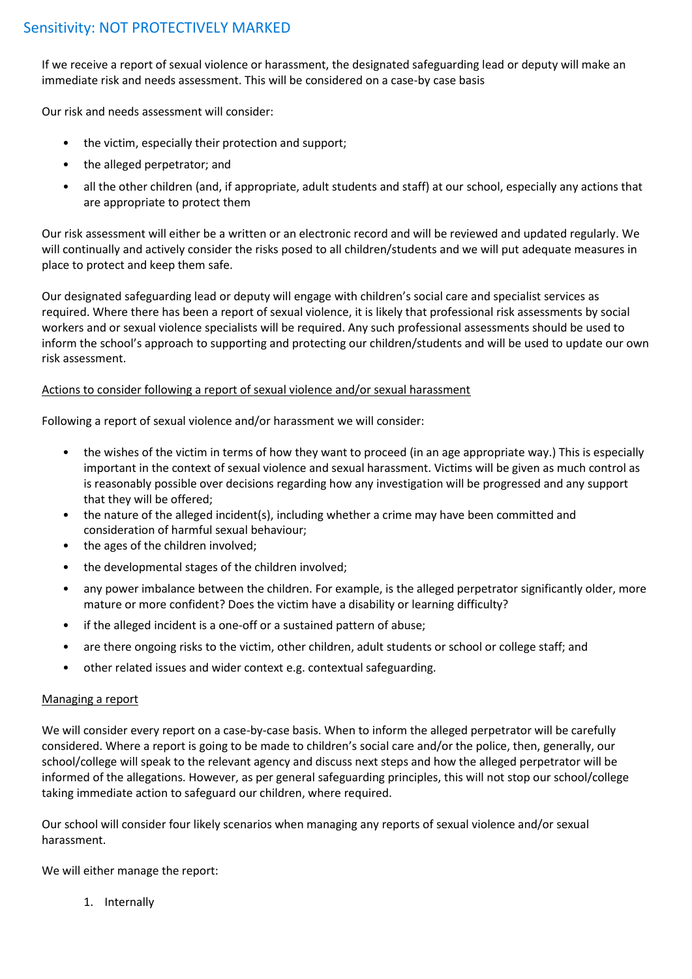If we receive a report of sexual violence or harassment, the designated safeguarding lead or deputy will make an immediate risk and needs assessment. This will be considered on a case-by case basis

Our risk and needs assessment will consider:

- the victim, especially their protection and support;
- the alleged perpetrator; and
- all the other children (and, if appropriate, adult students and staff) at our school, especially any actions that are appropriate to protect them

Our risk assessment will either be a written or an electronic record and will be reviewed and updated regularly. We will continually and actively consider the risks posed to all children/students and we will put adequate measures in place to protect and keep them safe.

Our designated safeguarding lead or deputy will engage with children's social care and specialist services as required. Where there has been a report of sexual violence, it is likely that professional risk assessments by social workers and or sexual violence specialists will be required. Any such professional assessments should be used to inform the school's approach to supporting and protecting our children/students and will be used to update our own risk assessment.

#### Actions to consider following a report of sexual violence and/or sexual harassment

Following a report of sexual violence and/or harassment we will consider:

- the wishes of the victim in terms of how they want to proceed (in an age appropriate way.) This is especially important in the context of sexual violence and sexual harassment. Victims will be given as much control as is reasonably possible over decisions regarding how any investigation will be progressed and any support that they will be offered;
- the nature of the alleged incident(s), including whether a crime may have been committed and consideration of harmful sexual behaviour;
- the ages of the children involved;
- the developmental stages of the children involved;
- any power imbalance between the children. For example, is the alleged perpetrator significantly older, more mature or more confident? Does the victim have a disability or learning difficulty?
- if the alleged incident is a one-off or a sustained pattern of abuse;
- are there ongoing risks to the victim, other children, adult students or school or college staff; and
- other related issues and wider context e.g. contextual safeguarding.

#### Managing a report

We will consider every report on a case-by-case basis. When to inform the alleged perpetrator will be carefully considered. Where a report is going to be made to children's social care and/or the police, then, generally, our school/college will speak to the relevant agency and discuss next steps and how the alleged perpetrator will be informed of the allegations. However, as per general safeguarding principles, this will not stop our school/college taking immediate action to safeguard our children, where required.

Our school will consider four likely scenarios when managing any reports of sexual violence and/or sexual harassment.

We will either manage the report:

1. Internally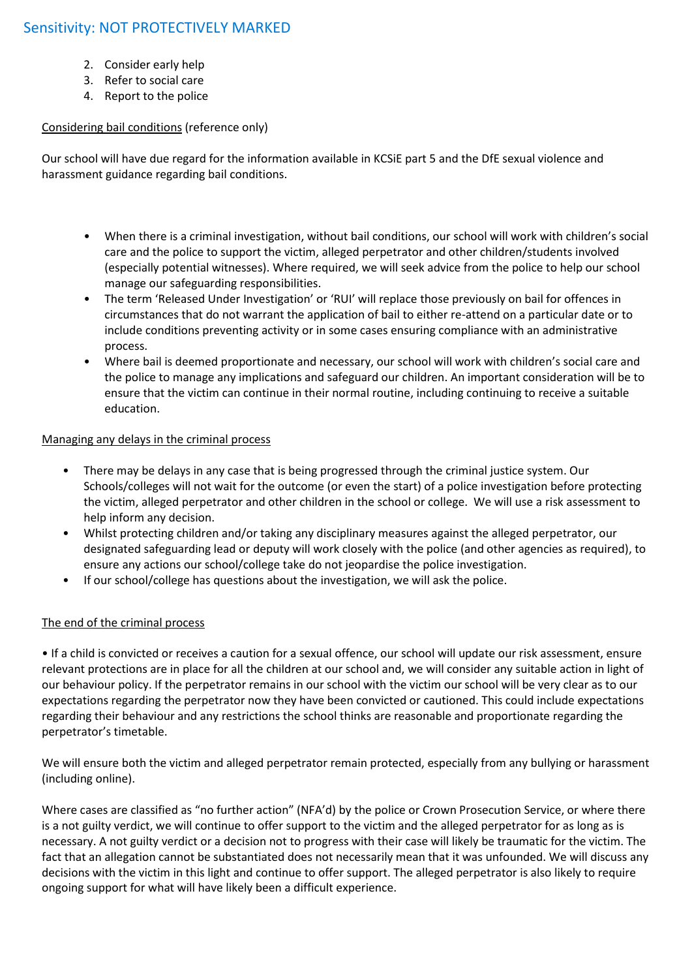- 2. Consider early help
- 3. Refer to social care
- 4. Report to the police

# Considering bail conditions (reference only)

Our school will have due regard for the information available in KCSiE part 5 and the DfE sexual violence and harassment guidance regarding bail conditions.

- When there is a criminal investigation, without bail conditions, our school will work with children's social care and the police to support the victim, alleged perpetrator and other children/students involved (especially potential witnesses). Where required, we will seek advice from the police to help our school manage our safeguarding responsibilities.
- The term 'Released Under Investigation' or 'RUI' will replace those previously on bail for offences in circumstances that do not warrant the application of bail to either re-attend on a particular date or to include conditions preventing activity or in some cases ensuring compliance with an administrative process.
- Where bail is deemed proportionate and necessary, our school will work with children's social care and the police to manage any implications and safeguard our children. An important consideration will be to ensure that the victim can continue in their normal routine, including continuing to receive a suitable education.

#### Managing any delays in the criminal process

- There may be delays in any case that is being progressed through the criminal justice system. Our Schools/colleges will not wait for the outcome (or even the start) of a police investigation before protecting the victim, alleged perpetrator and other children in the school or college. We will use a risk assessment to help inform any decision.
- Whilst protecting children and/or taking any disciplinary measures against the alleged perpetrator, our designated safeguarding lead or deputy will work closely with the police (and other agencies as required), to ensure any actions our school/college take do not jeopardise the police investigation.
- If our school/college has questions about the investigation, we will ask the police.

# The end of the criminal process

• If a child is convicted or receives a caution for a sexual offence, our school will update our risk assessment, ensure relevant protections are in place for all the children at our school and, we will consider any suitable action in light of our behaviour policy. If the perpetrator remains in our school with the victim our school will be very clear as to our expectations regarding the perpetrator now they have been convicted or cautioned. This could include expectations regarding their behaviour and any restrictions the school thinks are reasonable and proportionate regarding the perpetrator's timetable.

We will ensure both the victim and alleged perpetrator remain protected, especially from any bullying or harassment (including online).

Where cases are classified as "no further action" (NFA'd) by the police or Crown Prosecution Service, or where there is a not guilty verdict, we will continue to offer support to the victim and the alleged perpetrator for as long as is necessary. A not guilty verdict or a decision not to progress with their case will likely be traumatic for the victim. The fact that an allegation cannot be substantiated does not necessarily mean that it was unfounded. We will discuss any decisions with the victim in this light and continue to offer support. The alleged perpetrator is also likely to require ongoing support for what will have likely been a difficult experience.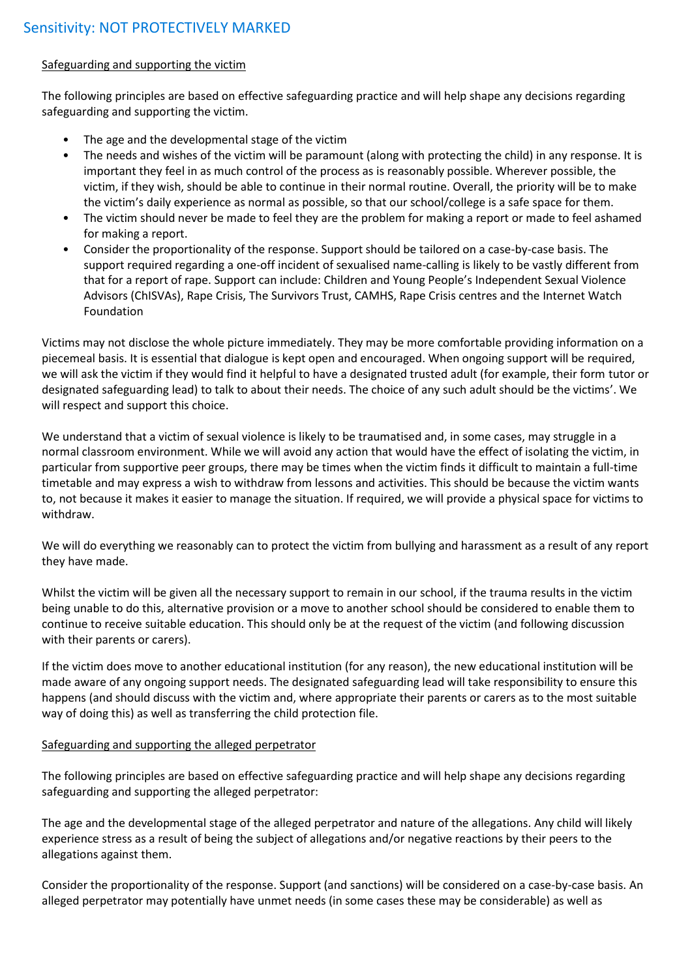### Safeguarding and supporting the victim

The following principles are based on effective safeguarding practice and will help shape any decisions regarding safeguarding and supporting the victim.

- The age and the developmental stage of the victim
- The needs and wishes of the victim will be paramount (along with protecting the child) in any response. It is important they feel in as much control of the process as is reasonably possible. Wherever possible, the victim, if they wish, should be able to continue in their normal routine. Overall, the priority will be to make the victim's daily experience as normal as possible, so that our school/college is a safe space for them.
- The victim should never be made to feel they are the problem for making a report or made to feel ashamed for making a report.
- Consider the proportionality of the response. Support should be tailored on a case-by-case basis. The support required regarding a one-off incident of sexualised name-calling is likely to be vastly different from that for a report of rape. Support can include: Children and Young People's Independent Sexual Violence Advisors (ChISVAs), Rape Crisis, The Survivors Trust, CAMHS, Rape Crisis centres and the Internet Watch Foundation

Victims may not disclose the whole picture immediately. They may be more comfortable providing information on a piecemeal basis. It is essential that dialogue is kept open and encouraged. When ongoing support will be required, we will ask the victim if they would find it helpful to have a designated trusted adult (for example, their form tutor or designated safeguarding lead) to talk to about their needs. The choice of any such adult should be the victims'. We will respect and support this choice.

We understand that a victim of sexual violence is likely to be traumatised and, in some cases, may struggle in a normal classroom environment. While we will avoid any action that would have the effect of isolating the victim, in particular from supportive peer groups, there may be times when the victim finds it difficult to maintain a full-time timetable and may express a wish to withdraw from lessons and activities. This should be because the victim wants to, not because it makes it easier to manage the situation. If required, we will provide a physical space for victims to withdraw.

We will do everything we reasonably can to protect the victim from bullying and harassment as a result of any report they have made.

Whilst the victim will be given all the necessary support to remain in our school, if the trauma results in the victim being unable to do this, alternative provision or a move to another school should be considered to enable them to continue to receive suitable education. This should only be at the request of the victim (and following discussion with their parents or carers).

If the victim does move to another educational institution (for any reason), the new educational institution will be made aware of any ongoing support needs. The designated safeguarding lead will take responsibility to ensure this happens (and should discuss with the victim and, where appropriate their parents or carers as to the most suitable way of doing this) as well as transferring the child protection file.

# Safeguarding and supporting the alleged perpetrator

The following principles are based on effective safeguarding practice and will help shape any decisions regarding safeguarding and supporting the alleged perpetrator:

The age and the developmental stage of the alleged perpetrator and nature of the allegations. Any child will likely experience stress as a result of being the subject of allegations and/or negative reactions by their peers to the allegations against them.

Consider the proportionality of the response. Support (and sanctions) will be considered on a case-by-case basis. An alleged perpetrator may potentially have unmet needs (in some cases these may be considerable) as well as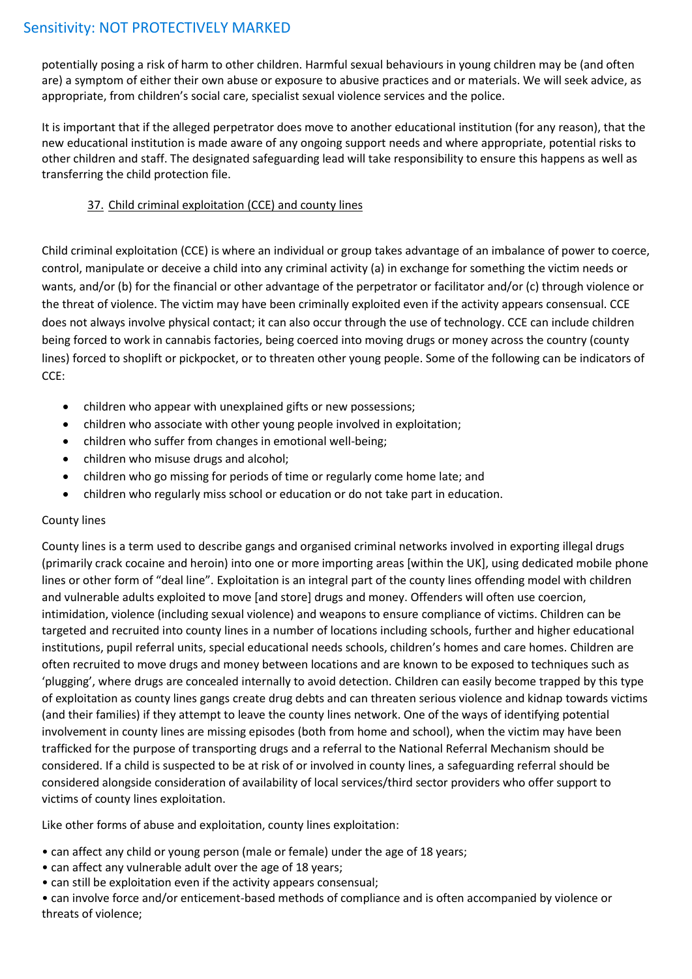potentially posing a risk of harm to other children. Harmful sexual behaviours in young children may be (and often are) a symptom of either their own abuse or exposure to abusive practices and or materials. We will seek advice, as appropriate, from children's social care, specialist sexual violence services and the police.

It is important that if the alleged perpetrator does move to another educational institution (for any reason), that the new educational institution is made aware of any ongoing support needs and where appropriate, potential risks to other children and staff. The designated safeguarding lead will take responsibility to ensure this happens as well as transferring the child protection file.

# 37. Child criminal exploitation (CCE) and county lines

Child criminal exploitation (CCE) is where an individual or group takes advantage of an imbalance of power to coerce, control, manipulate or deceive a child into any criminal activity (a) in exchange for something the victim needs or wants, and/or (b) for the financial or other advantage of the perpetrator or facilitator and/or (c) through violence or the threat of violence. The victim may have been criminally exploited even if the activity appears consensual. CCE does not always involve physical contact; it can also occur through the use of technology. CCE can include children being forced to work in cannabis factories, being coerced into moving drugs or money across the country (county lines) forced to shoplift or pickpocket, or to threaten other young people. Some of the following can be indicators of CCE:

- children who appear with unexplained gifts or new possessions;
- children who associate with other young people involved in exploitation;
- children who suffer from changes in emotional well-being;
- children who misuse drugs and alcohol;
- children who go missing for periods of time or regularly come home late; and
- children who regularly miss school or education or do not take part in education.

# County lines

County lines is a term used to describe gangs and organised criminal networks involved in exporting illegal drugs (primarily crack cocaine and heroin) into one or more importing areas [within the UK], using dedicated mobile phone lines or other form of "deal line". Exploitation is an integral part of the county lines offending model with children and vulnerable adults exploited to move [and store] drugs and money. Offenders will often use coercion, intimidation, violence (including sexual violence) and weapons to ensure compliance of victims. Children can be targeted and recruited into county lines in a number of locations including schools, further and higher educational institutions, pupil referral units, special educational needs schools, children's homes and care homes. Children are often recruited to move drugs and money between locations and are known to be exposed to techniques such as 'plugging', where drugs are concealed internally to avoid detection. Children can easily become trapped by this type of exploitation as county lines gangs create drug debts and can threaten serious violence and kidnap towards victims (and their families) if they attempt to leave the county lines network. One of the ways of identifying potential involvement in county lines are missing episodes (both from home and school), when the victim may have been trafficked for the purpose of transporting drugs and a referral to the National Referral Mechanism should be considered. If a child is suspected to be at risk of or involved in county lines, a safeguarding referral should be considered alongside consideration of availability of local services/third sector providers who offer support to victims of county lines exploitation.

Like other forms of abuse and exploitation, county lines exploitation:

- can affect any child or young person (male or female) under the age of 18 years;
- can affect any vulnerable adult over the age of 18 years;
- can still be exploitation even if the activity appears consensual;

• can involve force and/or enticement-based methods of compliance and is often accompanied by violence or threats of violence;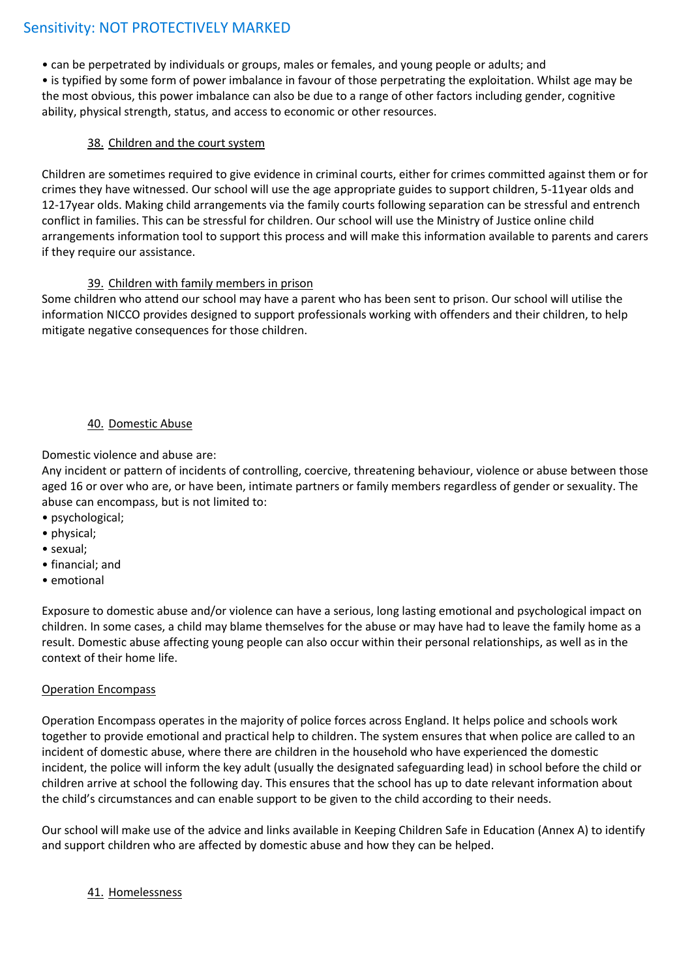• can be perpetrated by individuals or groups, males or females, and young people or adults; and • is typified by some form of power imbalance in favour of those perpetrating the exploitation. Whilst age may be the most obvious, this power imbalance can also be due to a range of other factors including gender, cognitive ability, physical strength, status, and access to economic or other resources.

# 38. Children and the court system

Children are sometimes required to give evidence in criminal courts, either for crimes committed against them or for crimes they have witnessed. Our school will use the age appropriate guides to support children, 5-11year olds and 12-17year olds. Making child arrangements via the family courts following separation can be stressful and entrench conflict in families. This can be stressful for children. Our school will use the Ministry of Justice online child arrangements information tool to support this process and will make this information available to parents and carers if they require our assistance.

#### 39. Children with family members in prison

Some children who attend our school may have a parent who has been sent to prison. Our school will utilise the information NICCO provides designed to support professionals working with offenders and their children, to help mitigate negative consequences for those children.

# 40. Domestic Abuse

Domestic violence and abuse are:

Any incident or pattern of incidents of controlling, coercive, threatening behaviour, violence or abuse between those aged 16 or over who are, or have been, intimate partners or family members regardless of gender or sexuality. The abuse can encompass, but is not limited to:

- psychological;
- physical;
- sexual;
- financial; and
- emotional

Exposure to domestic abuse and/or violence can have a serious, long lasting emotional and psychological impact on children. In some cases, a child may blame themselves for the abuse or may have had to leave the family home as a result. Domestic abuse affecting young people can also occur within their personal relationships, as well as in the context of their home life.

#### Operation Encompass

Operation Encompass operates in the majority of police forces across England. It helps police and schools work together to provide emotional and practical help to children. The system ensures that when police are called to an incident of domestic abuse, where there are children in the household who have experienced the domestic incident, the police will inform the key adult (usually the designated safeguarding lead) in school before the child or children arrive at school the following day. This ensures that the school has up to date relevant information about the child's circumstances and can enable support to be given to the child according to their needs.

Our school will make use of the advice and links available in Keeping Children Safe in Education (Annex A) to identify and support children who are affected by domestic abuse and how they can be helped.

#### 41. Homelessness